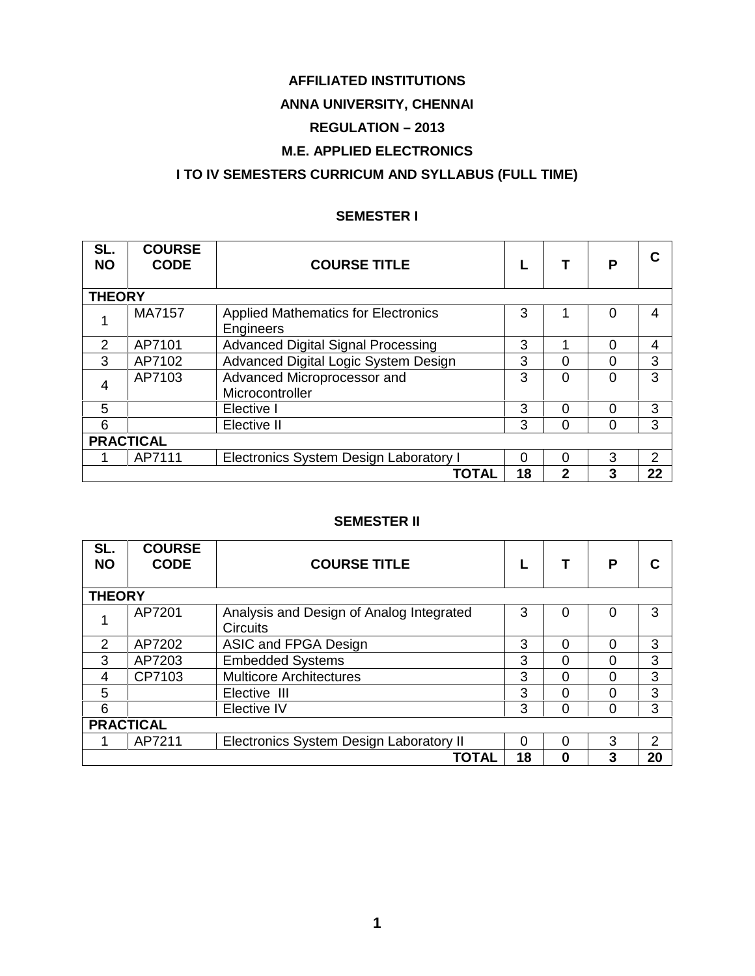### **AFFILIATED INSTITUTIONS**

# **ANNA UNIVERSITY, CHENNAI**

# **REGULATION – 2013**

# **M.E. APPLIED ELECTRONICS**

### **I TO IV SEMESTERS CURRICUM AND SYLLABUS (FULL TIME)**

#### **SEMESTER I**

| SL.<br><b>NO</b> | <b>COURSE</b><br><b>CODE</b> | <b>COURSE TITLE</b>                                     |          |              | P | C              |  |  |
|------------------|------------------------------|---------------------------------------------------------|----------|--------------|---|----------------|--|--|
| <b>THEORY</b>    |                              |                                                         |          |              |   |                |  |  |
| 1                | MA7157                       | <b>Applied Mathematics for Electronics</b><br>Engineers | 3        |              |   | 4              |  |  |
| 2                | AP7101                       | <b>Advanced Digital Signal Processing</b>               | 3        |              | 0 | 4              |  |  |
| 3                | AP7102                       | Advanced Digital Logic System Design                    | 3        | 0            | ი | 3              |  |  |
| $\overline{4}$   | AP7103                       | Advanced Microprocessor and<br>Microcontroller          | 3        | $\Omega$     | 0 | 3              |  |  |
| 5                |                              | Elective I                                              | 3        | $\Omega$     | 0 | 3              |  |  |
| 6                |                              | Elective II                                             | 3        | $\Omega$     | 0 | 3              |  |  |
| <b>PRACTICAL</b> |                              |                                                         |          |              |   |                |  |  |
|                  | AP7111                       | Electronics System Design Laboratory I                  | $\Omega$ | $\Omega$     | 3 | $\overline{2}$ |  |  |
|                  |                              | <b>TOTAL</b>                                            | 18       | $\mathbf{2}$ | 3 | 22             |  |  |

#### **SEMESTER II**

| SL.<br><b>NO</b> | <b>COURSE</b><br><b>CODE</b> | <b>COURSE TITLE</b>                      |    |          | Р | C             |  |  |
|------------------|------------------------------|------------------------------------------|----|----------|---|---------------|--|--|
|                  |                              |                                          |    |          |   |               |  |  |
| <b>THEORY</b>    |                              |                                          |    |          |   |               |  |  |
|                  | AP7201                       | Analysis and Design of Analog Integrated | 3  | 0        | 0 | 3             |  |  |
|                  |                              | <b>Circuits</b>                          |    |          |   |               |  |  |
| 2                | AP7202                       | ASIC and FPGA Design                     | 3  | $\Omega$ | 0 | 3             |  |  |
| 3                | AP7203                       | <b>Embedded Systems</b>                  | 3  | $\Omega$ |   | 3             |  |  |
| 4                | CP7103                       | <b>Multicore Architectures</b>           | 3  | 0        |   | 3             |  |  |
| 5                |                              | Elective III                             | 3  | $\Omega$ |   | 3             |  |  |
| 6                |                              | Elective IV                              | 3  | $\Omega$ | 0 | 3             |  |  |
| <b>PRACTICAL</b> |                              |                                          |    |          |   |               |  |  |
|                  | AP7211                       | Electronics System Design Laboratory II  | 0  | 0        | 3 | $\mathcal{P}$ |  |  |
|                  |                              | <b>TOTAL</b>                             | 18 | 0        |   | 20            |  |  |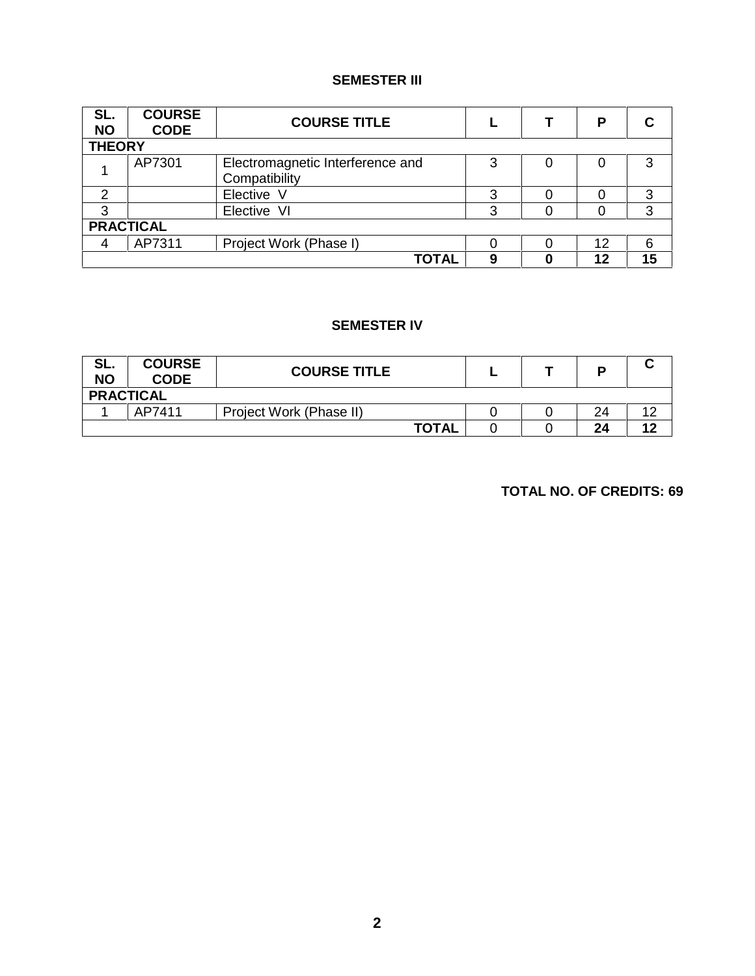### **SEMESTER III**

| SL.<br><b>NO</b> | <b>COURSE</b><br><b>CODE</b> | <b>COURSE TITLE</b>                               |   |  | Р  | С  |  |
|------------------|------------------------------|---------------------------------------------------|---|--|----|----|--|
| <b>THEORY</b>    |                              |                                                   |   |  |    |    |  |
|                  | AP7301                       | Electromagnetic Interference and<br>Compatibility | 3 |  |    | 3  |  |
| ົ                |                              | Elective V                                        | 3 |  |    | 3  |  |
| 3                |                              | Elective VI                                       | 3 |  |    | 3  |  |
| <b>PRACTICAL</b> |                              |                                                   |   |  |    |    |  |
| 4                | AP7311                       | Project Work (Phase I)                            |   |  | 12 | 6  |  |
|                  |                              | <b>TOTAL</b>                                      | 9 |  | 12 | 15 |  |

#### **SEMESTER IV**

| SL.<br><b>NO</b> | <b>COURSE</b><br><b>CODE</b> | <b>COURSE TITLE</b>     |  | в  | ີ      |
|------------------|------------------------------|-------------------------|--|----|--------|
|                  | <b>PRACTICAL</b>             |                         |  |    |        |
|                  | AP7411                       | Project Work (Phase II) |  | 24 | $\sim$ |
|                  |                              | <b>TOTAL</b>            |  | 24 | 12     |

**TOTAL NO. OF CREDITS: 69**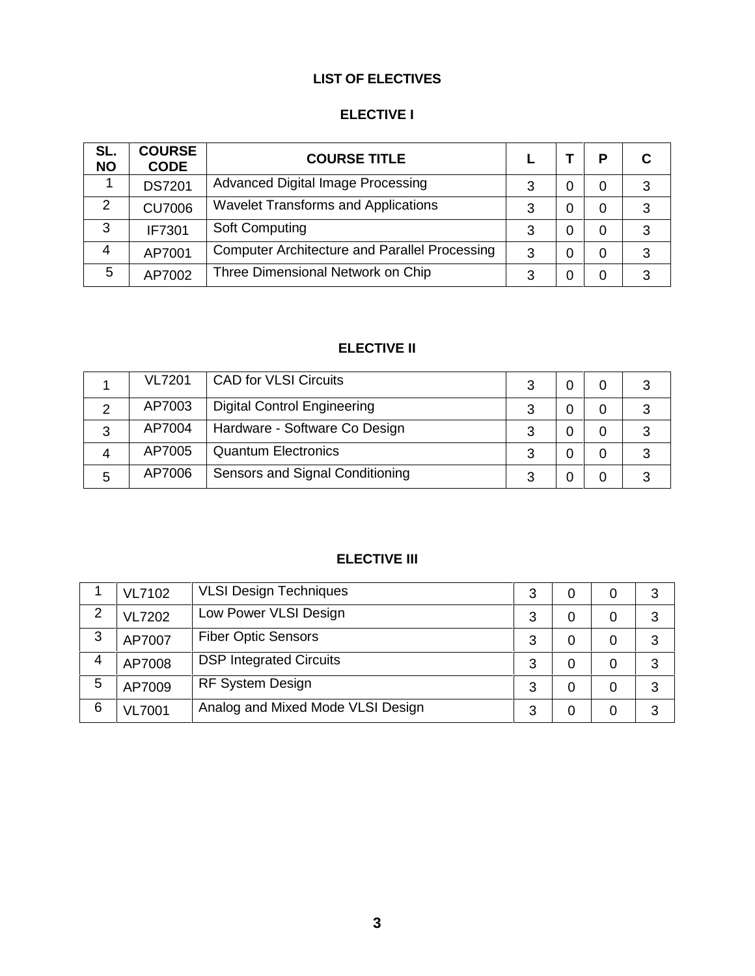# **LIST OF ELECTIVES**

# **ELECTIVE I**

| SL.<br><b>NO</b> | <b>COURSE</b><br><b>CODE</b> | <b>COURSE TITLE</b>                                  |   | P | С |
|------------------|------------------------------|------------------------------------------------------|---|---|---|
|                  | <b>DS7201</b>                | Advanced Digital Image Processing                    | 3 | 0 | 3 |
| 2                | <b>CU7006</b>                | <b>Wavelet Transforms and Applications</b>           | 3 | 0 | 3 |
| 3                | IF7301                       | Soft Computing                                       | 3 | 0 | 3 |
| 4                | AP7001                       | <b>Computer Architecture and Parallel Processing</b> | 3 | 0 | 3 |
| 5                | AP7002                       | Three Dimensional Network on Chip                    | 3 | 0 | 3 |

# **ELECTIVE II**

|   | <b>VL7201</b> | <b>CAD for VLSI Circuits</b>       |  |  |
|---|---------------|------------------------------------|--|--|
|   | AP7003        | <b>Digital Control Engineering</b> |  |  |
| 3 | AP7004        | Hardware - Software Co Design      |  |  |
| 4 | AP7005        | <b>Quantum Electronics</b>         |  |  |
| 5 | AP7006        | Sensors and Signal Conditioning    |  |  |

# **ELECTIVE III**

|   | <b>VL7102</b> | <b>VLSI Design Techniques</b>     | 3 | 0 | 3 |
|---|---------------|-----------------------------------|---|---|---|
| 2 | <b>VL7202</b> | Low Power VLSI Design             | 3 | 0 | 3 |
| 3 | AP7007        | <b>Fiber Optic Sensors</b>        | 3 | 0 | 3 |
| 4 | AP7008        | <b>DSP Integrated Circuits</b>    | 3 | 0 | 3 |
| 5 | AP7009        | <b>RF System Design</b>           | 3 | 0 | 3 |
| 6 | <b>VL7001</b> | Analog and Mixed Mode VLSI Design | 3 | 0 | 3 |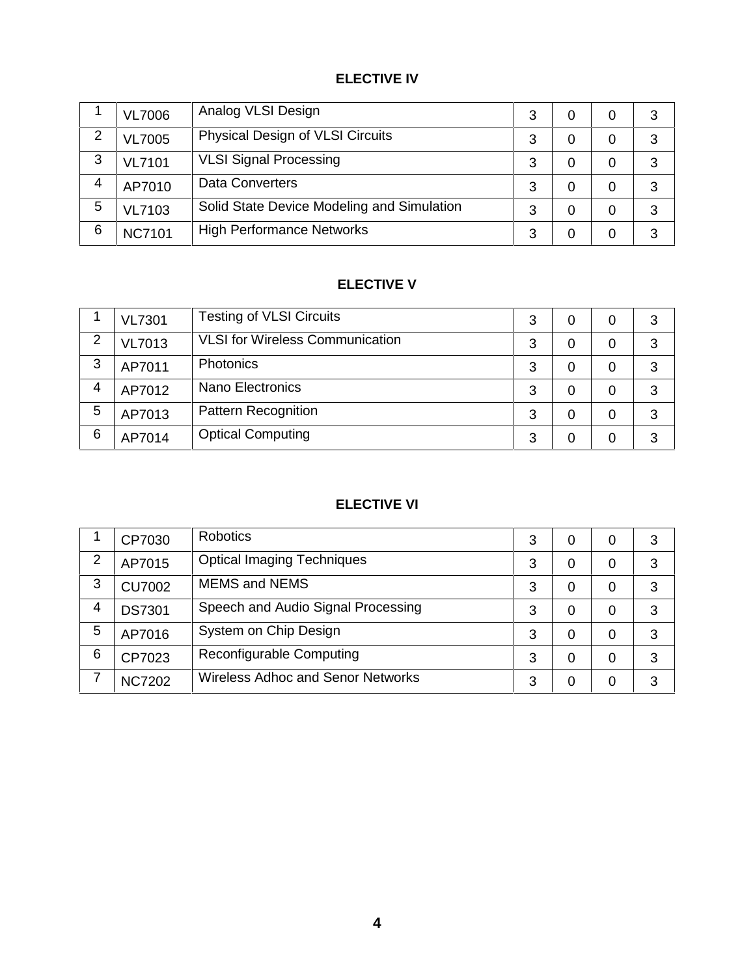# **ELECTIVE IV**

|   | <b>VL7006</b> | Analog VLSI Design                         | 3 | 0 | 3 |
|---|---------------|--------------------------------------------|---|---|---|
| 2 | <b>VL7005</b> | Physical Design of VLSI Circuits           | 3 | 0 | 3 |
| 3 | <b>VL7101</b> | <b>VLSI Signal Processing</b>              | 3 | 0 | 3 |
| 4 | AP7010        | Data Converters                            | 3 | 0 | 3 |
| 5 | <b>VL7103</b> | Solid State Device Modeling and Simulation | 3 | 0 | 3 |
| 6 | <b>NC7101</b> | <b>High Performance Networks</b>           | 3 | 0 | 3 |

# **ELECTIVE V**

|   | <b>VL7301</b> | <b>Testing of VLSI Circuits</b>        | 3 | 0 | 3 |
|---|---------------|----------------------------------------|---|---|---|
| 2 | <b>VL7013</b> | <b>VLSI</b> for Wireless Communication | 3 | 0 | 3 |
| 3 | AP7011        | Photonics                              | 3 | 0 | 3 |
| 4 | AP7012        | Nano Electronics                       | 3 | 0 | 3 |
| 5 | AP7013        | <b>Pattern Recognition</b>             | 3 | 0 | 3 |
| 6 | AP7014        | <b>Optical Computing</b>               | 3 | 0 | 3 |

# **ELECTIVE VI**

|                | CP7030        | <b>Robotics</b>                    | 3 | 0 | O | 3 |
|----------------|---------------|------------------------------------|---|---|---|---|
| $\overline{2}$ | AP7015        | <b>Optical Imaging Techniques</b>  | 3 | 0 |   | 3 |
| 3              | <b>CU7002</b> | <b>MEMS and NEMS</b>               | 3 | 0 |   | 3 |
| 4              | <b>DS7301</b> | Speech and Audio Signal Processing | 3 | 0 | 0 | 3 |
| 5              | AP7016        | System on Chip Design              | 3 | 0 |   | 3 |
| 6              | CP7023        | Reconfigurable Computing           | 3 | 0 |   | 3 |
| 7              | <b>NC7202</b> | Wireless Adhoc and Senor Networks  | 3 | 0 |   | 3 |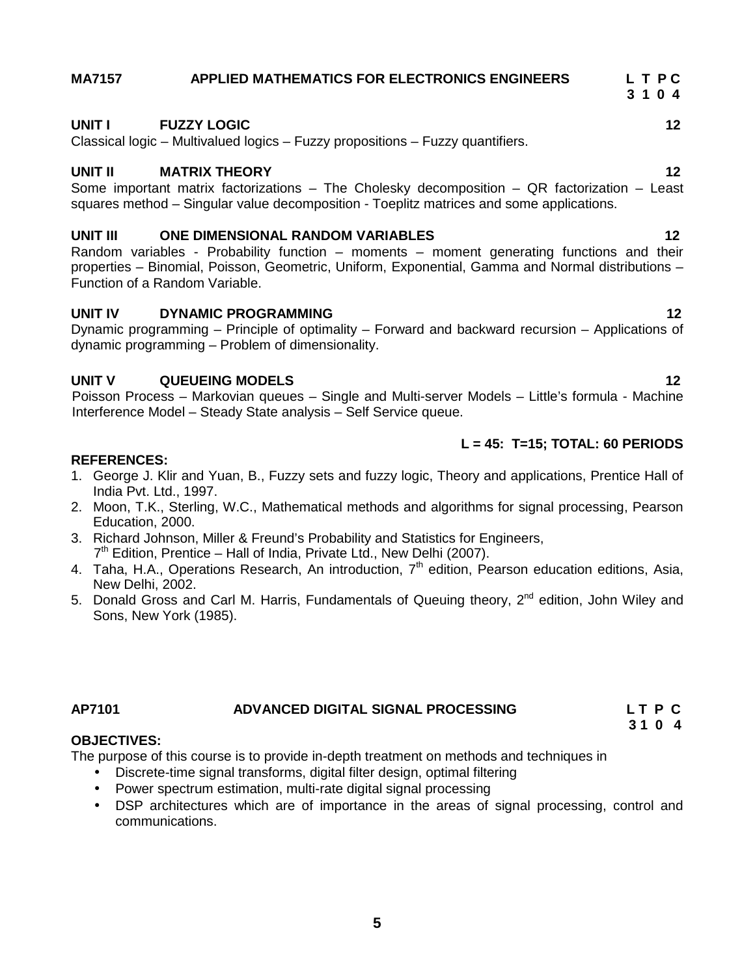### **MA7157 APPLIED MATHEMATICS FOR ELECTRONICS ENGINEERS L T P C**

### **UNIT I FUZZY LOGIC 12**

Classical logic – Multivalued logics – Fuzzy propositions – Fuzzy quantifiers.

#### **UNIT II MATRIX THEORY 12**

Some important matrix factorizations – The Cholesky decomposition – QR factorization – Least squares method – Singular value decomposition - Toeplitz matrices and some applications.

#### **UNIT III ONE DIMENSIONAL RANDOM VARIABLES 12**

Random variables - Probability function – moments – moment generating functions and their properties – Binomial, Poisson, Geometric, Uniform, Exponential, Gamma and Normal distributions – Function of a Random Variable.

#### **UNIT IV DYNAMIC PROGRAMMING 12**

Dynamic programming – Principle of optimality – Forward and backward recursion – Applications of dynamic programming – Problem of dimensionality.

#### **UNIT V QUEUEING MODELS 12**

Poisson Process – Markovian queues – Single and Multi-server Models – Little's formula - Machine Interference Model – Steady State analysis – Self Service queue.

#### **L = 45: T=15; TOTAL: 60 PERIODS**

#### **REFERENCES:**

- 1. George J. Klir and Yuan, B., Fuzzy sets and fuzzy logic, Theory and applications, Prentice Hall of India Pvt. Ltd., 1997.
- 2. Moon, T.K., Sterling, W.C., Mathematical methods and algorithms for signal processing, Pearson Education, 2000.
- 3. Richard Johnson, Miller & Freund's Probability and Statistics for Engineers, 7 th Edition, Prentice – Hall of India, Private Ltd., New Delhi (2007).
- 4. Taha, H.A., Operations Research, An introduction, 7<sup>th</sup> edition, Pearson education editions, Asia, New Delhi, 2002.
- 5. Donald Gross and Carl M. Harris, Fundamentals of Queuing theory,  $2^{nd}$  edition, John Wiley and Sons, New York (1985).

#### **AP7101 ADVANCED DIGITAL SIGNAL PROCESSING L T P C 3 1 0 4**

#### **OBJECTIVES:**

The purpose of this course is to provide in-depth treatment on methods and techniques in

- Discrete-time signal transforms, digital filter design, optimal filtering
- Power spectrum estimation, multi-rate digital signal processing
- DSP architectures which are of importance in the areas of signal processing, control and communications.

**3 1 0 4**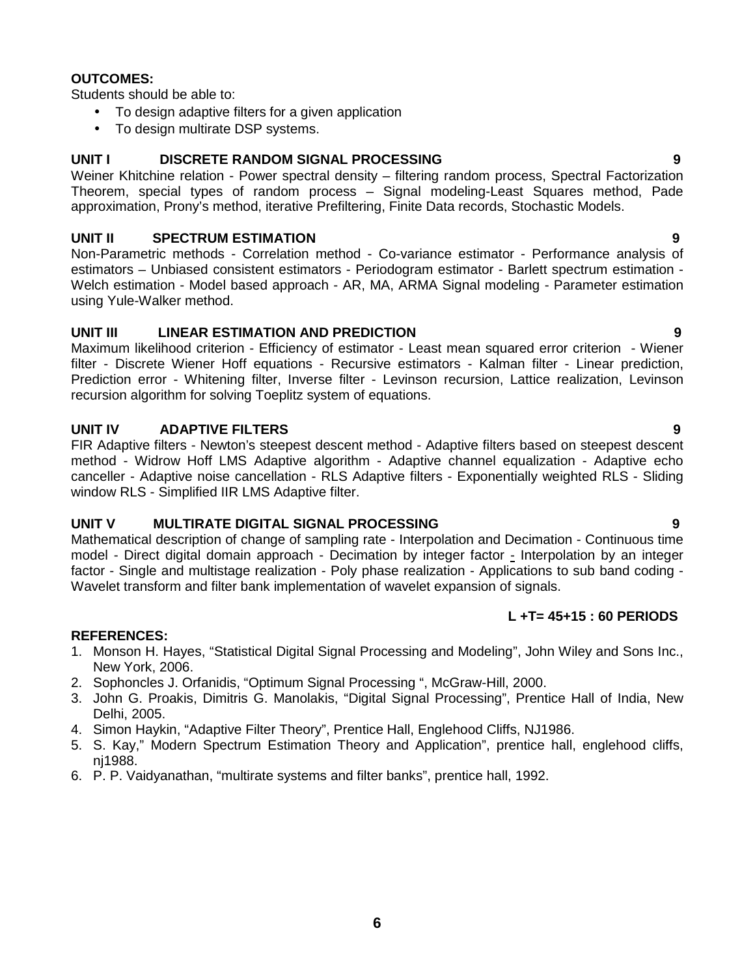#### **OUTCOMES:**

Students should be able to:

- To design adaptive filters for a given application
- To design multirate DSP systems.

#### **UNIT I DISCRETE RANDOM SIGNAL PROCESSING 9**

Weiner Khitchine relation - Power spectral density – filtering random process, Spectral Factorization Theorem, special types of random process – Signal modeling-Least Squares method, Pade approximation, Prony's method, iterative Prefiltering, Finite Data records, Stochastic Models.

### **UNIT II SPECTRUM ESTIMATION 9**

Non-Parametric methods - Correlation method - Co-variance estimator - Performance analysis of estimators – Unbiased consistent estimators - Periodogram estimator - Barlett spectrum estimation - Welch estimation - Model based approach - AR, MA, ARMA Signal modeling - Parameter estimation using Yule-Walker method.

### **UNIT III LINEAR ESTIMATION AND PREDICTION 9**

Maximum likelihood criterion - Efficiency of estimator - Least mean squared error criterion - Wiener filter - Discrete Wiener Hoff equations - Recursive estimators - Kalman filter - Linear prediction, Prediction error - Whitening filter, Inverse filter - Levinson recursion, Lattice realization, Levinson recursion algorithm for solving Toeplitz system of equations.

### **UNIT IV ADAPTIVE FILTERS 9**

FIR Adaptive filters - Newton's steepest descent method - Adaptive filters based on steepest descent method - Widrow Hoff LMS Adaptive algorithm - Adaptive channel equalization - Adaptive echo canceller - Adaptive noise cancellation - RLS Adaptive filters - Exponentially weighted RLS - Sliding window RLS - Simplified IIR LMS Adaptive filter.

#### **UNIT V MULTIRATE DIGITAL SIGNAL PROCESSING 9**

Mathematical description of change of sampling rate - Interpolation and Decimation - Continuous time model - Direct digital domain approach - Decimation by integer factor - Interpolation by an integer factor - Single and multistage realization - Poly phase realization - Applications to sub band coding - Wavelet transform and filter bank implementation of wavelet expansion of signals.

### **L +T= 45+15 : 60 PERIODS**

#### **REFERENCES:**

- 1. Monson H. Hayes, "Statistical Digital Signal Processing and Modeling", John Wiley and Sons Inc., New York, 2006.
- 2. Sophoncles J. Orfanidis, "Optimum Signal Processing ", McGraw-Hill, 2000.
- 3. John G. Proakis, Dimitris G. Manolakis, "Digital Signal Processing", Prentice Hall of India, New Delhi, 2005.
- 4. Simon Haykin, "Adaptive Filter Theory", Prentice Hall, Englehood Cliffs, NJ1986.
- 5. S. Kay," Modern Spectrum Estimation Theory and Application", prentice hall, englehood cliffs, nj1988.
- 6. P. P. Vaidyanathan, "multirate systems and filter banks", prentice hall, 1992.
- 
-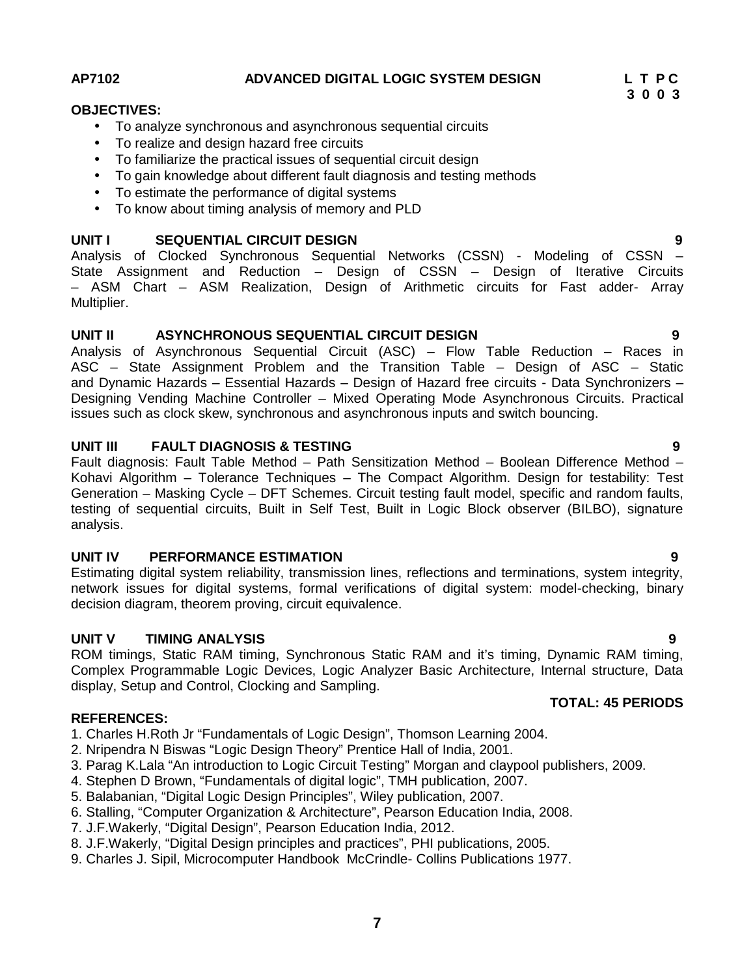#### **AP7102 ADVANCED DIGITAL LOGIC SYSTEM DESIGN L T P C**

**3 0 0 3**

#### **OBJECTIVES:**

- To analyze synchronous and asynchronous sequential circuits
- To realize and design hazard free circuits
- To familiarize the practical issues of sequential circuit design
- To gain knowledge about different fault diagnosis and testing methods
- To estimate the performance of digital systems
- To know about timing analysis of memory and PLD

### **UNIT I SEQUENTIAL CIRCUIT DESIGN 9**

Analysis of Clocked Synchronous Sequential Networks (CSSN) - Modeling of CSSN – State Assignment and Reduction – Design of CSSN – Design of Iterative Circuits – ASM Chart – ASM Realization, Design of Arithmetic circuits for Fast adder- Array Multiplier.

### **UNIT II ASYNCHRONOUS SEQUENTIAL CIRCUIT DESIGN 9**

Analysis of Asynchronous Sequential Circuit (ASC) – Flow Table Reduction – Races in ASC – State Assignment Problem and the Transition Table – Design of ASC – Static and Dynamic Hazards – Essential Hazards – Design of Hazard free circuits - Data Synchronizers – Designing Vending Machine Controller – Mixed Operating Mode Asynchronous Circuits. Practical issues such as clock skew, synchronous and asynchronous inputs and switch bouncing.

### **UNIT III FAULT DIAGNOSIS & TESTING 9**

Fault diagnosis: Fault Table Method – Path Sensitization Method – Boolean Difference Method – Kohavi Algorithm – Tolerance Techniques – The Compact Algorithm. Design for testability: Test Generation – Masking Cycle – DFT Schemes. Circuit testing fault model, specific and random faults, testing of sequential circuits, Built in Self Test, Built in Logic Block observer (BILBO), signature analysis.

#### **UNIT IV PERFORMANCE ESTIMATION 9**

Estimating digital system reliability, transmission lines, reflections and terminations, system integrity, network issues for digital systems, formal verifications of digital system: model-checking, binary decision diagram, theorem proving, circuit equivalence.

### **UNIT V TIMING ANALYSIS 9**

ROM timings, Static RAM timing, Synchronous Static RAM and it's timing, Dynamic RAM timing, Complex Programmable Logic Devices, Logic Analyzer Basic Architecture, Internal structure, Data display, Setup and Control, Clocking and Sampling.

#### **REFERENCES:**

1. Charles H.Roth Jr "Fundamentals of Logic Design", Thomson Learning 2004.

- 2. Nripendra N Biswas "Logic Design Theory" Prentice Hall of India, 2001.
- 3. Parag K.Lala "An introduction to Logic Circuit Testing" Morgan and claypool publishers, 2009.
- 4. Stephen D Brown, "Fundamentals of digital logic", TMH publication, 2007.
- 5. Balabanian, "Digital Logic Design Principles", Wiley publication, 2007.
- 6. Stalling, "Computer Organization & Architecture", Pearson Education India, 2008.
- 7. J.F.Wakerly, "Digital Design", Pearson Education India, 2012.
- 8. J.F.Wakerly, "Digital Design principles and practices", PHI publications, 2005.
- 9. Charles J. Sipil, Microcomputer Handbook McCrindle- Collins Publications 1977.

**TOTAL: 45 PERIODS**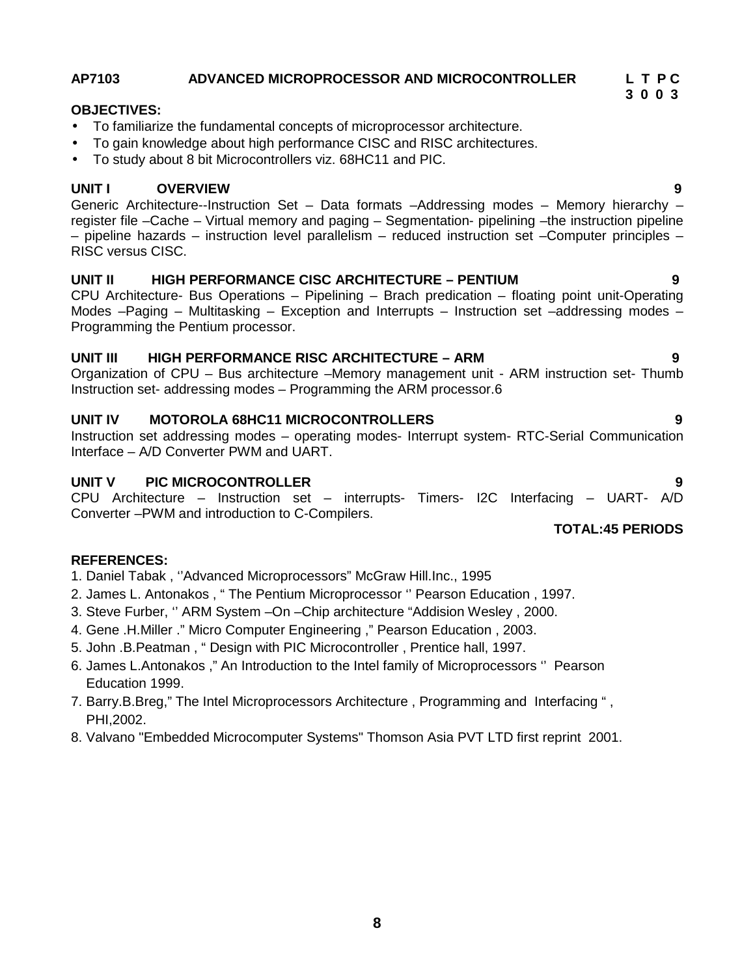### **AP7103 ADVANCED MICROPROCESSOR AND MICROCONTROLLER L T P C**

#### **OBJECTIVES:**

- To familiarize the fundamental concepts of microprocessor architecture.
- To gain knowledge about high performance CISC and RISC architectures.
- To study about 8 bit Microcontrollers viz. 68HC11 and PIC.

### **UNIT I OVERVIEW 9**

Generic Architecture--Instruction Set – Data formats –Addressing modes – Memory hierarchy – register file –Cache – Virtual memory and paging – Segmentation- pipelining –the instruction pipeline – pipeline hazards – instruction level parallelism – reduced instruction set –Computer principles – RISC versus CISC.

#### **UNIT II HIGH PERFORMANCE CISC ARCHITECTURE –PENTIUM 9**

CPU Architecture- Bus Operations – Pipelining – Brach predication – floating point unit-Operating Modes –Paging – Multitasking – Exception and Interrupts – Instruction set –addressing modes – Programming the Pentium processor.

#### **UNIT III HIGH PERFORMANCE RISC ARCHITECTURE – ARM 9**

Organization of CPU – Bus architecture –Memory management unit - ARM instruction set- Thumb Instruction set- addressing modes – Programming the ARM processor.6

#### **UNIT IV MOTOROLA 68HC11 MICROCONTROLLERS 9**

Instruction set addressing modes – operating modes- Interrupt system- RTC-Serial Communication Interface – A/D Converter PWM and UART.

#### **UNIT V PIC MICROCONTROLLER 9**

CPU Architecture – Instruction set – interrupts- Timers- I2C Interfacing – UART- A/D Converter –PWM and introduction to C-Compilers.

### **TOTAL:45 PERIODS**

#### **REFERENCES:**

- 1. Daniel Tabak , ''Advanced Microprocessors" McGraw Hill.Inc., 1995
- 2. James L. Antonakos , " The Pentium Microprocessor '' Pearson Education , 1997.
- 3. Steve Furber, '' ARM System –On –Chip architecture "Addision Wesley , 2000.
- 4. Gene .H.Miller ." Micro Computer Engineering ," Pearson Education , 2003.
- 5. John .B.Peatman , " Design with PIC Microcontroller , Prentice hall, 1997.
- 6. James L.Antonakos ," An Introduction to the Intel family of Microprocessors '' Pearson Education 1999.
- 7. Barry.B.Breg," The Intel Microprocessors Architecture , Programming and Interfacing " , PHI,2002.
- 8. Valvano "Embedded Microcomputer Systems" Thomson Asia PVT LTD first reprint 2001.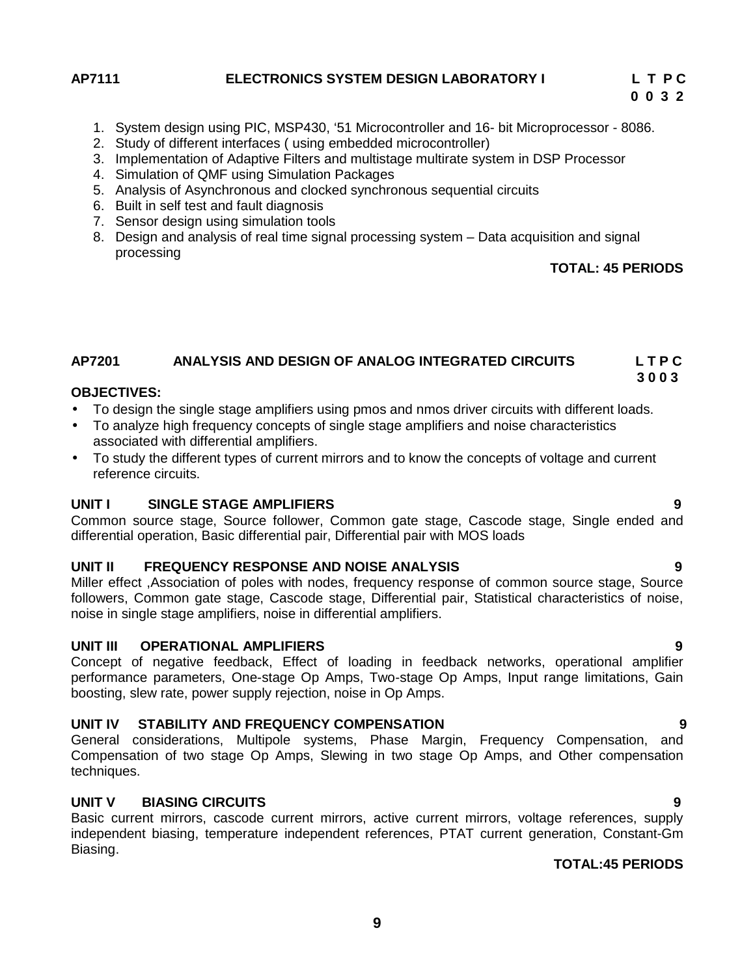#### **AP7111 ELECTRONICS SYSTEM DESIGN LABORATORY I L T P C**

- 1. System design using PIC, MSP430, '51 Microcontroller and 16- bit Microprocessor 8086.
- 2. Study of different interfaces ( using embedded microcontroller)
- 3. Implementation of Adaptive Filters and multistage multirate system in DSP Processor
- 4. Simulation of QMF using Simulation Packages
- 5. Analysis of Asynchronous and clocked synchronous sequential circuits
- 6. Built in self test and fault diagnosis
- 7. Sensor design using simulation tools
- 8. Design and analysis of real time signal processing system Data acquisition and signal processing

#### **TOTAL: 45 PERIODS**

#### **AP7201 ANALYSIS AND DESIGN OF ANALOG INTEGRATED CIRCUITS L T P C 3 0 0 3**

#### **OBJECTIVES:**

- To design the single stage amplifiers using pmos and nmos driver circuits with different loads.
- To analyze high frequency concepts of single stage amplifiers and noise characteristics associated with differential amplifiers.
- To study the different types of current mirrors and to know the concepts of voltage and current reference circuits.

#### **UNIT I SINGLE STAGE AMPLIFIERS 9**

Common source stage, Source follower, Common gate stage, Cascode stage, Single ended and differential operation, Basic differential pair, Differential pair with MOS loads

#### **UNIT II FREQUENCY RESPONSE AND NOISE ANALYSIS 9**

Miller effect ,Association of poles with nodes, frequency response of common source stage, Source followers, Common gate stage, Cascode stage, Differential pair, Statistical characteristics of noise, noise in single stage amplifiers, noise in differential amplifiers.

#### **UNIT III OPERATIONAL AMPLIFIERS 9**

Concept of negative feedback, Effect of loading in feedback networks, operational amplifier performance parameters, One-stage Op Amps, Two-stage Op Amps, Input range limitations, Gain boosting, slew rate, power supply rejection, noise in Op Amps.

#### **UNIT IV STABILITY AND FREQUENCY COMPENSATION 9**

General considerations, Multipole systems, Phase Margin, Frequency Compensation, and Compensation of two stage Op Amps, Slewing in two stage Op Amps, and Other compensation techniques.

### **UNIT V BIASING CIRCUITS 9**

Basic current mirrors, cascode current mirrors, active current mirrors, voltage references, supply independent biasing, temperature independent references, PTAT current generation, Constant-Gm Biasing.

#### **TOTAL:45 PERIODS**

#### **9**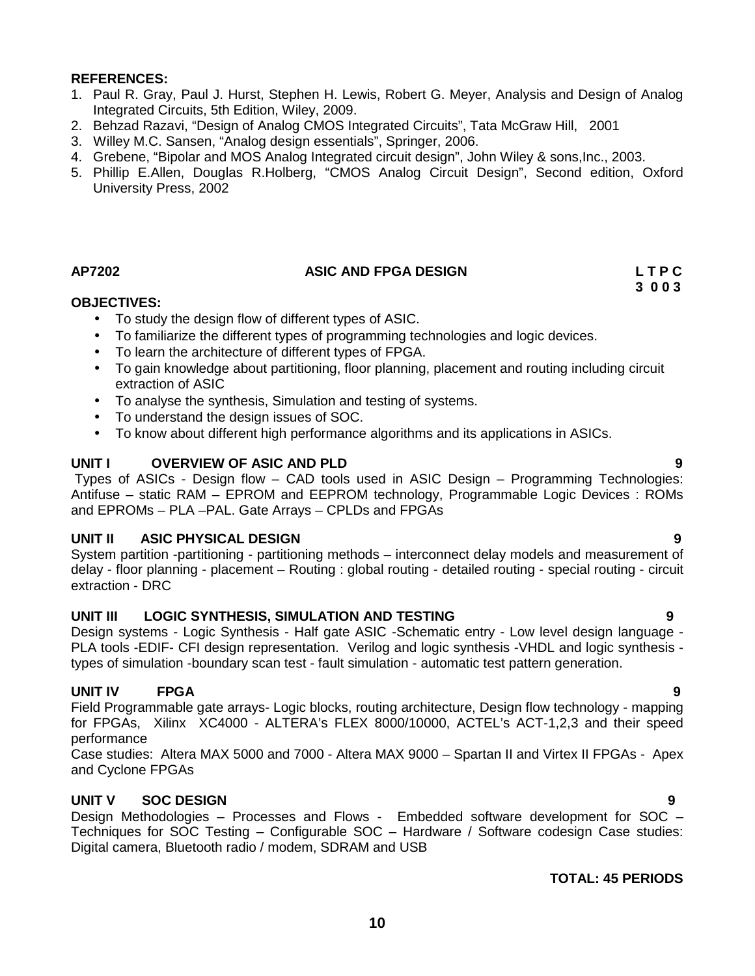- 1. Paul R. Gray, Paul J. Hurst, Stephen H. Lewis, Robert G. Meyer, Analysis and Design of Analog Integrated Circuits, 5th Edition, Wiley, 2009.
- 2. Behzad Razavi, "Design of Analog CMOS Integrated Circuits", Tata McGraw Hill, 2001
- 3. Willey M.C. Sansen, "Analog design essentials", Springer, 2006.
- 4. Grebene, "Bipolar and MOS Analog Integrated circuit design", John Wiley & sons,Inc., 2003.
- 5. Phillip E.Allen, Douglas R.Holberg, "CMOS Analog Circuit Design", Second edition, Oxford University Press, 2002

### **AP7202 ASIC AND FPGA DESIGN L T P C**

#### **OBJECTIVES:**

- To study the design flow of different types of ASIC.
- To familiarize the different types of programming technologies and logic devices.
- To learn the architecture of different types of FPGA.
- To gain knowledge about partitioning, floor planning, placement and routing including circuit extraction of ASIC
- To analyse the synthesis, Simulation and testing of systems.
- To understand the design issues of SOC.
- To know about different high performance algorithms and its applications in ASICs.

#### **UNIT I OVERVIEW OF ASIC AND PLD 9**

Types of ASICs - Design flow – CAD tools used in ASIC Design – Programming Technologies: Antifuse – static RAM – EPROM and EEPROM technology, Programmable Logic Devices : ROMs and EPROMs – PLA –PAL. Gate Arrays – CPLDs and FPGAs

#### **UNIT II ASIC PHYSICAL DESIGN 9**

System partition -partitioning - partitioning methods – interconnect delay models and measurement of delay - floor planning - placement – Routing : global routing - detailed routing - special routing - circuit extraction - DRC

### **UNIT III LOGIC SYNTHESIS, SIMULATION AND TESTING 9**

Design systems - Logic Synthesis - Half gate ASIC -Schematic entry - Low level design language - PLA tools -EDIF- CFI design representation. Verilog and logic synthesis -VHDL and logic synthesis types of simulation -boundary scan test - fault simulation - automatic test pattern generation.

### **UNIT IV FPGA 9**

Field Programmable gate arrays- Logic blocks, routing architecture, Design flow technology - mapping for FPGAs, Xilinx XC4000 - ALTERA's FLEX 8000/10000, ACTEL's ACT-1,2,3 and their speed performance

Case studies: Altera MAX 5000 and 7000 - Altera MAX 9000 – Spartan II and Virtex II FPGAs - Apex and Cyclone FPGAs

#### **UNIT V SOC DESIGN 9**

Design Methodologies – Processes and Flows - Embedded software development for SOC – Techniques for SOC Testing – Configurable SOC – Hardware / Software codesign Case studies: Digital camera, Bluetooth radio / modem, SDRAM and USB

#### **TOTAL: 45 PERIODS**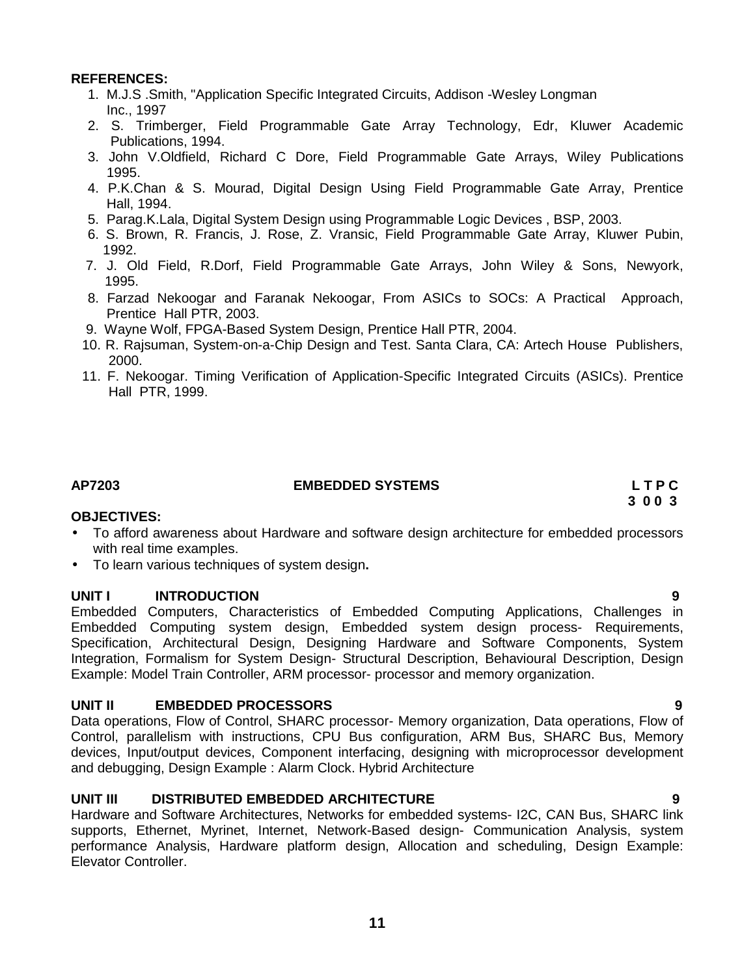- 1. M.J.S .Smith, "Application Specific Integrated Circuits, Addison -Wesley Longman Inc., 1997
- 2. S. Trimberger, Field Programmable Gate Array Technology, Edr, Kluwer Academic Publications, 1994.
- 3. John V.Oldfield, Richard C Dore, Field Programmable Gate Arrays, Wiley Publications 1995.
- 4. P.K.Chan & S. Mourad, Digital Design Using Field Programmable Gate Array, Prentice Hall, 1994.
- 5. Parag.K.Lala, Digital System Design using Programmable Logic Devices , BSP, 2003.
- 6. S. Brown, R. Francis, J. Rose, Z. Vransic, Field Programmable Gate Array, Kluwer Pubin, 1992.
- 7. J. Old Field, R.Dorf, Field Programmable Gate Arrays, John Wiley & Sons, Newyork, 1995.
- 8. Farzad Nekoogar and Faranak Nekoogar, From ASICs to SOCs: A Practical Approach, Prentice Hall PTR, 2003.
- 9. Wayne Wolf, FPGA-Based System Design, Prentice Hall PTR, 2004.
- 10. R. Rajsuman, System-on-a-Chip Design and Test. Santa Clara, CA: Artech House Publishers, 2000.
- 11. F. Nekoogar. Timing Verification of Application-Specific Integrated Circuits (ASICs). Prentice Hall PTR, 1999.

#### **AP7203 EMBEDDED SYSTEMS L T P C**

#### **OBJECTIVES:**

- To afford awareness about Hardware and software design architecture for embedded processors with real time examples.
- To learn various techniques of system design**.**

#### **UNIT I INTRODUCTION 9**

Embedded Computers, Characteristics of Embedded Computing Applications, Challenges in Embedded Computing system design, Embedded system design process- Requirements, Specification, Architectural Design, Designing Hardware and Software Components, System Integration, Formalism for System Design- Structural Description, Behavioural Description, Design Example: Model Train Controller, ARM processor- processor and memory organization.

#### **UNIT II EMBEDDED PROCESSORS 9**

Data operations, Flow of Control, SHARC processor- Memory organization, Data operations, Flow of Control, parallelism with instructions, CPU Bus configuration, ARM Bus, SHARC Bus, Memory devices, Input/output devices, Component interfacing, designing with microprocessor development and debugging, Design Example : Alarm Clock. Hybrid Architecture

#### **UNIT III DISTRIBUTED EMBEDDED ARCHITECTURE 9**

Hardware and Software Architectures, Networks for embedded systems- I2C, CAN Bus, SHARC link supports, Ethernet, Myrinet, Internet, Network-Based design- Communication Analysis, system performance Analysis, Hardware platform design, Allocation and scheduling, Design Example: Elevator Controller.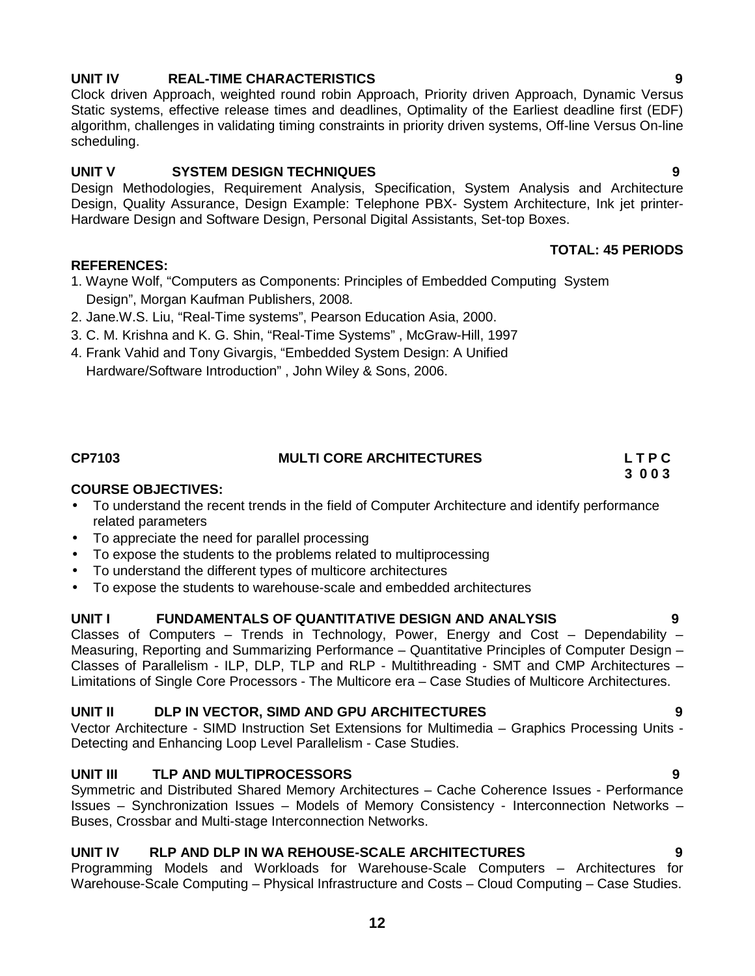# **UNIT IV REAL-TIME CHARACTERISTICS 9**

Clock driven Approach, weighted round robin Approach, Priority driven Approach, Dynamic Versus Static systems, effective release times and deadlines, Optimality of the Earliest deadline first (EDF) algorithm, challenges in validating timing constraints in priority driven systems, Off-line Versus On-line scheduling.

### **UNIT V SYSTEM DESIGN TECHNIQUES 9**

Design Methodologies, Requirement Analysis, Specification, System Analysis and Architecture Design, Quality Assurance, Design Example: Telephone PBX- System Architecture, Ink jet printer- Hardware Design and Software Design, Personal Digital Assistants, Set-top Boxes.

### **REFERENCES:**

- 1. Wayne Wolf, "Computers as Components: Principles of Embedded Computing System Design", Morgan Kaufman Publishers, 2008.
- 2. Jane.W.S. Liu, "Real-Time systems", Pearson Education Asia, 2000.
- 3. C. M. Krishna and K. G. Shin, "Real-Time Systems" , McGraw-Hill, 1997
- 4. Frank Vahid and Tony Givargis, "Embedded System Design: A Unified Hardware/Software Introduction" , John Wiley & Sons, 2006.

#### **CP7103 MULTI CORE ARCHITECTURES L T P C**

#### **COURSE OBJECTIVES:**

- To understand the recent trends in the field of Computer Architecture and identify performance related parameters
- To appreciate the need for parallel processing
- To expose the students to the problems related to multiprocessing
- To understand the different types of multicore architectures
- To expose the students to warehouse-scale and embedded architectures

#### **UNIT I FUNDAMENTALS OF QUANTITATIVE DESIGN AND ANALYSIS 9**

Classes of Computers – Trends in Technology, Power, Energy and Cost – Dependability – Measuring, Reporting and Summarizing Performance – Quantitative Principles of Computer Design – Classes of Parallelism - ILP, DLP, TLP and RLP - Multithreading - SMT and CMP Architectures – Limitations of Single Core Processors - The Multicore era – Case Studies of Multicore Architectures.

#### **UNIT II DLP IN VECTOR, SIMD AND GPU ARCHITECTURES 9**

Vector Architecture - SIMD Instruction Set Extensions for Multimedia – Graphics Processing Units - Detecting and Enhancing Loop Level Parallelism - Case Studies.

### **UNIT III TLP AND MULTIPROCESSORS 9**

Symmetric and Distributed Shared Memory Architectures – Cache Coherence Issues - Performance Issues – Synchronization Issues – Models of Memory Consistency - Interconnection Networks – Buses, Crossbar and Multi-stage Interconnection Networks.

### **UNIT IV RLP AND DLP IN WA REHOUSE-SCALE ARCHITECTURES 9**

Programming Models and Workloads for Warehouse-Scale Computers – Architectures for Warehouse-Scale Computing – Physical Infrastructure and Costs – Cloud Computing – Case Studies.

# **TOTAL: 45 PERIODS**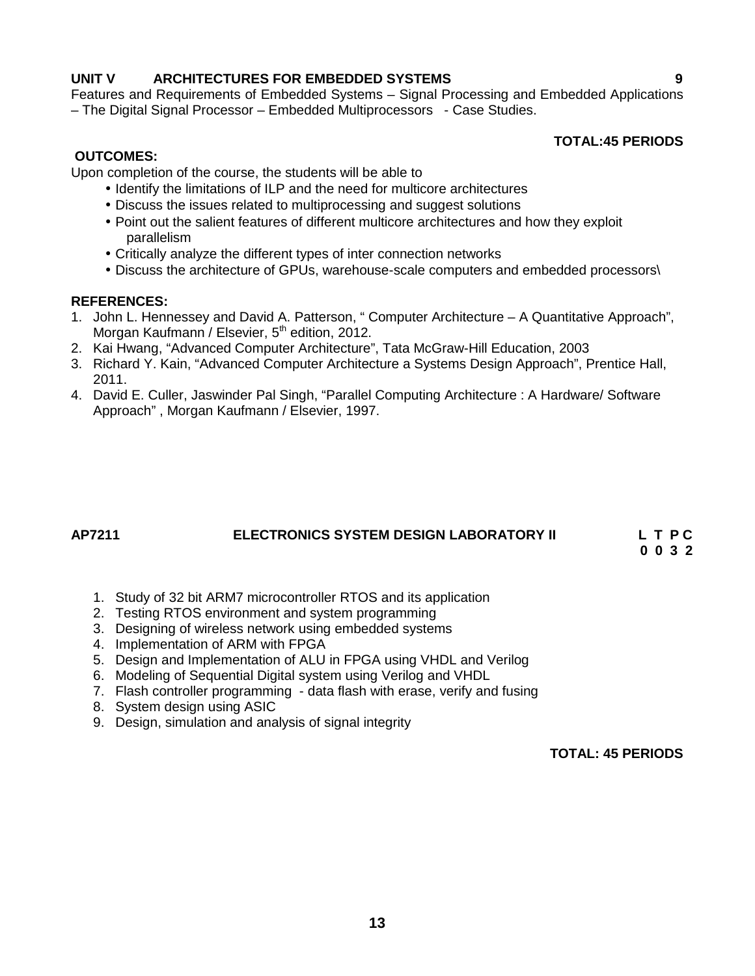### **UNIT V ARCHITECTURES FOR EMBEDDED SYSTEMS 9**

Features and Requirements of Embedded Systems – Signal Processing and Embedded Applications – The Digital Signal Processor – Embedded Multiprocessors - Case Studies.

#### **TOTAL:45 PERIODS**

#### **OUTCOMES:**

Upon completion of the course, the students will be able to

- Identify the limitations of ILP and the need for multicore architectures
- Discuss the issues related to multiprocessing and suggest solutions
- Point out the salient features of different multicore architectures and how they exploit parallelism
- Critically analyze the different types of inter connection networks
- Discuss the architecture of GPUs, warehouse-scale computers and embedded processors\

#### **REFERENCES:**

- 1. John L. Hennessey and David A. Patterson, " Computer Architecture A Quantitative Approach", Morgan Kaufmann / Elsevier, 5<sup>th</sup> edition, 2012.
- 2. Kai Hwang, "Advanced Computer Architecture", Tata McGraw-Hill Education, 2003
- 3. Richard Y. Kain, "Advanced Computer Architecture a Systems Design Approach", Prentice Hall, 2011.
- 4. David E. Culler, Jaswinder Pal Singh, "Parallel Computing Architecture : A Hardware/ Software Approach" , Morgan Kaufmann / Elsevier, 1997.

# **AP7211 ELECTRONICS SYSTEM DESIGN LABORATORY II L T P C**

**0 0 3 2**

- 1. Study of 32 bit ARM7 microcontroller RTOS and its application
- 2. Testing RTOS environment and system programming
- 3. Designing of wireless network using embedded systems
- 4. Implementation of ARM with FPGA
- 5. Design and Implementation of ALU in FPGA using VHDL and Verilog
- 6. Modeling of Sequential Digital system using Verilog and VHDL
- 7. Flash controller programming data flash with erase, verify and fusing
- 8. System design using ASIC
- 9. Design, simulation and analysis of signal integrity

### **TOTAL: 45 PERIODS**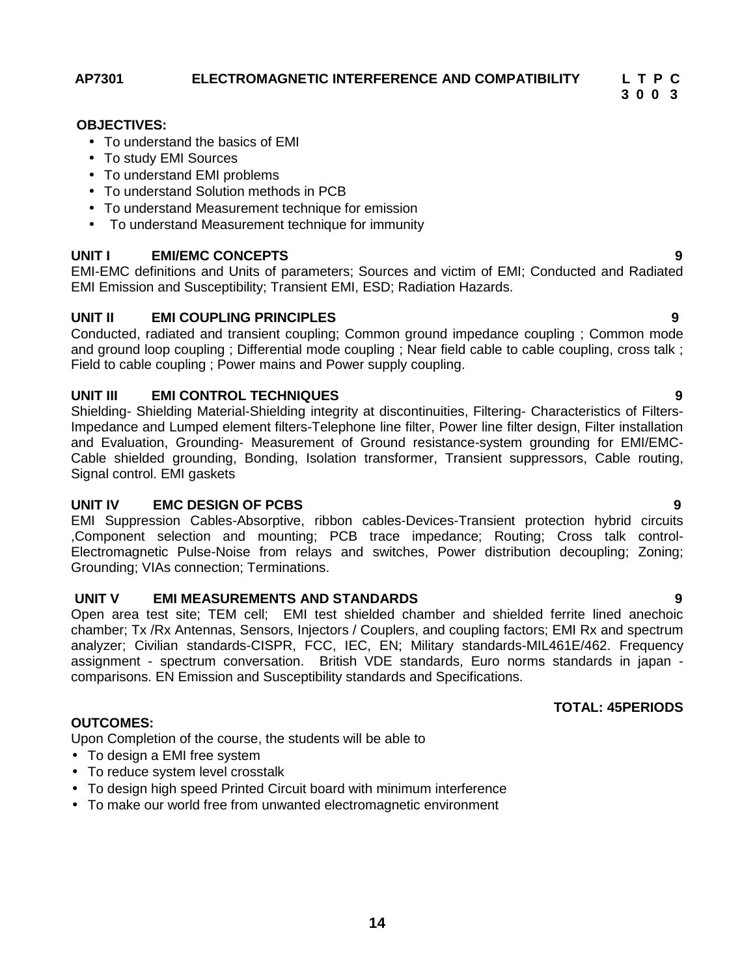**AP7301 ELECTROMAGNETIC INTERFERENCE AND COMPATIBILITY L T P C**

**3 0 0 3**

#### **OBJECTIVES:**

- To understand the basics of EMI
- To study EMI Sources
- To understand EMI problems
- To understand Solution methods in PCB
- To understand Measurement technique for emission
- To understand Measurement technique for immunity

### **UNIT I EMI/EMC CONCEPTS 9**

EMI-EMC definitions and Units of parameters; Sources and victim of EMI; Conducted and Radiated EMI Emission and Susceptibility; Transient EMI, ESD; Radiation Hazards.

### **UNIT II EMI COUPLING PRINCIPLES 9**

Conducted, radiated and transient coupling; Common ground impedance coupling ; Common mode and ground loop coupling ; Differential mode coupling ; Near field cable to cable coupling, cross talk ; Field to cable coupling ; Power mains and Power supply coupling.

### **UNIT III EMI CONTROL TECHNIQUES 9**

Shielding- Shielding Material-Shielding integrity at discontinuities, Filtering- Characteristics of Filters-Impedance and Lumped element filters-Telephone line filter, Power line filter design, Filter installation and Evaluation, Grounding- Measurement of Ground resistance-system grounding for EMI/EMC- Cable shielded grounding, Bonding, Isolation transformer, Transient suppressors, Cable routing, Signal control. EMI gaskets

#### **UNIT IV EMC DESIGN OF PCBS 9**

EMI Suppression Cables-Absorptive, ribbon cables-Devices-Transient protection hybrid circuits ,Component selection and mounting; PCB trace impedance; Routing; Cross talk control- Electromagnetic Pulse-Noise from relays and switches, Power distribution decoupling; Zoning; Grounding; VIAs connection; Terminations.

#### **UNIT V EMI MEASUREMENTS AND STANDARDS 9**

Open area test site; TEM cell; EMI test shielded chamber and shielded ferrite lined anechoic chamber; Tx /Rx Antennas, Sensors, Injectors / Couplers, and coupling factors; EMI Rx and spectrum analyzer; Civilian standards-CISPR, FCC, IEC, EN; Military standards-MIL461E/462. Frequency assignment - spectrum conversation. British VDE standards, Euro norms standards in japan comparisons. EN Emission and Susceptibility standards and Specifications.

Upon Completion of the course, the students will be able to

• To design a EMI free system

**OUTCOMES:**

- To reduce system level crosstalk
- To design high speed Printed Circuit board with minimum interference
- To make our world free from unwanted electromagnetic environment

#### **TOTAL: 45PERIODS**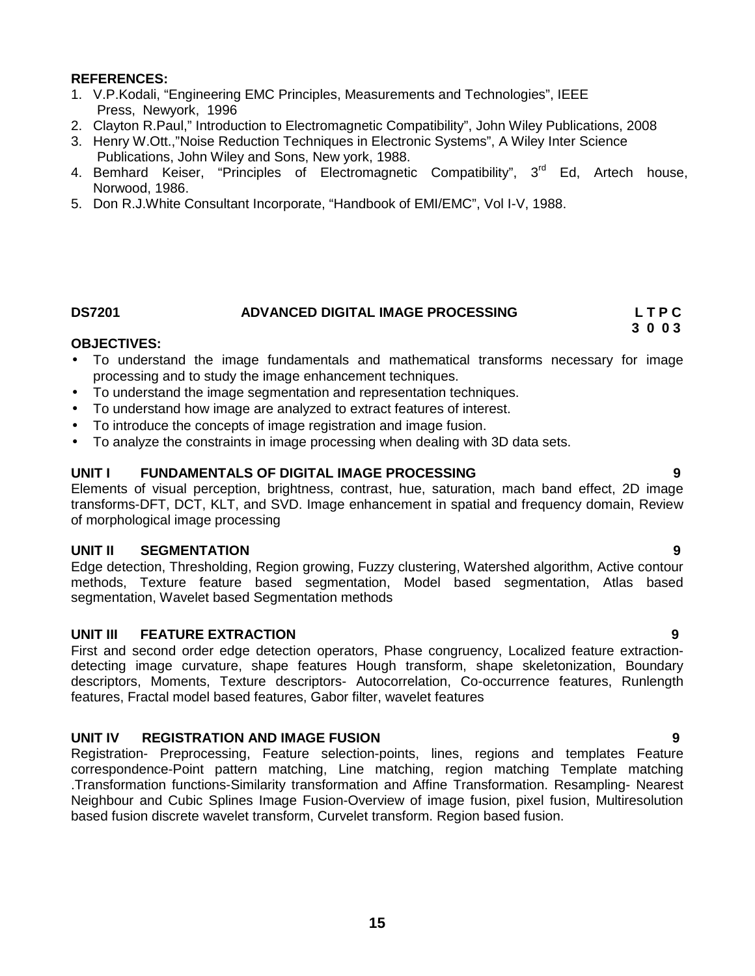- 1. V.P.Kodali, "Engineering EMC Principles, Measurements and Technologies", IEEE Press, Newyork, 1996
- 2. Clayton R.Paul," Introduction to Electromagnetic Compatibility", John Wiley Publications, 2008
- 3. Henry W.Ott.,"Noise Reduction Techniques in Electronic Systems", A Wiley Inter Science Publications, John Wiley and Sons, New york, 1988.
- 4. Bemhard Keiser, "Principles of Electromagnetic Compatibility", 3<sup>rd</sup> Ed, Artech house, Norwood, 1986.
- 5. Don R.J.White Consultant Incorporate, "Handbook of EMI/EMC", Vol I-V, 1988.

#### **DS7201 ADVANCED DIGITAL IMAGE PROCESSING L T P C 3 0 0 3**

#### **OBJECTIVES:**

- To understand the image fundamentals and mathematical transforms necessary for image processing and to study the image enhancement techniques.
- To understand the image segmentation and representation techniques.
- To understand how image are analyzed to extract features of interest.
- To introduce the concepts of image registration and image fusion.
- To analyze the constraints in image processing when dealing with 3D data sets.

#### **UNIT I FUNDAMENTALS OF DIGITAL IMAGE PROCESSING 9**

Elements of visual perception, brightness, contrast, hue, saturation, mach band effect, 2D image transforms-DFT, DCT, KLT, and SVD. Image enhancement in spatial and frequency domain, Review of morphological image processing

#### **UNIT II SEGMENTATION 9**

Edge detection, Thresholding, Region growing, Fuzzy clustering, Watershed algorithm, Active contour methods, Texture feature based segmentation, Model based segmentation, Atlas based segmentation, Wavelet based Segmentation methods

#### **UNIT III FEATURE EXTRACTION 9**

First and second order edge detection operators, Phase congruency, Localized feature extraction detecting image curvature, shape features Hough transform, shape skeletonization, Boundary descriptors, Moments, Texture descriptors- Autocorrelation, Co-occurrence features, Runlength features, Fractal model based features, Gabor filter, wavelet features

#### **UNIT IV REGISTRATION AND IMAGE FUSION 9**

Registration- Preprocessing, Feature selection-points, lines, regions and templates Feature correspondence-Point pattern matching, Line matching, region matching Template matching .Transformation functions-Similarity transformation and Affine Transformation. Resampling- Nearest Neighbour and Cubic Splines Image Fusion-Overview of image fusion, pixel fusion, Multiresolution based fusion discrete wavelet transform, Curvelet transform. Region based fusion.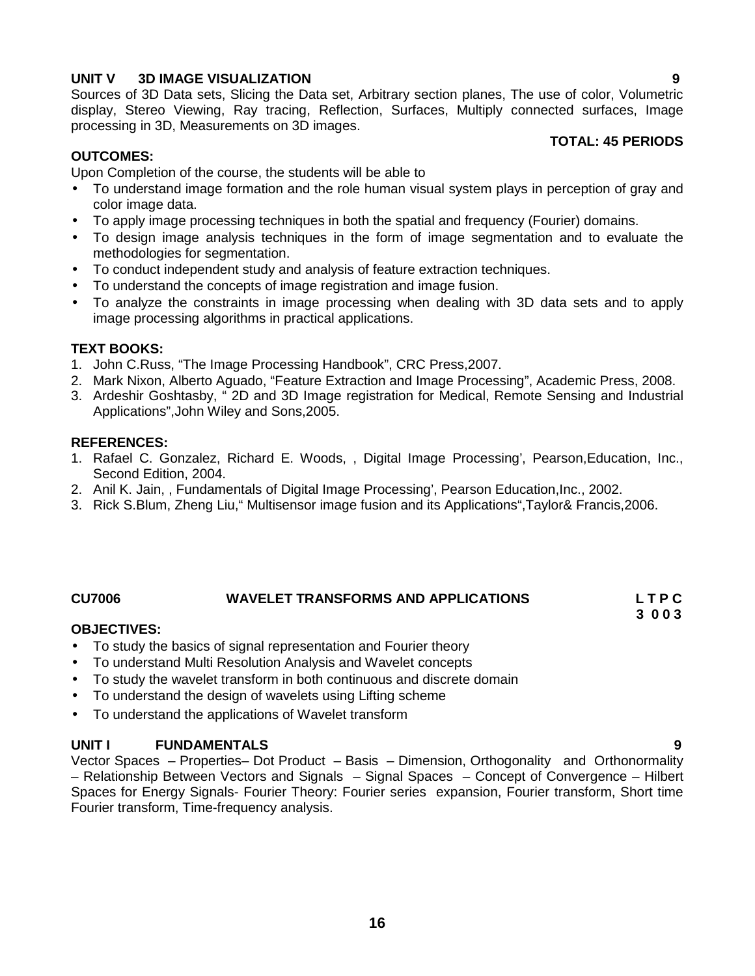### **UNIT V 3D IMAGE VISUALIZATION 9**

Sources of 3D Data sets, Slicing the Data set, Arbitrary section planes, The use of color, Volumetric display, Stereo Viewing, Ray tracing, Reflection, Surfaces, Multiply connected surfaces, Image processing in 3D, Measurements on 3D images.

#### **TOTAL: 45 PERIODS**

### **OUTCOMES:**

Upon Completion of the course, the students will be able to

- To understand image formation and the role human visual system plays in perception of gray and color image data.
- To apply image processing techniques in both the spatial and frequency (Fourier) domains.
- To design image analysis techniques in the form of image segmentation and to evaluate the methodologies for segmentation.
- To conduct independent study and analysis of feature extraction techniques.
- To understand the concepts of image registration and image fusion.
- To analyze the constraints in image processing when dealing with 3D data sets and to apply image processing algorithms in practical applications.

#### **TEXT BOOKS:**

- 1. John C.Russ, "The Image Processing Handbook", CRC Press,2007.
- 2. Mark Nixon, Alberto Aguado, "Feature Extraction and Image Processing", Academic Press, 2008.
- 3. Ardeshir Goshtasby, " 2D and 3D Image registration for Medical, Remote Sensing and Industrial Applications",John Wiley and Sons,2005.

#### **REFERENCES:**

- 1. Rafael C. Gonzalez, Richard E. Woods, , Digital Image Processing', Pearson,Education, Inc., Second Edition, 2004.
- 2. Anil K. Jain, , Fundamentals of Digital Image Processing', Pearson Education,Inc., 2002.
- 3. Rick S.Blum, Zheng Liu," Multisensor image fusion and its Applications",Taylor& Francis,2006.

### **CU7006 WAVELET TRANSFORMS AND APPLICATIONS L T P C**

#### **OBJECTIVES:**

- To study the basics of signal representation and Fourier theory
- To understand Multi Resolution Analysis and Wavelet concepts
- To study the wavelet transform in both continuous and discrete domain
- To understand the design of wavelets using Lifting scheme
- To understand the applications of Wavelet transform

#### **UNIT I FUNDAMENTALS 9**

Vector Spaces – Properties– Dot Product – Basis – Dimension, Orthogonality and Orthonormality – Relationship Between Vectors and Signals – Signal Spaces – Concept of Convergence – Hilbert Spaces for Energy Signals- Fourier Theory: Fourier series expansion, Fourier transform, Short time Fourier transform, Time-frequency analysis.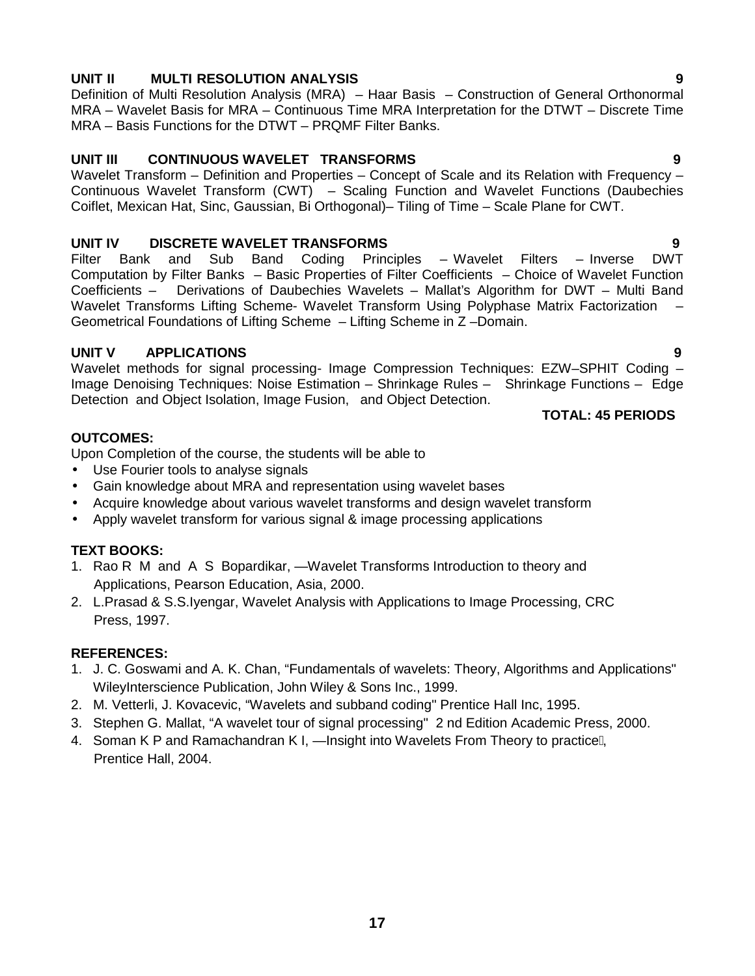### **UNIT II MULTI RESOLUTION ANALYSIS 9**

Definition of Multi Resolution Analysis (MRA) – Haar Basis – Construction of General Orthonormal MRA – Wavelet Basis for MRA – Continuous Time MRA Interpretation for the DTWT – Discrete Time MRA – Basis Functions for the DTWT – PRQMF Filter Banks.

### **UNIT III CONTINUOUS WAVELET TRANSFORMS 9**

Wavelet Transform – Definition and Properties – Concept of Scale and its Relation with Frequency – Continuous Wavelet Transform (CWT) – Scaling Function and Wavelet Functions (Daubechies Coiflet, Mexican Hat, Sinc, Gaussian, Bi Orthogonal)– Tiling of Time – Scale Plane for CWT.

**UNIT IV DISCRETE WAVELET TRANSFORMS 9** Sub Band Coding Principles – Wavelet Filters – Inverse Computation by Filter Banks – Basic Properties of Filter Coefficients – Choice of Wavelet Function Coefficients – Derivations of Daubechies Wavelets – Mallat's Algorithm for DWT – Multi Band Wavelet Transforms Lifting Scheme- Wavelet Transform Using Polyphase Matrix Factorization -Geometrical Foundations of Lifting Scheme – Lifting Scheme in Z –Domain.

### **UNIT V APPLICATIONS 9**

Wavelet methods for signal processing- Image Compression Techniques: EZW–SPHIT Coding – Image Denoising Techniques: Noise Estimation – Shrinkage Rules – Shrinkage Functions – Edge Detection and Object Isolation, Image Fusion, and Object Detection.

#### **TOTAL: 45 PERIODS**

### **OUTCOMES:**

Upon Completion of the course, the students will be able to

- Use Fourier tools to analyse signals
- Gain knowledge about MRA and representation using wavelet bases
- Acquire knowledge about various wavelet transforms and design wavelet transform
- Apply wavelet transform for various signal & image processing applications

### **TEXT BOOKS:**

- 1. Rao R M and A S Bopardikar, Wavelet Transforms Introduction to theory and Applications, Pearson Education, Asia, 2000.
- 2. L.Prasad & S.S.Iyengar, Wavelet Analysis with Applications to Image Processing, CRC Press, 1997.

#### **REFERENCES:**

- 1. J. C. Goswami and A. K. Chan, "Fundamentals of wavelets: Theory, Algorithms and Applications" WileyInterscience Publication, John Wiley & Sons Inc., 1999.
- 2. M. Vetterli, J. Kovacevic, "Wavelets and subband coding" Prentice Hall Inc, 1995.
- 3. Stephen G. Mallat, "A wavelet tour of signal processing" 2 nd Edition Academic Press, 2000.
- 4. Soman K P and Ramachandran K I, Insight into Wavelets From Theory to practice, Prentice Hall, 2004.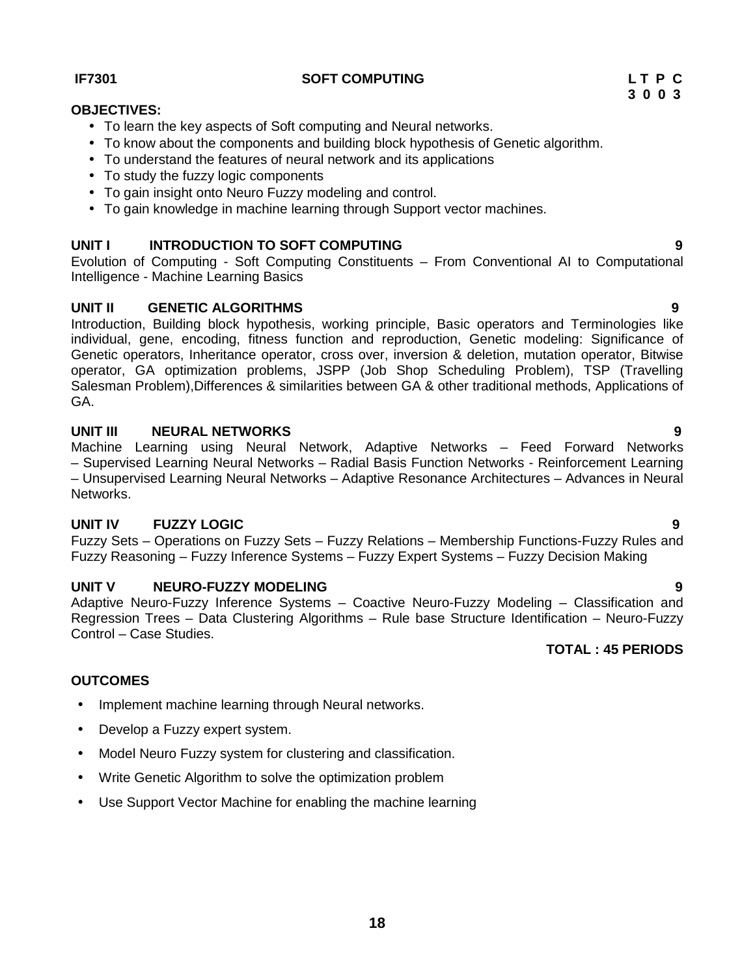**18**

#### **IF7301 SOFT COMPUTING L T P C**

### **OBJECTIVES:**

- To learn the key aspects of Soft computing and Neural networks.
- To know about the components and building block hypothesis of Genetic algorithm.
- To understand the features of neural network and its applications
- To study the fuzzy logic components
- To gain insight onto Neuro Fuzzy modeling and control.
- To gain knowledge in machine learning through Support vector machines.

### **UNIT I INTRODUCTION TO SOFT COMPUTING 9**

Evolution of Computing - Soft Computing Constituents – From Conventional AI to Computational Intelligence - Machine Learning Basics

### **UNIT II GENETIC ALGORITHMS 9**

Introduction, Building block hypothesis, working principle, Basic operators and Terminologies like individual, gene, encoding, fitness function and reproduction, Genetic modeling: Significance of Genetic operators, Inheritance operator, cross over, inversion & deletion, mutation operator, Bitwise operator, GA optimization problems, JSPP (Job Shop Scheduling Problem), TSP (Travelling Salesman Problem),Differences & similarities between GA & other traditional methods, Applications of GA.

### **UNIT III NEURAL NETWORKS 9**

Machine Learning using Neural Network, Adaptive Networks – Feed Forward Networks – Supervised Learning Neural Networks – Radial Basis Function Networks - Reinforcement Learning – Unsupervised Learning Neural Networks – Adaptive Resonance Architectures – Advances in Neural Networks.

### **UNIT IV FUZZY LOGIC 9**

Fuzzy Sets – Operations on Fuzzy Sets – Fuzzy Relations – Membership Functions-Fuzzy Rules and Fuzzy Reasoning – Fuzzy Inference Systems – Fuzzy Expert Systems – Fuzzy Decision Making

### **UNIT V NEURO-FUZZY MODELING 9**

Adaptive Neuro-Fuzzy Inference Systems – Coactive Neuro-Fuzzy Modeling – Classification and Regression Trees – Data Clustering Algorithms – Rule base Structure Identification – Neuro-Fuzzy Control – Case Studies.

# **TOTAL : 45 PERIODS**

### **OUTCOMES**

- Implement machine learning through Neural networks.
- Develop a Fuzzy expert system.
- Model Neuro Fuzzy system for clustering and classification.
- Write Genetic Algorithm to solve the optimization problem
- Use Support Vector Machine for enabling the machine learning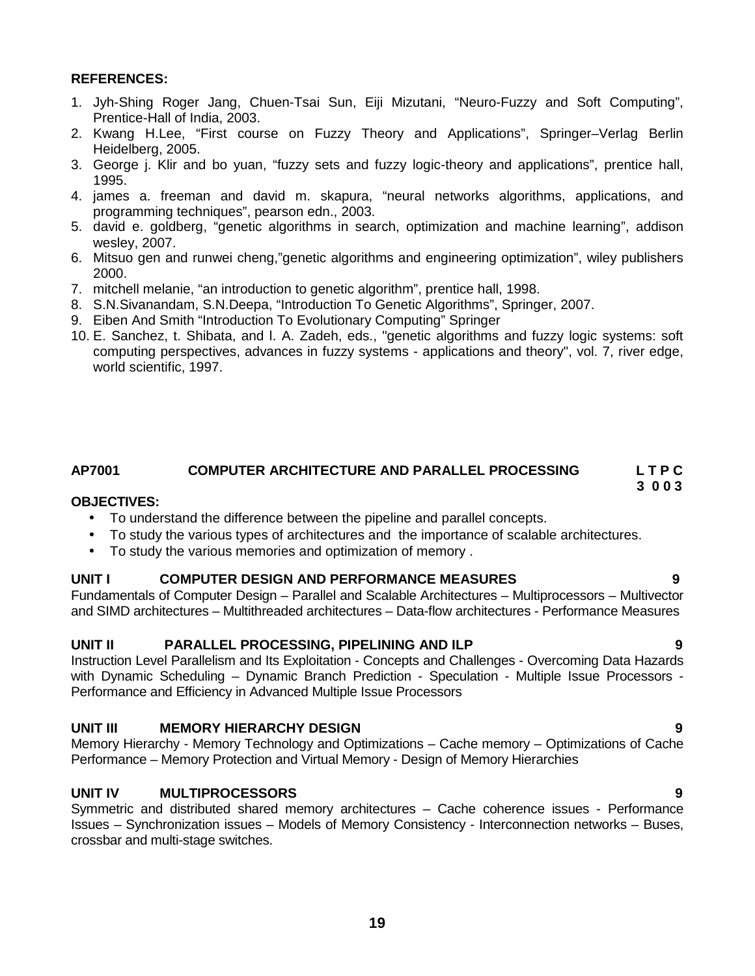- 1. Jyh-Shing Roger Jang, Chuen-Tsai Sun, Eiji Mizutani, "Neuro-Fuzzy and Soft Computing", Prentice-Hall of India, 2003.
- 2. Kwang H.Lee, "First course on Fuzzy Theory and Applications", Springer–Verlag Berlin Heidelberg, 2005.
- 3. George j. Klir and bo yuan, "fuzzy sets and fuzzy logic-theory and applications", prentice hall, 1995.
- 4. james a. freeman and david m. skapura, "neural networks algorithms, applications, and programming techniques", pearson edn., 2003.
- 5. david e. goldberg, "genetic algorithms in search, optimization and machine learning", addison wesley, 2007.
- 6. Mitsuo gen and runwei cheng,"genetic algorithms and engineering optimization", wiley publishers 2000.
- 7. mitchell melanie, "an introduction to genetic algorithm", prentice hall, 1998.
- 8. S.N.Sivanandam, S.N.Deepa, "Introduction To Genetic Algorithms", Springer, 2007.
- 9. Eiben And Smith "Introduction To Evolutionary Computing" Springer
- 10. E. Sanchez, t. Shibata, and l. A. Zadeh, eds., "genetic algorithms and fuzzy logic systems: soft computing perspectives, advances in fuzzy systems - applications and theory", vol. 7, river edge, world scientific, 1997.

#### **AP7001 COMPUTER ARCHITECTURE AND PARALLEL PROCESSING L T P C 3 0 0 3**

#### **OBJECTIVES:**

- To understand the difference between the pipeline and parallel concepts.
- To study the various types of architectures and the importance of scalable architectures.
- To study the various memories and optimization of memory .

#### **UNIT I COMPUTER DESIGN AND PERFORMANCE MEASURES 9**

Fundamentals of Computer Design – Parallel and Scalable Architectures – Multiprocessors – Multivector and SIMD architectures – Multithreaded architectures – Data-flow architectures - Performance Measures

#### **UNIT II PARALLEL PROCESSING, PIPELINING AND ILP 9**

Instruction Level Parallelism and Its Exploitation - Concepts and Challenges - Overcoming Data Hazards with Dynamic Scheduling - Dynamic Branch Prediction - Speculation - Multiple Issue Processors -Performance and Efficiency in Advanced Multiple Issue Processors

#### **UNIT III MEMORY HIERARCHY DESIGN 9**

Memory Hierarchy - Memory Technology and Optimizations – Cache memory – Optimizations of Cache Performance – Memory Protection and Virtual Memory - Design of Memory Hierarchies

#### **UNIT IV MULTIPROCESSORS 9**

Symmetric and distributed shared memory architectures – Cache coherence issues - Performance Issues – Synchronization issues – Models of Memory Consistency - Interconnection networks – Buses, crossbar and multi-stage switches.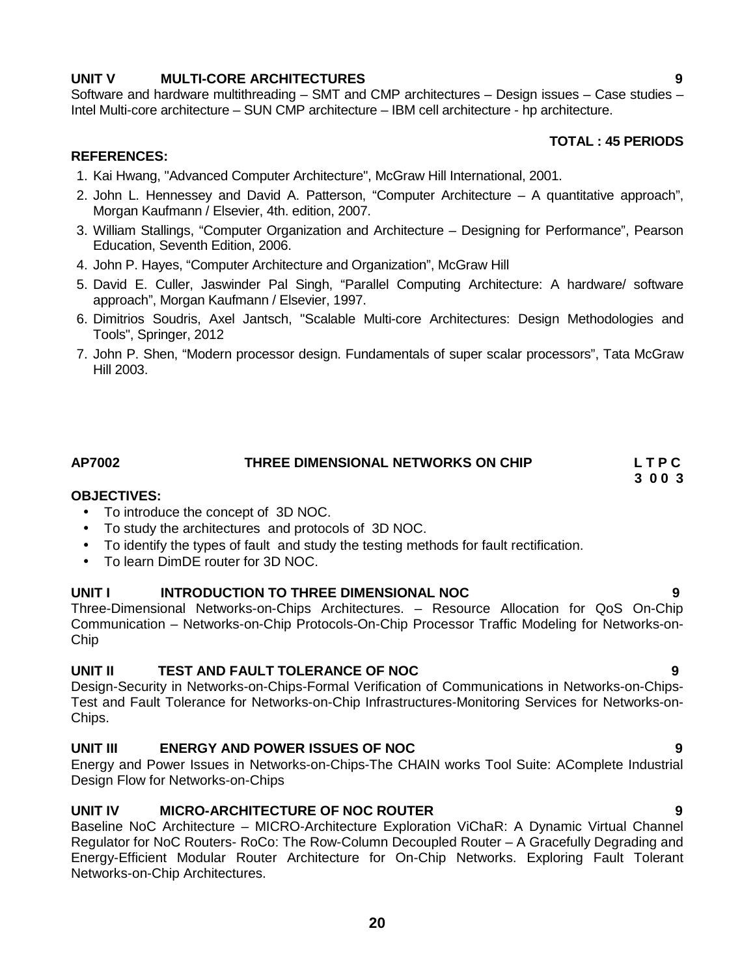### **UNIT V MULTI-CORE ARCHITECTURES 9**

Software and hardware multithreading – SMT and CMP architectures – Design issues – Case studies – Intel Multi-core architecture – SUN CMP architecture – IBM cell architecture - hp architecture.

#### **TOTAL : 45 PERIODS**

#### **REFERENCES:**

- 1. Kai Hwang, "Advanced Computer Architecture", McGraw Hill International, 2001.
- 2. John L. Hennessey and David A. Patterson, "Computer Architecture A quantitative approach", Morgan Kaufmann / Elsevier, 4th. edition, 2007.
- 3. William Stallings, "Computer Organization and Architecture Designing for Performance", Pearson Education, Seventh Edition, 2006.
- 4. John P. Hayes, "Computer Architecture and Organization", McGraw Hill
- 5. David E. Culler, Jaswinder Pal Singh, "Parallel Computing Architecture: A hardware/ software approach", Morgan Kaufmann / Elsevier, 1997.
- 6. Dimitrios Soudris, Axel Jantsch, "Scalable Multi-core Architectures: Design Methodologies and Tools", Springer, 2012
- 7. John P. Shen, "Modern processor design. Fundamentals of super scalar processors", Tata McGraw Hill 2003.

# **AP7002 THREE DIMENSIONAL NETWORKS ON CHIP L T P C**

#### **OBJECTIVES:**

- To introduce the concept of 3D NOC.
- To study the architectures and protocols of 3D NOC.
- To identify the types of fault and study the testing methods for fault rectification.
- To learn DimDE router for 3D NOC.

#### **UNIT I INTRODUCTION TO THREE DIMENSIONAL NOC 9**

Three-Dimensional Networks-on-Chips Architectures. – Resource Allocation for QoS On-Chip Communication – Networks-on-Chip Protocols-On-Chip Processor Traffic Modeling for Networks-on- Chip

#### **UNIT II TEST AND FAULT TOLERANCE OF NOC 9**

Design-Security in Networks-on-Chips-Formal Verification of Communications in Networks-on-Chips- Test and Fault Tolerance for Networks-on-Chip Infrastructures-Monitoring Services for Networks-on- Chips.

#### **UNIT III ENERGY AND POWER ISSUES OF NOC 9**

Energy and Power Issues in Networks-on-Chips-The CHAIN works Tool Suite: AComplete Industrial Design Flow for Networks-on-Chips

#### **UNIT IV MICRO-ARCHITECTURE OF NOC ROUTER 9**

Baseline NoC Architecture – MICRO-Architecture Exploration ViChaR: A Dynamic Virtual Channel Regulator for NoC Routers- RoCo: The Row-Column Decoupled Router – A Gracefully Degrading and Energy-Efficient Modular Router Architecture for On-Chip Networks. Exploring Fault Tolerant Networks-on-Chip Architectures.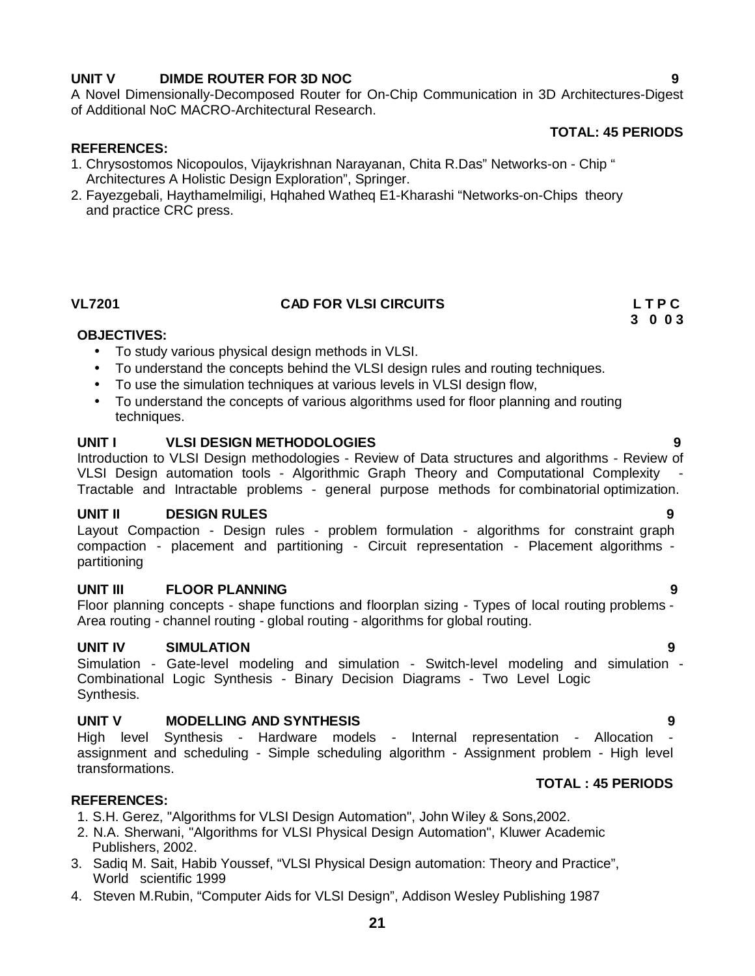### **UNIT V DIMDE ROUTER FOR 3D NOC 9**

A Novel Dimensionally-Decomposed Router for On-Chip Communication in 3D Architectures-Digest of Additional NoC MACRO-Architectural Research.

#### **TOTAL: 45 PERIODS**

#### **REFERENCES:**

- 1. Chrysostomos Nicopoulos, Vijaykrishnan Narayanan, Chita R.Das" Networks-on Chip " Architectures A Holistic Design Exploration", Springer.
- 2. Fayezgebali, Haythamelmiligi, Hqhahed Watheq E1-Kharashi "Networks-on-Chips theory and practice CRC press.

### **VL7201 CAD FOR VLSI CIRCUITS L T P C**

#### **OBJECTIVES:**

- To study various physical design methods in VLSI.
- To understand the concepts behind the VLSI design rules and routing techniques.
- To use the simulation techniques at various levels in VLSI design flow,
- To understand the concepts of various algorithms used for floor planning and routing techniques.

#### **UNIT I VLSI DESIGN METHODOLOGIES 9**

Introduction to VLSI Design methodologies - Review of Data structures and algorithms - Review of VLSI Design automation tools - Algorithmic Graph Theory and Computational Complexity Tractable and Intractable problems - general purpose methods for combinatorial optimization.

#### **UNIT II DESIGN RULES 9**

Layout Compaction - Design rules - problem formulation - algorithms for constraint graph compaction - placement and partitioning - Circuit representation - Placement algorithms partitioning

#### **UNIT III FLOOR PLANNING 9**

Floor planning concepts - shape functions and floorplan sizing - Types of local routing problems - Area routing - channel routing - global routing - algorithms for global routing.

### **UNIT IV SIMULATION 9**

Simulation - Gate-level modeling and simulation - Switch-level modeling and simulation -Combinational Logic Synthesis - Binary Decision Diagrams - Two Level Logic Synthesis.

#### **UNIT V MODELLING AND SYNTHESIS 9**

High level Synthesis - Hardware models - Internal representation - Allocation assignment and scheduling - Simple scheduling algorithm - Assignment problem - High level transformations.

#### **TOTAL : 45 PERIODS**

#### **REFERENCES:**

- 1. S.H. Gerez, "Algorithms for VLSI Design Automation", John Wiley & Sons,2002.
- 2. N.A. Sherwani, "Algorithms for VLSI Physical Design Automation", Kluwer Academic Publishers, 2002.
- 3. Sadiq M. Sait, Habib Youssef, "VLSI Physical Design automation: Theory and Practice", World scientific 1999
- 4. Steven M.Rubin, "Computer Aids for VLSI Design", Addison Wesley Publishing 1987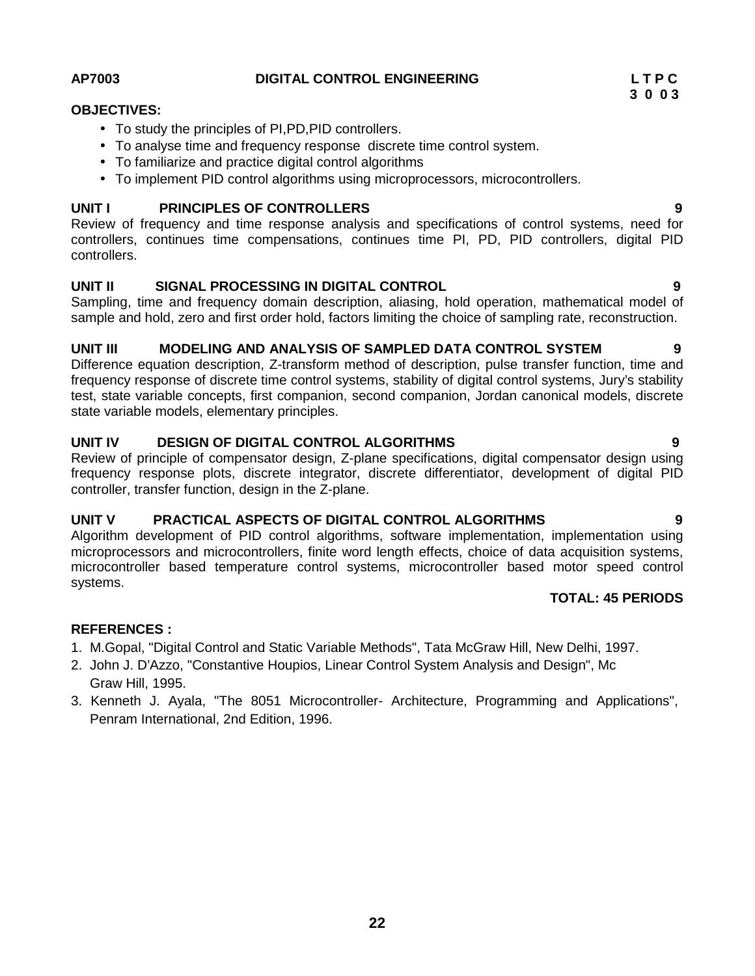microprocessors and microcontrollers, finite word length effects, choice of data acquisition systems, microcontroller based temperature control systems, microcontroller based motor speed control systems.

#### **REFERENCES :**

- 1. M.Gopal, "Digital Control and Static Variable Methods", Tata McGraw Hill, New Delhi, 1997.
- 2. John J. D'Azzo, "Constantive Houpios, Linear Control System Analysis and Design", Mc Graw Hill, 1995.
- 3. Kenneth J. Ayala, "The 8051 Microcontroller- Architecture, Programming and Applications", Penram International, 2nd Edition, 1996.

# **AP7003 DIGITAL CONTROL ENGINEERING L T P C**

#### **OBJECTIVES:**

- To study the principles of PI,PD,PID controllers.
- To analyse time and frequency response discrete time control system.
- To familiarize and practice digital control algorithms
- To implement PID control algorithms using microprocessors, microcontrollers.

#### **UNIT I PRINCIPLES OF CONTROLLERS 9**

Review of frequency and time response analysis and specifications of control systems, need for controllers, continues time compensations, continues time PI, PD, PID controllers, digital PID controllers.

#### **UNIT II SIGNAL PROCESSING IN DIGITAL CONTROL 9**

Sampling, time and frequency domain description, aliasing, hold operation, mathematical model of sample and hold, zero and first order hold, factors limiting the choice of sampling rate, reconstruction.

#### **UNIT III MODELING AND ANALYSIS OF SAMPLED DATA CONTROL SYSTEM 9**

Difference equation description, Z-transform method of description, pulse transfer function, time and frequency response of discrete time control systems, stability of digital control systems, Jury's stability test, state variable concepts, first companion, second companion, Jordan canonical models, discrete state variable models, elementary principles.

#### **UNIT IV DESIGN OF DIGITAL CONTROL ALGORITHMS 9**

Review of principle of compensator design, Z-plane specifications, digital compensator design using frequency response plots, discrete integrator, discrete differentiator, development of digital PID controller, transfer function, design in the Z-plane.

#### **UNIT V PRACTICAL ASPECTS OF DIGITAL CONTROL ALGORITHMS 9**

Algorithm development of PID control algorithms, software implementation, implementation using

#### **TOTAL: 45 PERIODS**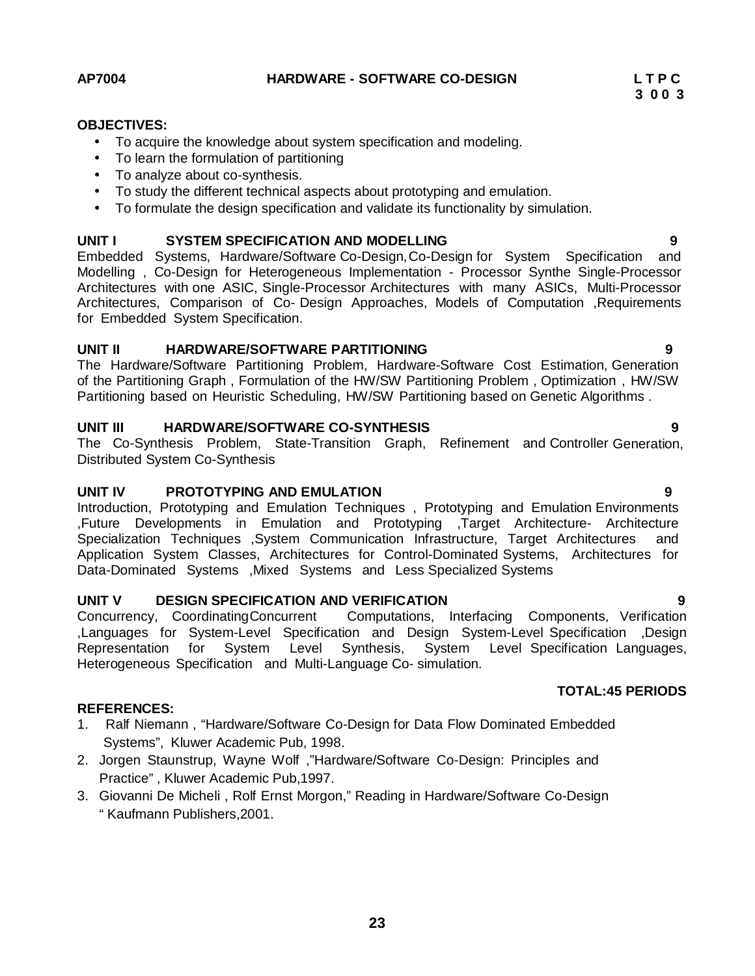# **OBJECTIVES:**

- To acquire the knowledge about system specification and modeling.
- To learn the formulation of partitioning
- To analyze about co-synthesis.
- To study the different technical aspects about prototyping and emulation.
- To formulate the design specification and validate its functionality by simulation.

#### **UNIT I SYSTEM SPECIFICATION AND MODELLING 9**

Embedded Systems, Hardware/Software Co-Design,Co-Design for System Specification and Modelling , Co-Design for Heterogeneous Implementation - Processor Synthe Single-Processor Architectures with one ASIC, Single-Processor Architectures with many ASICs, Multi-Processor Architectures, Comparison of Co- Design Approaches, Models of Computation ,Requirements for Embedded System Specification.

#### **UNIT II HARDWARE/SOFTWARE PARTITIONING 9**

The Hardware/Software Partitioning Problem, Hardware-Software Cost Estimation, Generation of the Partitioning Graph , Formulation of the HW/SW Partitioning Problem , Optimization , HW/SW Partitioning based on Heuristic Scheduling, HW/SW Partitioning based on Genetic Algorithms .

#### **UNIT III HARDWARE/SOFTWARE CO-SYNTHESIS 9**

The Co-Synthesis Problem, State-Transition Graph, Refinement and Controller Generation, Distributed System Co-Synthesis

#### **UNIT IV PROTOTYPING AND EMULATION 9**

Introduction, Prototyping and Emulation Techniques , Prototyping and Emulation Environments ,Future Developments in Emulation and Prototyping ,Target Architecture- Architecture Specialization Techniques ,System Communication Infrastructure, Target Architectures and Application System Classes, Architectures for Control-Dominated Systems, Architectures for Data-Dominated Systems ,Mixed Systems and Less Specialized Systems

**UNIT V DESIGN SPECIFICATION AND VERIFICATION 9** Computations, Interfacing Components, Verification ,Languages for System-Level Specification and Design System-Level Specification ,Design Representation for System Level Synthesis, System Level Specification Languages, Heterogeneous Specification and Multi-Language Co- simulation.

#### **REFERENCES:**

- 1. Ralf Niemann , "Hardware/Software Co-Design for Data Flow Dominated Embedded Systems", Kluwer Academic Pub, 1998.
- 2. Jorgen Staunstrup, Wayne Wolf ,"Hardware/Software Co-Design: Principles and Practice" , Kluwer Academic Pub,1997.
- 3. Giovanni De Micheli , Rolf Ernst Morgon," Reading in Hardware/Software Co-Design " Kaufmann Publishers,2001.

**3 0 0 3**

**TOTAL:45 PERIODS**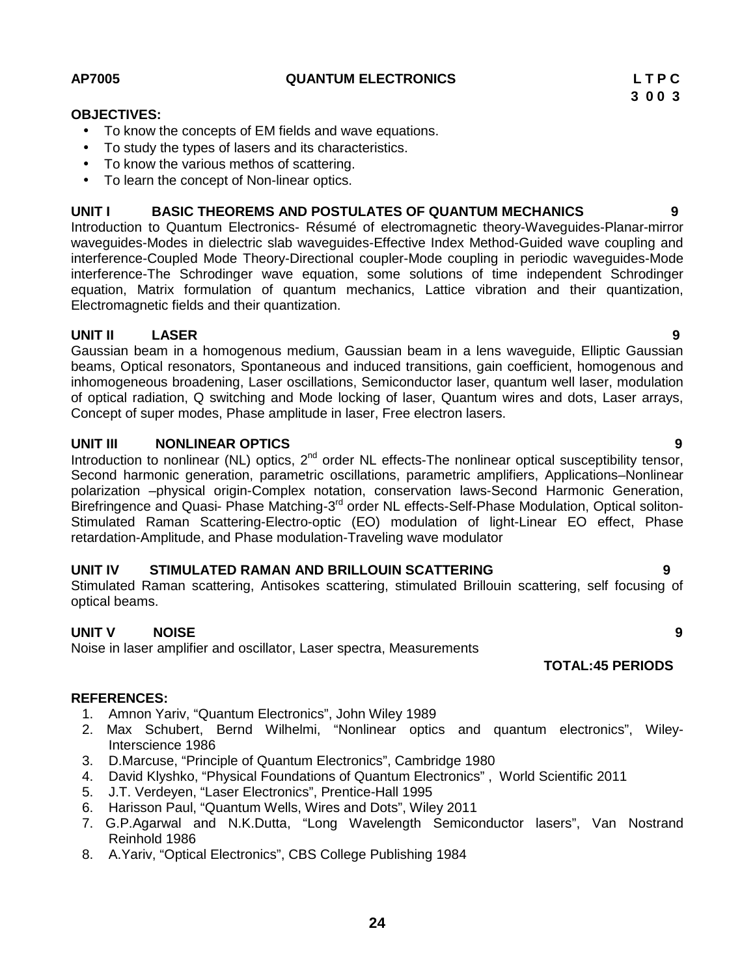#### **UNIT IV STIMULATED RAMAN AND BRILLOUIN SCATTERING 9**

Stimulated Raman scattering, Antisokes scattering, stimulated Brillouin scattering, self focusing of optical beams.

### **UNIT V NOISE 9**

Noise in laser amplifier and oscillator, Laser spectra, Measurements

#### **REFERENCES:**

- 1. Amnon Yariv, "Quantum Electronics", John Wiley 1989
- 2. Max Schubert, Bernd Wilhelmi, "Nonlinear optics and quantum electronics", Wiley-Interscience 1986
- 3. D.Marcuse, "Principle of Quantum Electronics", Cambridge 1980
- 4. David Klyshko, "Physical Foundations of Quantum Electronics" , World Scientific 2011
- 5. J.T. Verdeyen, "Laser Electronics", Prentice-Hall 1995
- 6. Harisson Paul, "Quantum Wells, Wires and Dots", Wiley 2011
- 7. G.P.Agarwal and N.K.Dutta, "Long Wavelength Semiconductor lasers", Van Nostrand Reinhold 1986
- 8. A.Yariv, "Optical Electronics", CBS College Publishing 1984

**AP7005 QUANTUM ELECTRONICS L T P C**

# **OBJECTIVES:**

- To know the concepts of EM fields and wave equations.
- To study the types of lasers and its characteristics.
- To know the various methos of scattering.
- To learn the concept of Non-linear optics.

#### **UNIT I BASIC THEOREMS AND POSTULATES OF QUANTUM MECHANICS 9**

Introduction to Quantum Electronics- Résumé of electromagnetic theory-Waveguides-Planar-mirror waveguides-Modes in dielectric slab waveguides-Effective Index Method-Guided wave coupling and interference-Coupled Mode Theory-Directional coupler-Mode coupling in periodic waveguides-Mode interference-The Schrodinger wave equation, some solutions of time independent Schrodinger equation, Matrix formulation of quantum mechanics, Lattice vibration and their quantization, Electromagnetic fields and their quantization.

#### **UNIT II LASER 9**

Gaussian beam in a homogenous medium, Gaussian beam in a lens waveguide, Elliptic Gaussian beams, Optical resonators, Spontaneous and induced transitions, gain coefficient, homogenous and inhomogeneous broadening, Laser oscillations, Semiconductor laser, quantum well laser, modulation of optical radiation, Q switching and Mode locking of laser, Quantum wires and dots, Laser arrays, Concept of super modes, Phase amplitude in laser, Free electron lasers.

#### **UNIT III NONLINEAR OPTICS 9**

Introduction to nonlinear (NL) optics,  $2<sup>nd</sup>$  order NL effects-The nonlinear optical susceptibility tensor, Second harmonic generation, parametric oscillations, parametric amplifiers, Applications–Nonlinear polarization –physical origin-Complex notation, conservation laws-Second Harmonic Generation, Birefringence and Quasi- Phase Matching-3<sup>rd</sup> order NL effects-Self-Phase Modulation, Optical soliton-Stimulated Raman Scattering-Electro-optic (EO) modulation of light-Linear EO effect, Phase retardation-Amplitude, and Phase modulation-Traveling wave modulator

**24**

**TOTAL:45 PERIODS**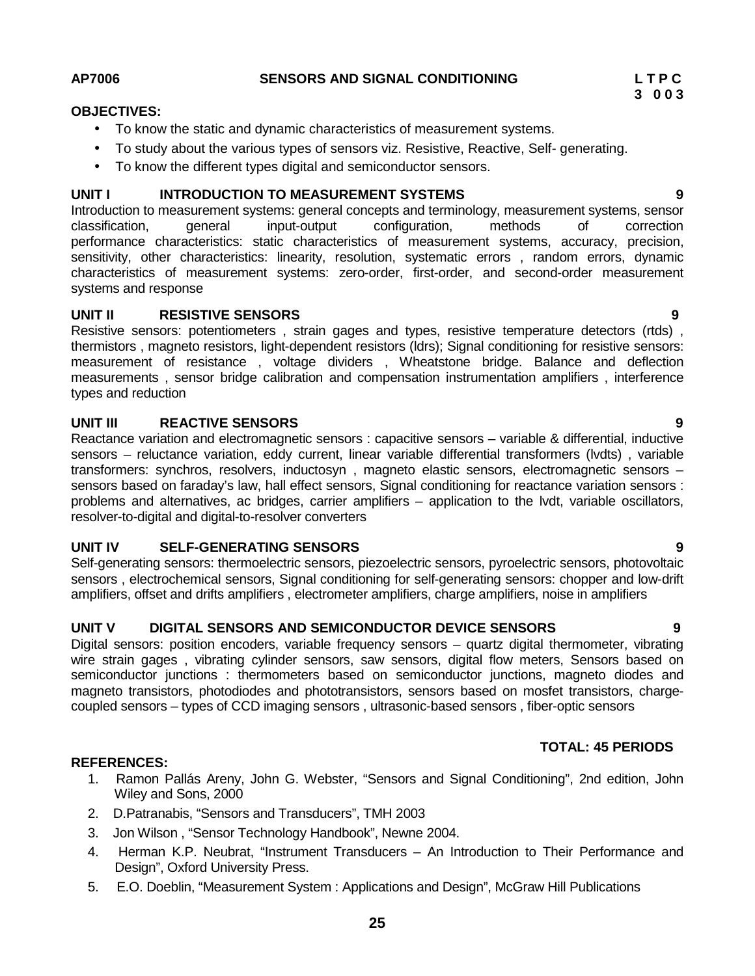#### **AP7006 SENSORS AND SIGNAL CONDITIONING L T P C**

#### **OBJECTIVES:**

- To know the static and dynamic characteristics of measurement systems.
- To study about the various types of sensors viz. Resistive, Reactive, Self- generating.
- To know the different types digital and semiconductor sensors.

### **UNIT I INTRODUCTION TO MEASUREMENT SYSTEMS 9**

Introduction to measurement systems: general concepts and terminology, measurement systems, sensor classification, general input-output configuration, methods of correction performance characteristics: static characteristics of measurement systems, accuracy, precision, sensitivity, other characteristics: linearity, resolution, systematic errors, random errors, dynamic characteristics of measurement systems: zero-order, first-order, and second-order measurement systems and response

### **UNIT II RESISTIVE SENSORS 9**

Resistive sensors: potentiometers , strain gages and types, resistive temperature detectors (rtds) , thermistors , magneto resistors, light-dependent resistors (ldrs); Signal conditioning for resistive sensors: measurement of resistance , voltage dividers , Wheatstone bridge. Balance and deflection measurements , sensor bridge calibration and compensation instrumentation amplifiers , interference types and reduction

### **UNIT III REACTIVE SENSORS 9**

Reactance variation and electromagnetic sensors : capacitive sensors – variable & differential, inductive sensors – reluctance variation, eddy current, linear variable differential transformers (lvdts) , variable transformers: synchros, resolvers, inductosyn , magneto elastic sensors, electromagnetic sensors – sensors based on faraday's law, hall effect sensors, Signal conditioning for reactance variation sensors : problems and alternatives, ac bridges, carrier amplifiers – application to the lvdt, variable oscillators, resolver-to-digital and digital-to-resolver converters

#### **UNIT IV SELF-GENERATING SENSORS 9**

Self-generating sensors: thermoelectric sensors, piezoelectric sensors, pyroelectric sensors, photovoltaic sensors , electrochemical sensors, Signal conditioning for self-generating sensors: chopper and low-drift amplifiers, offset and drifts amplifiers , electrometer amplifiers, charge amplifiers, noise in amplifiers

### **UNIT V DIGITAL SENSORS AND SEMICONDUCTOR DEVICE SENSORS 9**

Digital sensors: position encoders, variable frequency sensors – quartz digital thermometer, vibrating wire strain gages , vibrating cylinder sensors, saw sensors, digital flow meters, Sensors based on semiconductor junctions : thermometers based on semiconductor junctions, magneto diodes and magneto transistors, photodiodes and phototransistors, sensors based on mosfet transistors, charge coupled sensors – types of CCD imaging sensors , ultrasonic-based sensors , fiber-optic sensors

#### **TOTAL: 45 PERIODS**

#### **REFERENCES:**

- 1. Ramon Pallás Areny, John G. Webster, "Sensors and Signal Conditioning", 2nd edition, John Wiley and Sons, 2000
- 2. D.Patranabis, "Sensors and Transducers", TMH 2003
- 3. Jon Wilson , "Sensor Technology Handbook", Newne 2004.
- 4. Herman K.P. Neubrat, "Instrument Transducers An Introduction to Their Performance and Design", Oxford University Press.
- 5. E.O. Doeblin, "Measurement System : Applications and Design", McGraw Hill Publications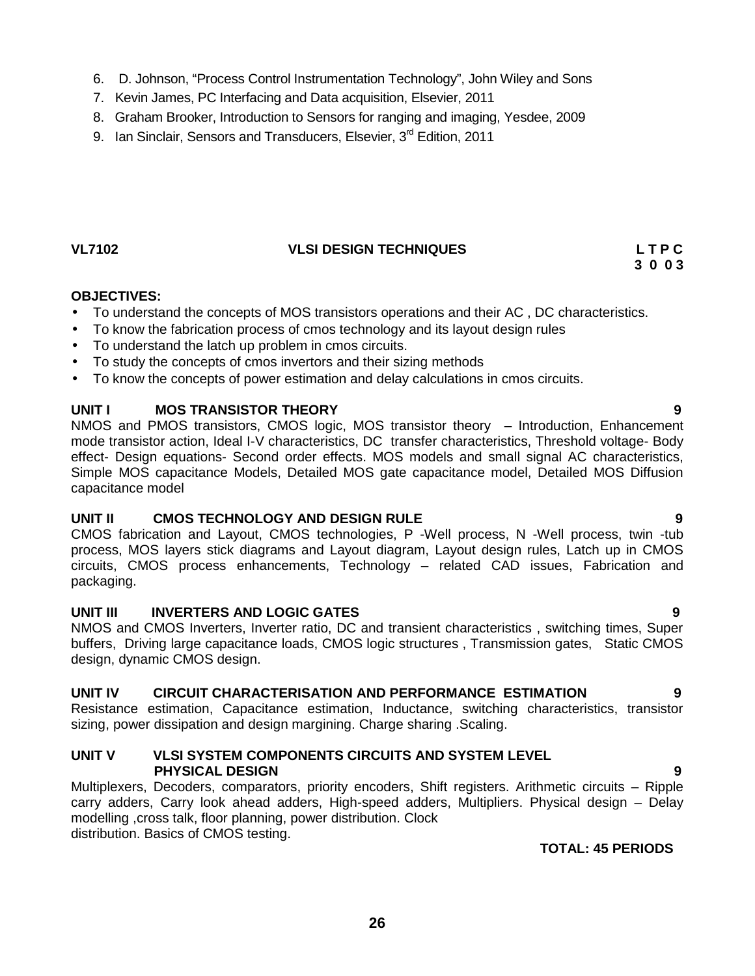- 6. D. Johnson, "Process Control Instrumentation Technology", John Wiley and Sons
- 7. Kevin James, PC Interfacing and Data acquisition, Elsevier, 2011
- 8. Graham Brooker, Introduction to Sensors for ranging and imaging, Yesdee, 2009
- 9. Ian Sinclair, Sensors and Transducers, Elsevier, 3<sup>rd</sup> Edition, 2011

### **VL7102 VLSI DESIGN TECHNIQUES L T P C**

# **3 0 0 3**

### **OBJECTIVES:**

- To understand the concepts of MOS transistors operations and their AC , DC characteristics.
- To know the fabrication process of cmos technology and its layout design rules
- To understand the latch up problem in cmos circuits.
- To study the concepts of cmos invertors and their sizing methods
- To know the concepts of power estimation and delay calculations in cmos circuits.

### **UNIT I MOS TRANSISTOR THEORY 9**

NMOS and PMOS transistors, CMOS logic, MOS transistor theory – Introduction, Enhancement mode transistor action, Ideal I-V characteristics, DC transfer characteristics, Threshold voltage- Body effect- Design equations- Second order effects. MOS models and small signal AC characteristics, Simple MOS capacitance Models, Detailed MOS gate capacitance model, Detailed MOS Diffusion capacitance model

### **UNIT II CMOS TECHNOLOGY AND DESIGN RULE 9**

CMOS fabrication and Layout, CMOS technologies, P -Well process, N -Well process, twin -tub process, MOS layers stick diagrams and Layout diagram, Layout design rules, Latch up in CMOS circuits, CMOS process enhancements, Technology – related CAD issues, Fabrication and packaging.

#### **UNIT III INVERTERS AND LOGIC GATES 9**

NMOS and CMOS Inverters, Inverter ratio, DC and transient characteristics , switching times, Super buffers, Driving large capacitance loads, CMOS logic structures , Transmission gates, Static CMOS design, dynamic CMOS design.

### **UNIT IV CIRCUIT CHARACTERISATION AND PERFORMANCE ESTIMATION 9**

Resistance estimation, Capacitance estimation, Inductance, switching characteristics, transistor sizing, power dissipation and design margining. Charge sharing .Scaling.

#### **UNIT V VLSI SYSTEM COMPONENTS CIRCUITS AND SYSTEM LEVEL PHYSICAL DESIGN 9**

Multiplexers, Decoders, comparators, priority encoders, Shift registers. Arithmetic circuits - Ripple carry adders, Carry look ahead adders, High-speed adders, Multipliers. Physical design – Delay modelling ,cross talk, floor planning, power distribution. Clock distribution. Basics of CMOS testing.

### **TOTAL: 45 PERIODS**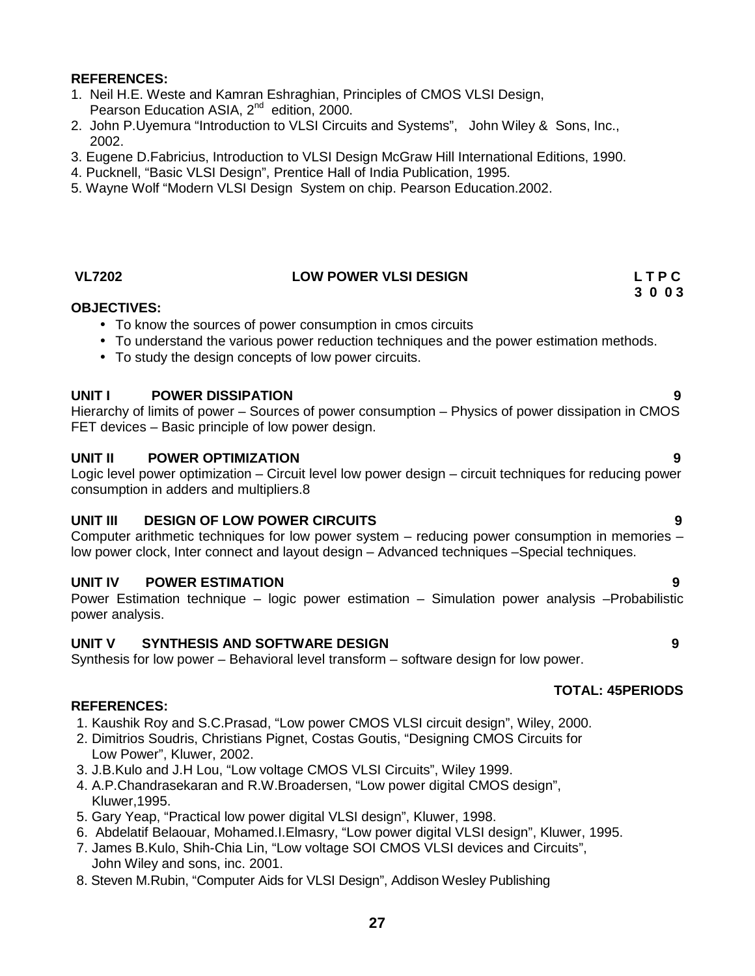- 1. Neil H.E. Weste and Kamran Eshraghian, Principles of CMOS VLSI Design, Pearson Education ASIA, 2<sup>nd</sup> edition, 2000.
- 2. John P.Uyemura "Introduction to VLSI Circuits and Systems", John Wiley & Sons, Inc., 2002.
- 3. Eugene D.Fabricius, Introduction to VLSI Design McGraw Hill International Editions, 1990.
- 4. Pucknell, "Basic VLSI Design", Prentice Hall of India Publication, 1995.
- 5. Wayne Wolf "Modern VLSI Design System on chip. Pearson Education.2002.

#### **VL7202 LOW POWER VLSI DESIGN L T P C**

#### **OBJECTIVES:**

- To know the sources of power consumption in cmos circuits
- To understand the various power reduction techniques and the power estimation methods.
- To study the design concepts of low power circuits.

#### **UNIT I POWER DISSIPATION 9**

Hierarchy of limits of power – Sources of power consumption – Physics of power dissipation in CMOS FET devices – Basic principle of low power design.

#### **UNIT II POWER OPTIMIZATION 9**

Logic level power optimization – Circuit level low power design – circuit techniques for reducing power consumption in adders and multipliers.8

#### **UNIT III DESIGN OF LOW POWER CIRCUITS 9**

Computer arithmetic techniques for low power system – reducing power consumption in memories – low power clock, Inter connect and layout design – Advanced techniques –Special techniques.

#### **UNIT IV POWER ESTIMATION 9**

Power Estimation technique – logic power estimation – Simulation power analysis –Probabilistic power analysis.

### **UNIT V SYNTHESIS AND SOFTWARE DESIGN 9**

Synthesis for low power – Behavioral level transform – software design for low power.

#### **TOTAL: 45PERIODS**

#### **REFERENCES:**

- 1. Kaushik Roy and S.C.Prasad, "Low power CMOS VLSI circuit design", Wiley, 2000.
- 2. Dimitrios Soudris, Christians Pignet, Costas Goutis, "Designing CMOS Circuits for Low Power", Kluwer, 2002.
- 3. J.B.Kulo and J.H Lou, "Low voltage CMOS VLSI Circuits", Wiley 1999.
- 4. A.P.Chandrasekaran and R.W.Broadersen, "Low power digital CMOS design", Kluwer,1995.
- 5. Gary Yeap, "Practical low power digital VLSI design", Kluwer, 1998.
- 6. Abdelatif Belaouar, Mohamed.I.Elmasry, "Low power digital VLSI design", Kluwer, 1995.
- 7. James B.Kulo, Shih-Chia Lin, "Low voltage SOI CMOS VLSI devices and Circuits", John Wiley and sons, inc. 2001.
- 8. Steven M.Rubin, "Computer Aids for VLSI Design", Addison Wesley Publishing

- 
-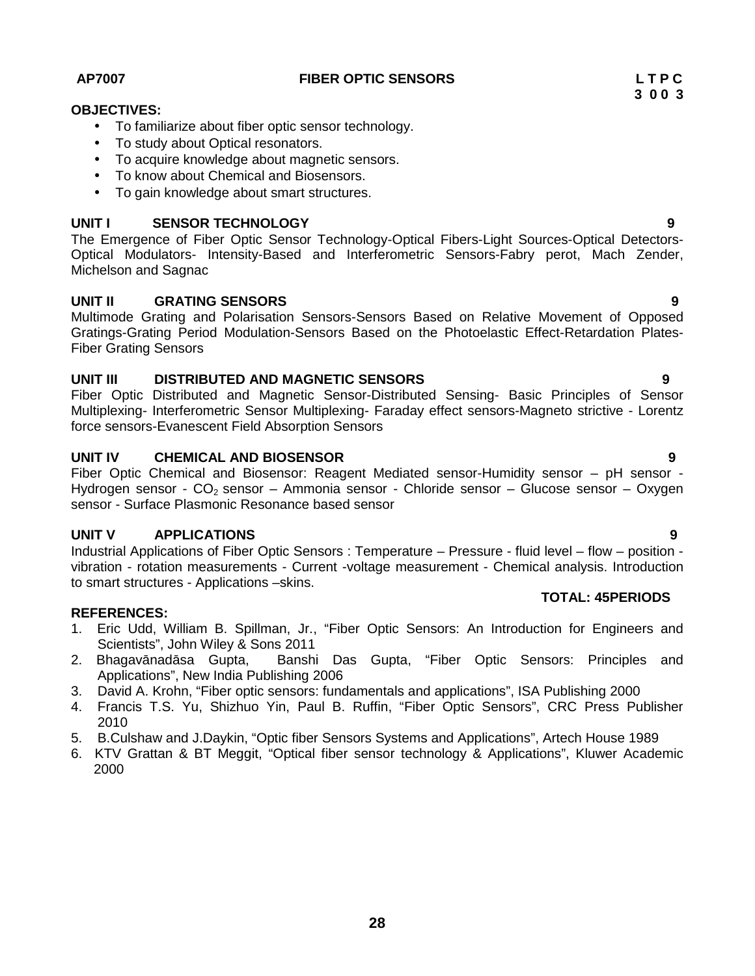#### **AP7007 FIBER OPTIC SENSORS L T P C**

### **OBJECTIVES:**

- To familiarize about fiber optic sensor technology.
- To study about Optical resonators.
- To acquire knowledge about magnetic sensors.
- To know about Chemical and Biosensors.
- To gain knowledge about smart structures.

### **UNIT I SENSOR TECHNOLOGY 9**

The Emergence of Fiber Optic Sensor Technology-Optical Fibers-Light Sources-Optical Detectors- Optical Modulators- Intensity-Based and Interferometric Sensors-Fabry perot, Mach Zender, Michelson and Sagnac

### **UNIT II GRATING SENSORS 9**

Multimode Grating and Polarisation Sensors-Sensors Based on Relative Movement of Opposed Gratings-Grating Period Modulation-Sensors Based on the Photoelastic Effect-Retardation Plates- Fiber Grating Sensors

### **UNIT III DISTRIBUTED AND MAGNETIC SENSORS 9**

Fiber Optic Distributed and Magnetic Sensor-Distributed Sensing- Basic Principles of Sensor Multiplexing- Interferometric Sensor Multiplexing- Faraday effect sensors-Magneto strictive - Lorentz force sensors-Evanescent Field Absorption Sensors

### **UNIT IV CHEMICAL AND BIOSENSOR 9**

Fiber Optic Chemical and Biosensor: Reagent Mediated sensor-Humidity sensor – pH sensor - Hydrogen sensor -  $CO<sub>2</sub>$  sensor – Ammonia sensor - Chloride sensor – Glucose sensor – Oxygen sensor - Surface Plasmonic Resonance based sensor

### **UNIT V APPLICATIONS 9**

Industrial Applications of Fiber Optic Sensors : Temperature – Pressure - fluid level – flow – position vibration - rotation measurements - Current -voltage measurement - Chemical analysis. Introduction to smart structures - Applications –skins.

#### **REFERENCES:**

- 1. Eric Udd, William B. Spillman, Jr., "Fiber Optic Sensors: An Introduction for Engineers and Scientists", John Wiley & Sons 2011
- 2. Bhagay nad sa Gupta, Banshi Das Gupta, "Fiber Optic Sensors: Principles and Applications", New India Publishing 2006
- 3. David A. Krohn, "Fiber optic sensors: fundamentals and applications", ISA Publishing 2000
- 4. Francis T.S. Yu, Shizhuo Yin, Paul B. Ruffin, "Fiber Optic Sensors", CRC Press Publisher 2010
- 5. B.Culshaw and J.Daykin, "Optic fiber Sensors Systems and Applications", Artech House 1989
- 6. KTV Grattan & BT Meggit, "Optical fiber sensor technology & Applications", Kluwer Academic 2000

**TOTAL: 45PERIODS**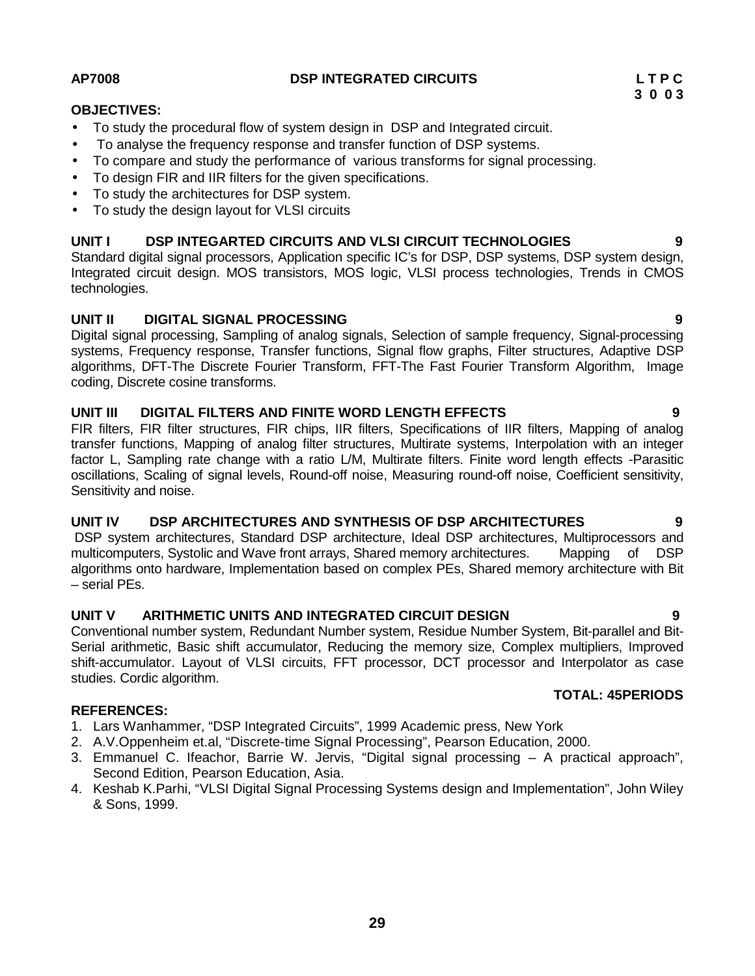FIR filters, FIR filter structures, FIR chips, IIR filters, Specifications of IIR filters, Mapping of analog transfer functions, Mapping of analog filter structures, Multirate systems, Interpolation with an integer factor L, Sampling rate change with a ratio L/M, Multirate filters. Finite word length effects -Parasitic oscillations, Scaling of signal levels, Round-off noise, Measuring round-off noise, Coefficient sensitivity, Sensitivity and noise.

#### **UNIT IV DSP ARCHITECTURES AND SYNTHESIS OF DSP ARCHITECTURES 9**

DSP system architectures, Standard DSP architecture, Ideal DSP architectures, Multiprocessors and multicomputers, Systolic and Wave front arrays, Shared memory architectures. Mapping of DSP algorithms onto hardware, Implementation based on complex PEs, Shared memory architecture with Bit – serial PEs.

#### **UNIT V ARITHMETIC UNITS AND INTEGRATED CIRCUIT DESIGN 9**

Conventional number system, Redundant Number system, Residue Number System, Bit-parallel and Bit- Serial arithmetic, Basic shift accumulator, Reducing the memory size, Complex multipliers, Improved shift-accumulator. Layout of VLSI circuits, FFT processor, DCT processor and Interpolator as case studies. Cordic algorithm.

#### **REFERENCES:**

- 1. Lars Wanhammer, "DSP Integrated Circuits", 1999 Academic press, New York
- 2. A.V.Oppenheim et.al, "Discrete-time Signal Processing", Pearson Education, 2000.
- 3. Emmanuel C. Ifeachor, Barrie W. Jervis, "Digital signal processing A practical approach", Second Edition, Pearson Education, Asia.
- 4. Keshab K.Parhi, "VLSI Digital Signal Processing Systems design and Implementation", John Wiley & Sons, 1999.

**UNIT II DIGITAL SIGNAL PROCESSING 9** Digital signal processing, Sampling of analog signals, Selection of sample frequency, Signal-processing systems, Frequency response, Transfer functions, Signal flow graphs, Filter structures, Adaptive DSP algorithms, DFT-The Discrete Fourier Transform, FFT-The Fast Fourier Transform Algorithm, Image coding, Discrete cosine transforms.

- To compare and study the performance of various transforms for signal processing. To design FIR and IIR filters for the given specifications.
- To study the architectures for DSP system.
- To study the design layout for VLSI circuits

### **UNIT I DSP INTEGARTED CIRCUITS AND VLSI CIRCUIT TECHNOLOGIES 9**

Standard digital signal processors, Application specific IC's for DSP, DSP systems, DSP system design, Integrated circuit design. MOS transistors, MOS logic, VLSI process technologies, Trends in CMOS technologies.

**UNIT III DIGITAL FILTERS AND FINITE WORD LENGTH EFFECTS 9**

 To study the procedural flow of system design in DSP and Integrated circuit. To analyse the frequency response and transfer function of DSP systems.

**TOTAL: 45PERIODS**

# **OBJECTIVES:**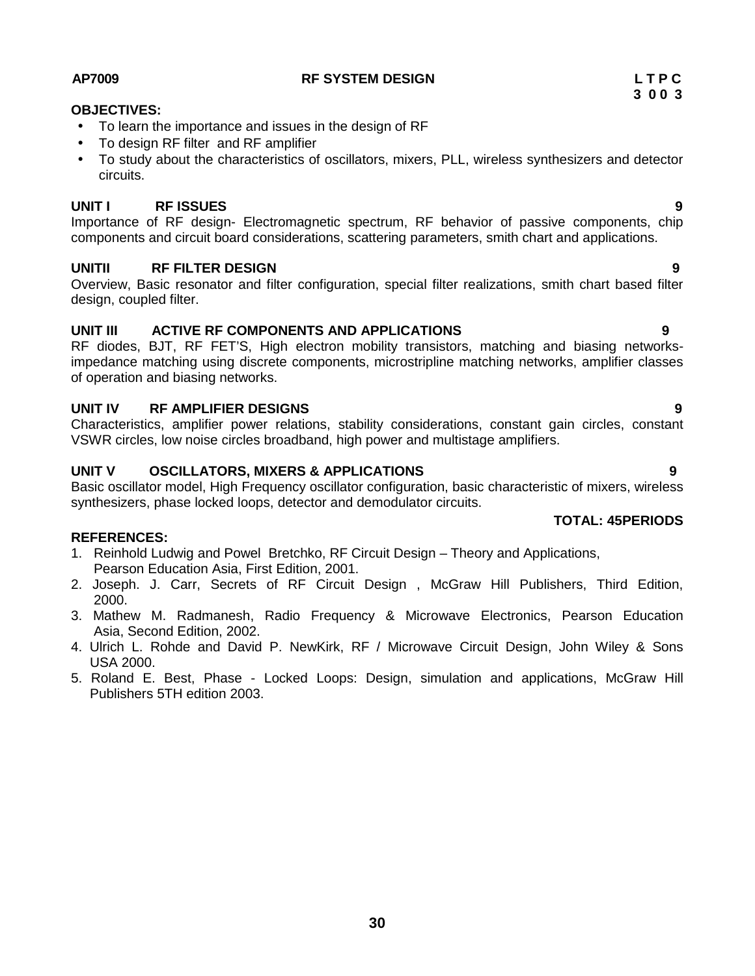#### **AP7009 RF SYSTEM DESIGN L T P C**

### **OBJECTIVES:**

- To learn the importance and issues in the design of RF
- To design RF filter and RF amplifier
- To study about the characteristics of oscillators, mixers, PLL, wireless synthesizers and detector circuits.

### **UNIT I RF ISSUES 9**

Importance of RF design- Electromagnetic spectrum, RF behavior of passive components, chip components and circuit board considerations, scattering parameters, smith chart and applications.

### **UNITII RF FILTER DESIGN 9**

Overview, Basic resonator and filter configuration, special filter realizations, smith chart based filter design, coupled filter.

### **UNIT III ACTIVE RF COMPONENTS AND APPLICATIONS 9**

RF diodes, BJT, RF FET'S, High electron mobility transistors, matching and biasing networksimpedance matching using discrete components, microstripline matching networks, amplifier classes of operation and biasing networks.

### **UNIT IV RF AMPLIFIER DESIGNS 9**

Characteristics, amplifier power relations, stability considerations, constant gain circles, constant VSWR circles, low noise circles broadband, high power and multistage amplifiers.

### **UNIT V OSCILLATORS, MIXERS & APPLICATIONS 9**

Basic oscillator model, High Frequency oscillator configuration, basic characteristic of mixers, wireless synthesizers, phase locked loops, detector and demodulator circuits.

# **REFERENCES:**

- 1. Reinhold Ludwig and Powel Bretchko, RF Circuit Design Theory and Applications, Pearson Education Asia, First Edition, 2001.
- 2. Joseph. J. Carr, Secrets of RF Circuit Design , McGraw Hill Publishers, Third Edition, 2000.
- 3. Mathew M. Radmanesh, Radio Frequency & Microwave Electronics, Pearson Education Asia, Second Edition, 2002.
- 4. Ulrich L. Rohde and David P. NewKirk, RF / Microwave Circuit Design, John Wiley & Sons USA 2000.
- 5. Roland E. Best, Phase Locked Loops: Design, simulation and applications, McGraw Hill Publishers 5TH edition 2003.

**TOTAL: 45PERIODS**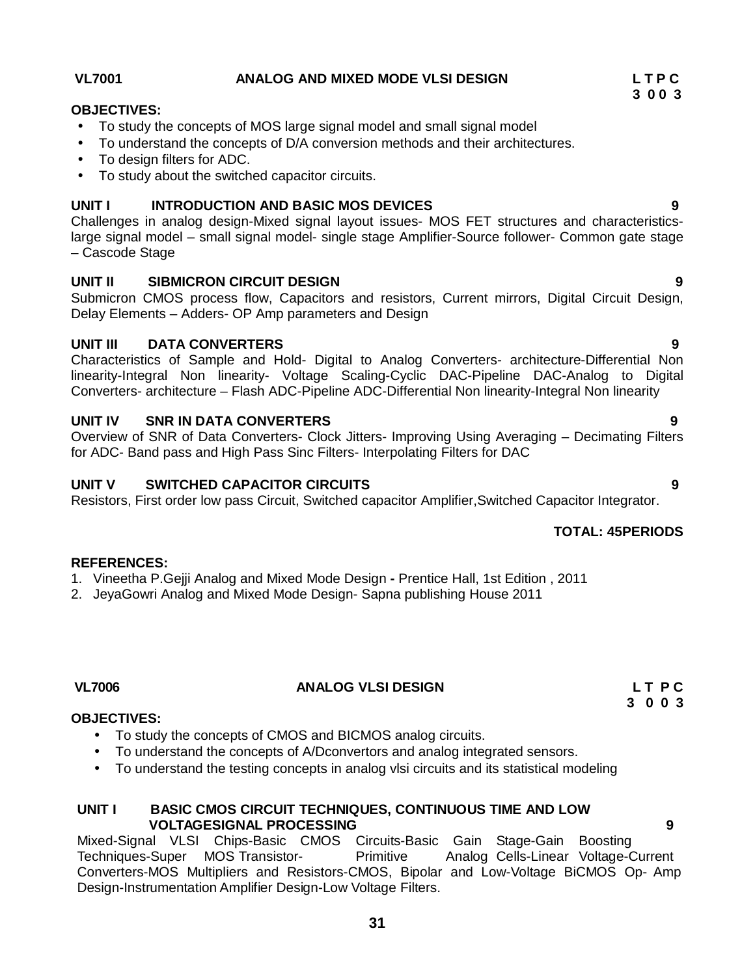**31**

#### To study the concepts of MOS large signal model and small signal model

- To understand the concepts of D/A conversion methods and their architectures.
- To design filters for ADC.
- To study about the switched capacitor circuits.

#### **UNIT I INTRODUCTION AND BASIC MOS DEVICES 9**

Challenges in analog design-Mixed signal layout issues- MOS FET structures and characteristicslarge signal model – small signal model- single stage Amplifier-Source follower- Common gate stage – Cascode Stage

#### **UNIT II SIBMICRON CIRCUIT DESIGN 9**

Submicron CMOS process flow, Capacitors and resistors, Current mirrors, Digital Circuit Design, Delay Elements – Adders- OP Amp parameters and Design

#### **UNIT III DATA CONVERTERS 9**

Characteristics of Sample and Hold- Digital to Analog Converters- architecture-Differential Non linearity-Integral Non linearity- Voltage Scaling-Cyclic DAC-Pipeline DAC-Analog to Digital Converters- architecture – Flash ADC-Pipeline ADC-Differential Non linearity-Integral Non linearity

#### **UNIT IV SNR IN DATA CONVERTERS 9**

Overview of SNR of Data Converters- Clock Jitters- Improving Using Averaging – Decimating Filters for ADC- Band pass and High Pass Sinc Filters- Interpolating Filters for DAC

#### **UNIT V SWITCHED CAPACITOR CIRCUITS 9**

Resistors, First order low pass Circuit, Switched capacitor Amplifier,Switched Capacitor Integrator.

# **TOTAL: 45PERIODS**

### **VL7006 ANALOG VLSI DESIGN L T P C**

#### **OBJECTIVES:**

**REFERENCES:**

- To study the concepts of CMOS and BICMOS analog circuits.
- To understand the concepts of A/Dconvertors and analog integrated sensors.

1. Vineetha P.Gejji Analog and Mixed Mode Design **-** Prentice Hall, 1st Edition , 2011

2. JeyaGowri Analog and Mixed Mode Design- Sapna publishing House 2011

• To understand the testing concepts in analog vlsi circuits and its statistical modeling

#### **UNIT I BASIC CMOS CIRCUIT TECHNIQUES, CONTINUOUS TIME AND LOW VOLTAGESIGNAL PROCESSING 9**

Mixed-Signal VLSI Chips-Basic CMOS Circuits-Basic Gain Stage-Gain Boosting Techniques-Super MOS Transistor- Primitive Analog Cells-Linear Voltage-Current Converters-MOS Multipliers and Resistors-CMOS, Bipolar and Low-Voltage BiCMOS Op- Amp Design-Instrumentation Amplifier Design-Low Voltage Filters.

**OBJECTIVES:**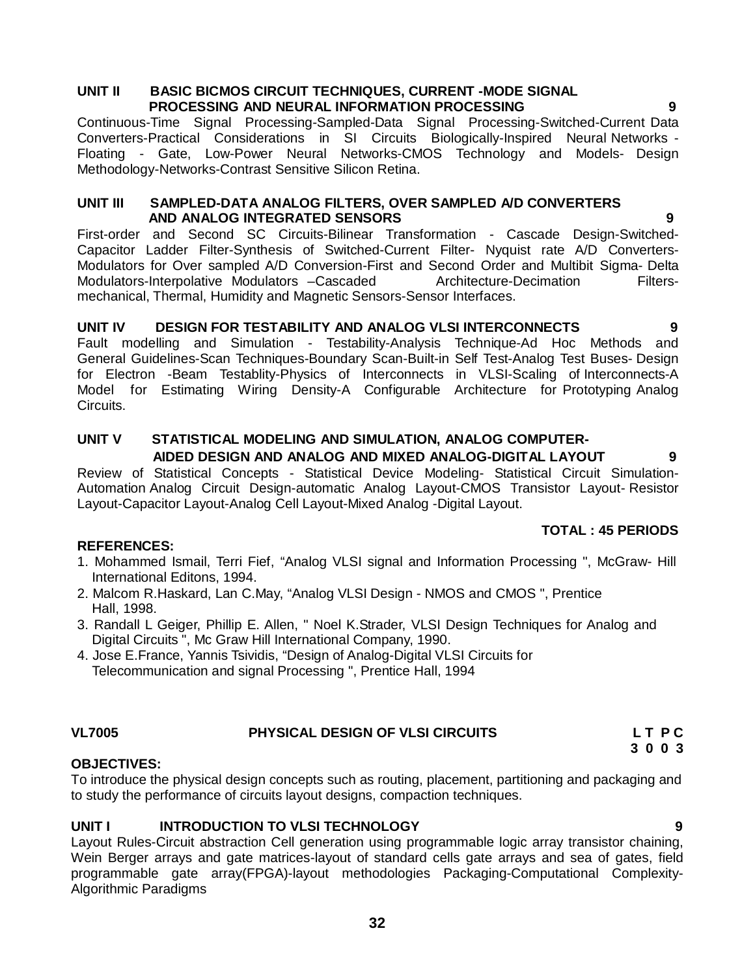#### **UNIT II BASIC BICMOS CIRCUIT TECHNIQUES, CURRENT -MODE SIGNAL PROCESSING AND NEURAL INFORMATION PROCESSING 9**

Continuous-Time Signal Processing-Sampled-Data Signal Processing-Switched-Current Data Converters-Practical Considerations in SI Circuits Biologically-Inspired Neural Networks -Floating - Gate, Low-Power Neural Networks-CMOS Technology and Models- Design Methodology-Networks-Contrast Sensitive Silicon Retina.

#### **UNIT III SAMPLED-DATA ANALOG FILTERS, OVER SAMPLED A/D CONVERTERS AND ANALOG INTEGRATED SENSORS 9**

First-order and Second SC Circuits-Bilinear Transformation - Cascade Design-Switched- Capacitor Ladder Filter-Synthesis of Switched-Current Filter- Nyquist rate A/D Converters- Modulators for Over sampled A/D Conversion-First and Second Order and Multibit Sigma- Delta Modulators-Interpolative Modulators –Cascaded Architecture-Decimation Filtersmechanical, Thermal, Humidity and Magnetic Sensors-Sensor Interfaces.

#### **UNIT IV DESIGN FOR TESTABILITY AND ANALOG VLSI INTERCONNECTS 9** Fault modelling and Simulation - Testability-Analysis Technique-Ad Hoc Methods and General Guidelines-Scan Techniques-Boundary Scan-Built-in Self Test-Analog Test Buses- Design for Electron -Beam Testablity-Physics of Interconnects in VLSI-Scaling of Interconnects-A Model for Estimating Wiring Density-A Configurable Architecture for Prototyping Analog Circuits.

### **UNIT V STATISTICAL MODELING AND SIMULATION, ANALOG COMPUTER- AIDED DESIGN AND ANALOG AND MIXED ANALOG-DIGITAL LAYOUT 9**

Review of Statistical Concepts - Statistical Device Modeling- Statistical Circuit Simulation- Automation Analog Circuit Design-automatic Analog Layout-CMOS Transistor Layout- Resistor Layout-Capacitor Layout-Analog Cell Layout-Mixed Analog -Digital Layout.

# **TOTAL : 45 PERIODS**

# **REFERENCES:**

- 1. Mohammed Ismail, Terri Fief, "Analog VLSI signal and Information Processing ", McGraw- Hill International Editons, 1994.
- 2. Malcom R.Haskard, Lan C.May, "Analog VLSI Design NMOS and CMOS ", Prentice Hall, 1998.
- 3. Randall L Geiger, Phillip E. Allen, " Noel K.Strader, VLSI Design Techniques for Analog and Digital Circuits ", Mc Graw Hill International Company, 1990.
- 4. Jose E.France, Yannis Tsividis, "Design of Analog-Digital VLSI Circuits for Telecommunication and signal Processing ", Prentice Hall, 1994

# **VL7005 PHYSICAL DESIGN OF VLSI CIRCUITS L T P C**

### **OBJECTIVES:**

To introduce the physical design concepts such as routing, placement, partitioning and packaging and to study the performance of circuits layout designs, compaction techniques.

# **UNIT I INTRODUCTION TO VLSI TECHNOLOGY 9**

Layout Rules-Circuit abstraction Cell generation using programmable logic array transistor chaining, Wein Berger arrays and gate matrices-layout of standard cells gate arrays and sea of gates, field programmable gate array(FPGA)-layout methodologies Packaging-Computational Complexity- Algorithmic Paradigms

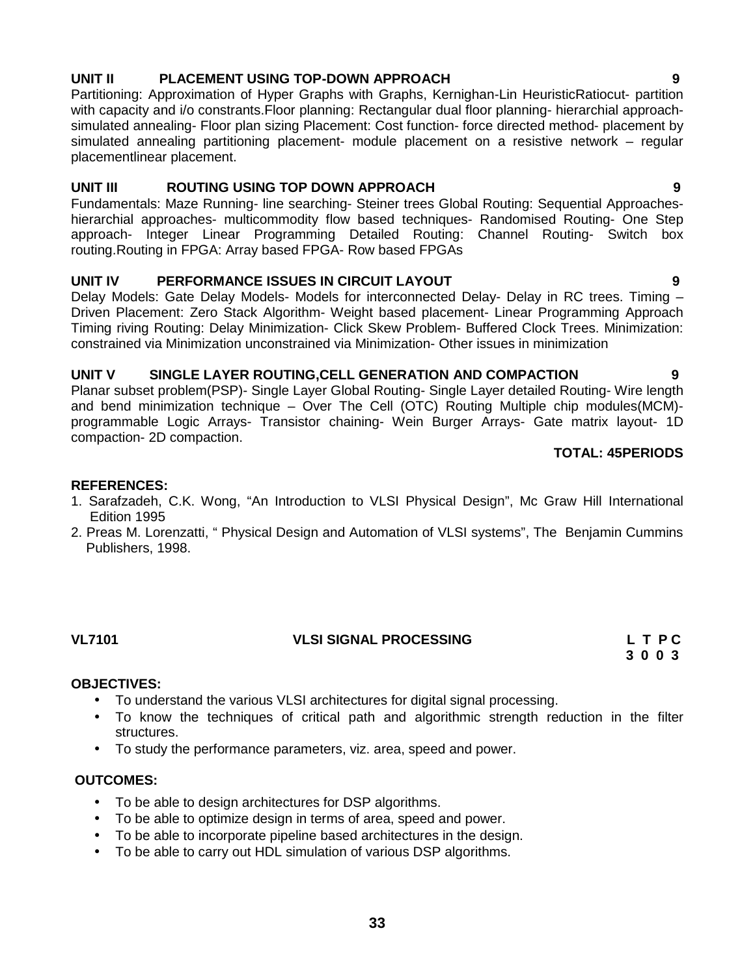# **UNIT II PLACEMENT USING TOP-DOWN APPROACH 9**

Partitioning: Approximation of Hyper Graphs with Graphs, Kernighan-Lin HeuristicRatiocut- partition with capacity and i/o constrants. Floor planning: Rectangular dual floor planning- hierarchial approachsimulated annealing- Floor plan sizing Placement: Cost function- force directed method- placement by simulated annealing partitioning placement- module placement on a resistive network – regular placementlinear placement.

#### **UNIT III ROUTING USING TOP DOWN APPROACH 9**

Fundamentals: Maze Running- line searching- Steiner trees Global Routing: Sequential Approaches hierarchial approaches- multicommodity flow based techniques- Randomised Routing- One Step approach- Integer Linear Programming Detailed Routing: Channel Routing- Switch box routing.Routing in FPGA: Array based FPGA- Row based FPGAs

### **UNIT IV PERFORMANCE ISSUES IN CIRCUIT LAYOUT 9**

Delay Models: Gate Delay Models- Models for interconnected Delay- Delay in RC trees. Timing -Driven Placement: Zero Stack Algorithm- Weight based placement- Linear Programming Approach Timing riving Routing: Delay Minimization- Click Skew Problem- Buffered Clock Trees. Minimization: constrained via Minimization unconstrained via Minimization- Other issues in minimization

#### **UNIT V SINGLE LAYER ROUTING,CELL GENERATION AND COMPACTION 9**

Planar subset problem(PSP)- Single Layer Global Routing- Single Layer detailed Routing- Wire length and bend minimization technique – Over The Cell (OTC) Routing Multiple chip modules(MCM) programmable Logic Arrays- Transistor chaining- Wein Burger Arrays- Gate matrix layout- 1D compaction- 2D compaction.

### **TOTAL: 45PERIODS**

### **REFERENCES:**

- 1. Sarafzadeh, C.K. Wong, "An Introduction to VLSI Physical Design", Mc Graw Hill International Edition 1995
- 2. Preas M. Lorenzatti, " Physical Design and Automation of VLSI systems", The Benjamin Cummins Publishers, 1998.

# **OBJECTIVES:**

- To understand the various VLSI architectures for digital signal processing.
- To know the techniques of critical path and algorithmic strength reduction in the filter structures.
- To study the performance parameters, viz. area, speed and power.

### **OUTCOMES:**

- To be able to design architectures for DSP algorithms.
- To be able to optimize design in terms of area, speed and power.
- To be able to incorporate pipeline based architectures in the design.
- To be able to carry out HDL simulation of various DSP algorithms.

### **VL7101 VLSI SIGNAL PROCESSING L T P C 3 0 0 3**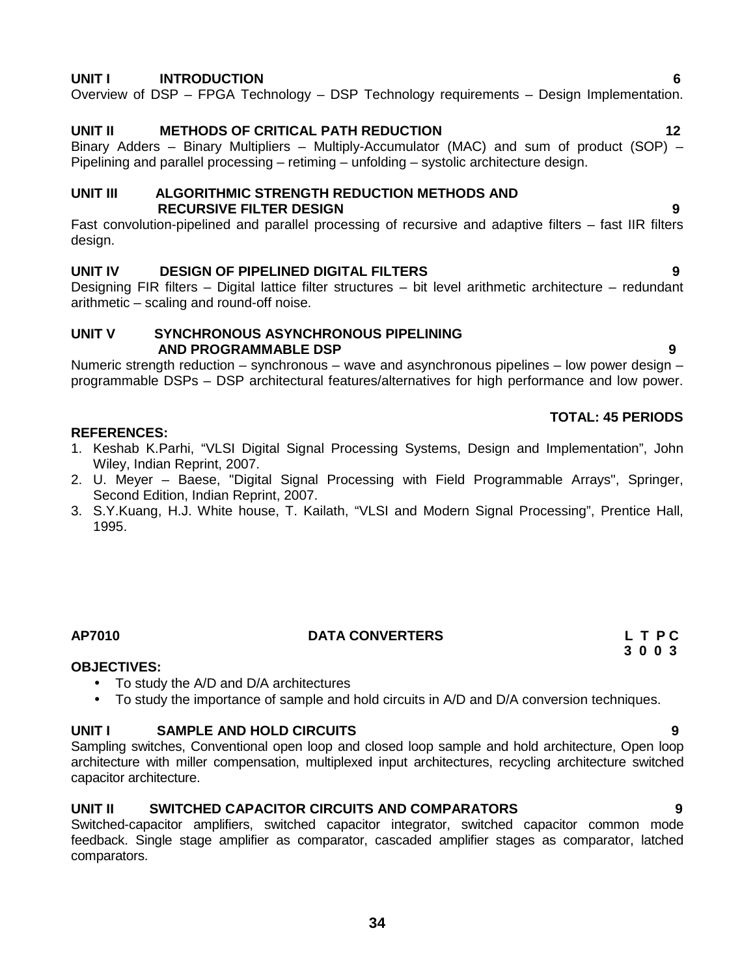#### **UNIT I INTRODUCTION 6**

Overview of DSP – FPGA Technology – DSP Technology requirements – Design Implementation.

#### **UNIT II METHODS OF CRITICAL PATH REDUCTION 12**

Binary Adders – Binary Multipliers – Multiply-Accumulator (MAC) and sum of product (SOP) – Pipelining and parallel processing – retiming – unfolding – systolic architecture design.

#### **UNIT III ALGORITHMIC STRENGTH REDUCTION METHODS AND RECURSIVE FILTER DESIGN 9**

Fast convolution-pipelined and parallel processing of recursive and adaptive filters – fast IIR filters design.

#### **UNIT IV DESIGN OF PIPELINED DIGITAL FILTERS 9**

Designing FIR filters – Digital lattice filter structures – bit level arithmetic architecture – redundant arithmetic – scaling and round-off noise.

#### **UNIT V SYNCHRONOUS ASYNCHRONOUS PIPELINING AND PROGRAMMABLE DSP 9**

Numeric strength reduction – synchronous – wave and asynchronous pipelines – low power design – programmable DSPs – DSP architectural features/alternatives for high performance and low power.

#### **TOTAL: 45 PERIODS**

#### **REFERENCES:**

- 1. Keshab K.Parhi, "VLSI Digital Signal Processing Systems, Design and Implementation", John Wiley, Indian Reprint, 2007.
- 2. U. Meyer Baese, "Digital Signal Processing with Field Programmable Arrays", Springer, Second Edition, Indian Reprint, 2007.
- 3. S.Y.Kuang, H.J. White house, T. Kailath, "VLSI and Modern Signal Processing", Prentice Hall, 1995.

#### **AP7010 DATA CONVERTERS L T P C**

**3 0 0 3**

#### **OBJECTIVES:**

- To study the A/D and D/A architectures
- To study the importance of sample and hold circuits in A/D and D/A conversion techniques.

#### **UNIT I SAMPLE AND HOLD CIRCUITS 9**

Sampling switches, Conventional open loop and closed loop sample and hold architecture, Open loop architecture with miller compensation, multiplexed input architectures, recycling architecture switched capacitor architecture.

### **UNIT II SWITCHED CAPACITOR CIRCUITS AND COMPARATORS 9**

Switched-capacitor amplifiers, switched capacitor integrator, switched capacitor common mode feedback. Single stage amplifier as comparator, cascaded amplifier stages as comparator, latched comparators.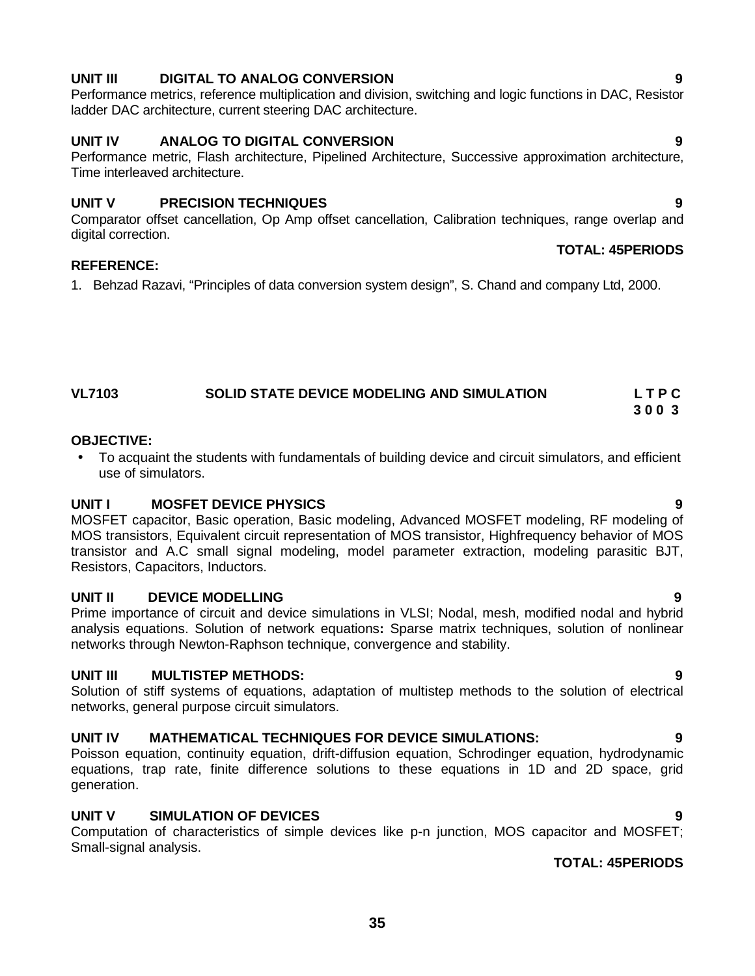### **UNIT III DIGITAL TO ANALOG CONVERSION 9**

Performance metrics, reference multiplication and division, switching and logic functions in DAC, Resistor ladder DAC architecture, current steering DAC architecture.

### **UNIT IV ANALOG TO DIGITAL CONVERSION 9**

Performance metric, Flash architecture, Pipelined Architecture, Successive approximation architecture, Time interleaved architecture.

### **UNIT V PRECISION TECHNIQUES 9**

Comparator offset cancellation, Op Amp offset cancellation, Calibration techniques, range overlap and digital correction.

### **REFERENCE:**

1. Behzad Razavi, "Principles of data conversion system design", S. Chand and company Ltd, 2000.

#### **VL7103 SOLID STATE DEVICE MODELING AND SIMULATION L T P C 3 0 0 3**

### **OBJECTIVE:**

 To acquaint the students with fundamentals of building device and circuit simulators, and efficient use of simulators.

### **UNIT I MOSFET DEVICE PHYSICS 9**

MOSFET capacitor, Basic operation, Basic modeling, Advanced MOSFET modeling, RF modeling of MOS transistors, Equivalent circuit representation of MOS transistor, Highfrequency behavior of MOS transistor and A.C small signal modeling, model parameter extraction, modeling parasitic BJT, Resistors, Capacitors, Inductors.

### **UNIT II DEVICE MODELLING 9**

Prime importance of circuit and device simulations in VLSI; Nodal, mesh, modified nodal and hybrid analysis equations. Solution of network equations**:** Sparse matrix techniques, solution of nonlinear networks through Newton-Raphson technique, convergence and stability.

### **UNIT III MULTISTEP METHODS: 9**

Solution of stiff systems of equations, adaptation of multistep methods to the solution of electrical networks, general purpose circuit simulators.

### **UNIT IV MATHEMATICAL TECHNIQUES FOR DEVICE SIMULATIONS: 9**

Poisson equation, continuity equation, drift-diffusion equation, Schrodinger equation, hydrodynamic equations, trap rate, finite difference solutions to these equations in 1D and 2D space, grid generation.

### **UNIT V SIMULATION OF DEVICES 9**

Computation of characteristics of simple devices like p-n junction, MOS capacitor and MOSFET; Small-signal analysis.

### **TOTAL: 45PERIODS**

**TOTAL: 45PERIODS**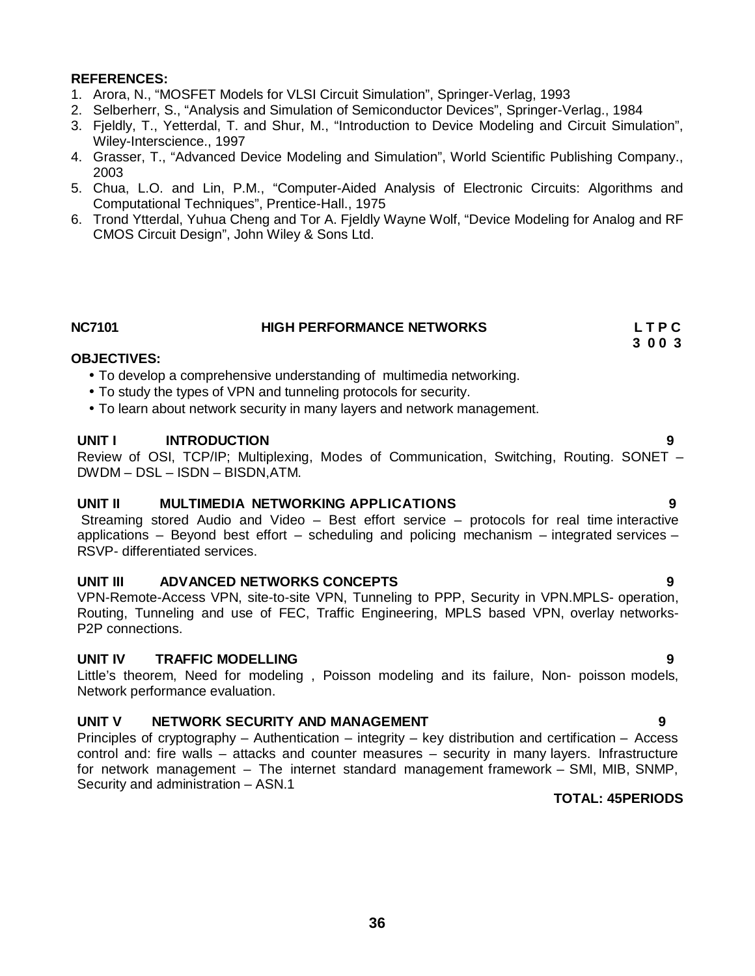- 1. Arora, N., "MOSFET Models for VLSI Circuit Simulation", Springer-Verlag, 1993
- 2. Selberherr, S., "Analysis and Simulation of Semiconductor Devices", Springer-Verlag., 1984
- 3. Fjeldly, T., Yetterdal, T. and Shur, M., "Introduction to Device Modeling and Circuit Simulation", Wiley-Interscience., 1997
- 4. Grasser, T., "Advanced Device Modeling and Simulation", World Scientific Publishing Company., 2003
- 5. Chua, L.O. and Lin, P.M., "Computer-Aided Analysis of Electronic Circuits: Algorithms and Computational Techniques", Prentice-Hall., 1975
- 6. Trond Ytterdal, Yuhua Cheng and Tor A. Fjeldly Wayne Wolf, "Device Modeling for Analog and RF CMOS Circuit Design", John Wiley & Sons Ltd.

| <b>NC7101</b> | <b>HIGH PERFORMANCE NETWORKS</b> | LTPC    |
|---------------|----------------------------------|---------|
|               |                                  | 3 0 0 3 |

#### **OBJECTIVES:**

- To develop a comprehensive understanding of multimedia networking.
- To study the types of VPN and tunneling protocols for security.
- To learn about network security in many layers and network management.

#### **UNIT I INTRODUCTION 9**

Review of OSI, TCP/IP; Multiplexing, Modes of Communication, Switching, Routing. SONET – DWDM – DSL – ISDN – BISDN,ATM.

#### **UNIT II MULTIMEDIA NETWORKING APPLICATIONS 9**

Streaming stored Audio and Video – Best effort service – protocols for real time interactive applications – Beyond best effort – scheduling and policing mechanism – integrated services – RSVP- differentiated services.

#### **UNIT III ADVANCED NETWORKS CONCEPTS 9**

VPN-Remote-Access VPN, site-to-site VPN, Tunneling to PPP, Security in VPN.MPLS- operation, Routing, Tunneling and use of FEC, Traffic Engineering, MPLS based VPN, overlay networks- P2P connections.

#### **UNIT IV TRAFFIC MODELLING 9**

Little's theorem, Need for modeling , Poisson modeling and its failure, Non- poisson models, Network performance evaluation.

#### **UNIT V NETWORK SECURITY AND MANAGEMENT 9**

Principles of cryptography – Authentication – integrity – key distribution and certification – Access control and: fire walls – attacks and counter measures – security in many layers. Infrastructure for network management – The internet standard management framework – SMI, MIB, SNMP, Security and administration – ASN.1

#### **TOTAL: 45PERIODS**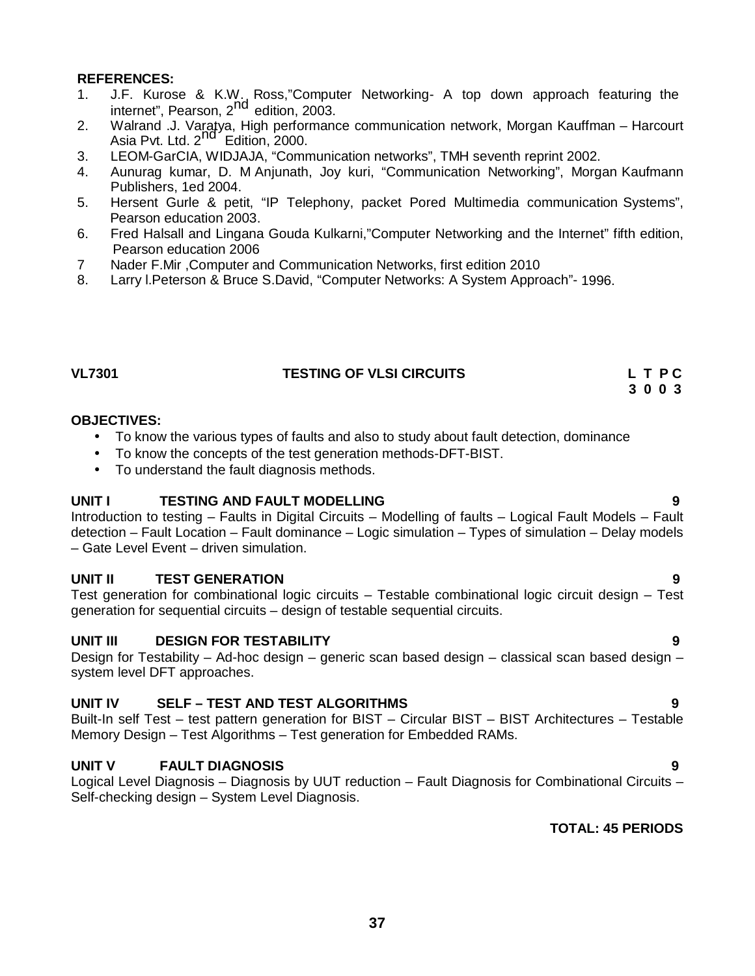- 1. J.F. Kurose & K.W., Ross,"Computer Networking- A top down approach featuring the Internet", Pearson, 2<sup>nd</sup> edition, 2003.
- 2. Walrand .J. Varatya, High performance communication network, Morgan Kauffman Harcourt walland ist value, then performant<br>Asia Pvt. Ltd. 2<sup>nd</sup> Edition, 2000.
- 3. LEOM-GarCIA, WIDJAJA, "Communication networks", TMH seventh reprint 2002.
- 4. Aunurag kumar, D. M Anjunath, Joy kuri, "Communication Networking", Morgan Kaufmann Publishers, 1ed 2004.
- 5. Hersent Gurle & petit, "IP Telephony, packet Pored Multimedia communication Systems", Pearson education 2003.
- 6. Fred Halsall and Lingana Gouda Kulkarni,"Computer Networking and the Internet" fifth edition, Pearson education 2006
- 7 Nader F.Mir ,Computer and Communication Networks, first edition 2010
- 8. Larry l.Peterson & Bruce S.David, "Computer Networks: A System Approach"- 1996.

#### **VL7301 TESTING OF VLSI CIRCUITS L T P C**

**3 0 0 3**

#### **OBJECTIVES:**

- To know the various types of faults and also to study about fault detection, dominance
- To know the concepts of the test generation methods-DFT-BIST.
- To understand the fault diagnosis methods.

#### **UNIT I TESTING AND FAULT MODELLING 9**

Introduction to testing – Faults in Digital Circuits – Modelling of faults – Logical Fault Models – Fault detection – Fault Location – Fault dominance – Logic simulation – Types of simulation – Delay models – Gate Level Event – driven simulation.

#### **UNIT II TEST GENERATION 9**

Test generation for combinational logic circuits – Testable combinational logic circuit design – Test generation for sequential circuits – design of testable sequential circuits.

#### **UNIT III DESIGN FOR TESTABILITY 9**

Design for Testability – Ad-hoc design – generic scan based design – classical scan based design – system level DFT approaches.

#### **UNIT IV SELF – TEST AND TEST ALGORITHMS 9**

Built-In self Test – test pattern generation for BIST – Circular BIST – BIST Architectures – Testable Memory Design – Test Algorithms – Test generation for Embedded RAMs.

#### **UNIT V FAULT DIAGNOSIS 9**

Logical Level Diagnosis – Diagnosis by UUT reduction – Fault Diagnosis for Combinational Circuits – Self-checking design – System Level Diagnosis.

### **TOTAL: 45 PERIODS**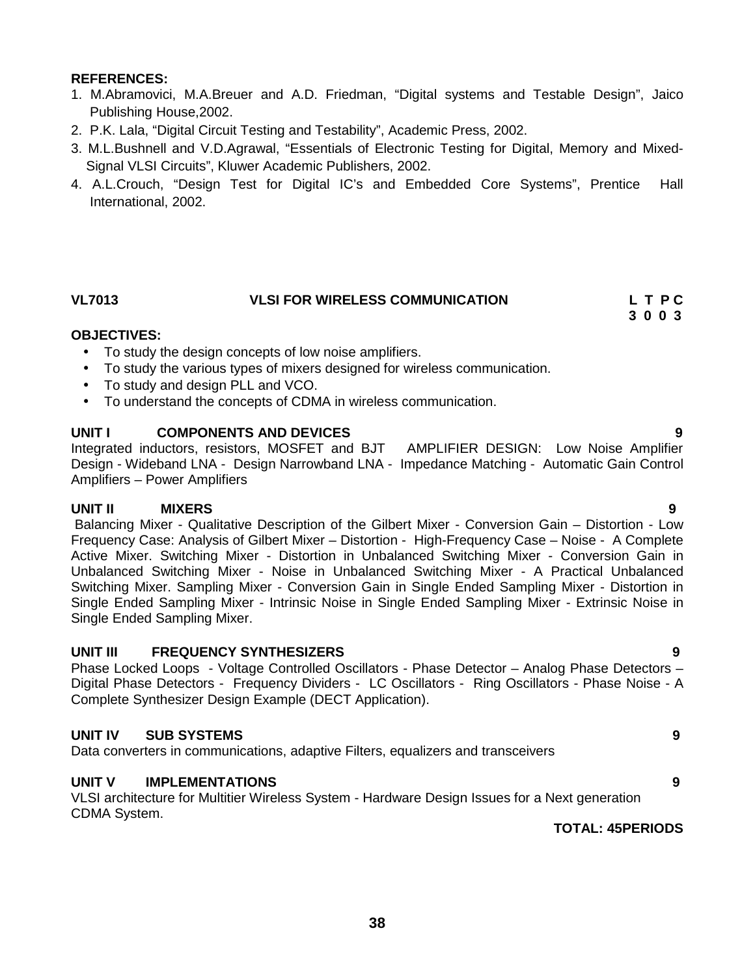- 1. M.Abramovici, M.A.Breuer and A.D. Friedman, "Digital systems and Testable Design", Jaico Publishing House,2002.
- 2. P.K. Lala, "Digital Circuit Testing and Testability", Academic Press, 2002.
- 3. M.L.Bushnell and V.D.Agrawal, "Essentials of Electronic Testing for Digital, Memory and Mixed- Signal VLSI Circuits", Kluwer Academic Publishers, 2002.
- 4. A.L.Crouch, "Design Test for Digital IC's and Embedded Core Systems", Prentice Hall International, 2002.

#### **VL7013 VLSI FOR WIRELESS COMMUNICATION L T P C**

**3 0 0 3**

#### **OBJECTIVES:**

- To study the design concepts of low noise amplifiers.
- To study the various types of mixers designed for wireless communication.
- To study and design PLL and VCO.
- To understand the concepts of CDMA in wireless communication.

#### **UNIT I COMPONENTS AND DEVICES 9**

Integrated inductors, resistors, MOSFET and BJT AMPLIFIER DESIGN: Low Noise Amplifier Design - Wideband LNA - Design Narrowband LNA - Impedance Matching - Automatic Gain Control Amplifiers – Power Amplifiers

#### **UNIT II MIXERS 9**

Balancing Mixer - Qualitative Description of the Gilbert Mixer - Conversion Gain – Distortion - Low Frequency Case: Analysis of Gilbert Mixer – Distortion - High-Frequency Case – Noise - A Complete Active Mixer. Switching Mixer - Distortion in Unbalanced Switching Mixer - Conversion Gain in Unbalanced Switching Mixer - Noise in Unbalanced Switching Mixer - A Practical Unbalanced Switching Mixer. Sampling Mixer - Conversion Gain in Single Ended Sampling Mixer - Distortion in Single Ended Sampling Mixer - Intrinsic Noise in Single Ended Sampling Mixer - Extrinsic Noise in Single Ended Sampling Mixer.

#### **UNIT III FREQUENCY SYNTHESIZERS 9**

Phase Locked Loops - Voltage Controlled Oscillators - Phase Detector – Analog Phase Detectors – Digital Phase Detectors - Frequency Dividers - LC Oscillators - Ring Oscillators - Phase Noise - A Complete Synthesizer Design Example (DECT Application).

### **UNIT IV SUB SYSTEMS 9**

Data converters in communications, adaptive Filters, equalizers and transceivers

#### **UNIT V IMPLEMENTATIONS 9**

VLSI architecture for Multitier Wireless System - Hardware Design Issues for a Next generation CDMA System.

**TOTAL: 45PERIODS**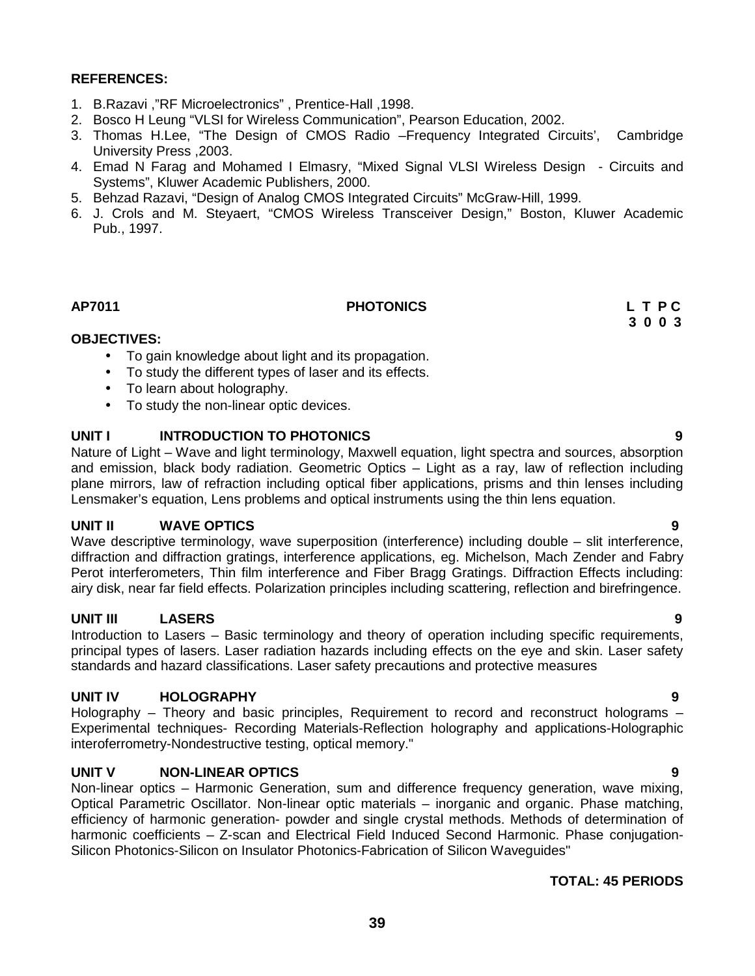- 1. B.Razavi ,"RF Microelectronics" , Prentice-Hall ,1998.
- 2. Bosco H Leung "VLSI for Wireless Communication", Pearson Education, 2002.
- 3. Thomas H.Lee, "The Design of CMOS Radio –Frequency Integrated Circuits', Cambridge University Press ,2003.
- 4. Emad N Farag and Mohamed I Elmasry, "Mixed Signal VLSI Wireless Design Circuits and Systems", Kluwer Academic Publishers, 2000.
- 5. Behzad Razavi, "Design of Analog CMOS Integrated Circuits" McGraw-Hill, 1999.
- 6. J. Crols and M. Steyaert, "CMOS Wireless Transceiver Design," Boston, Kluwer Academic Pub., 1997.

#### **AP7011 PHOTONICS L T P C**

# **3 0 0 3**

#### **OBJECTIVES:**

- To gain knowledge about light and its propagation.
- To study the different types of laser and its effects.
- To learn about holography.
- To study the non-linear optic devices.

#### **UNIT I INTRODUCTION TO PHOTONICS 9**

Nature of Light – Wave and light terminology, Maxwell equation, light spectra and sources, absorption and emission, black body radiation. Geometric Optics – Light as a ray, law of reflection including plane mirrors, law of refraction including optical fiber applications, prisms and thin lenses including Lensmaker's equation, Lens problems and optical instruments using the thin lens equation.

#### **UNIT II WAVE OPTICS 9**

Wave descriptive terminology, wave superposition (interference) including double – slit interference, diffraction and diffraction gratings, interference applications, eg. Michelson, Mach Zender and Fabry Perot interferometers, Thin film interference and Fiber Bragg Gratings. Diffraction Effects including: airy disk, near far field effects. Polarization principles including scattering, reflection and birefringence.

### **UNIT III LASERS 9**

Introduction to Lasers – Basic terminology and theory of operation including specific requirements, principal types of lasers. Laser radiation hazards including effects on the eye and skin. Laser safety standards and hazard classifications. Laser safety precautions and protective measures

#### **UNIT IV HOLOGRAPHY 9**

Holography – Theory and basic principles, Requirement to record and reconstruct holograms – Experimental techniques- Recording Materials-Reflection holography and applications-Holographic interoferrometry-Nondestructive testing, optical memory."

#### **UNIT V NON-LINEAR OPTICS 9**

Non-linear optics – Harmonic Generation, sum and difference frequency generation, wave mixing, Optical Parametric Oscillator. Non-linear optic materials – inorganic and organic. Phase matching, efficiency of harmonic generation- powder and single crystal methods. Methods of determination of harmonic coefficients – Z-scan and Electrical Field Induced Second Harmonic. Phase conjugation- Silicon Photonics-Silicon on Insulator Photonics-Fabrication of Silicon Waveguides"

#### **TOTAL: 45 PERIODS**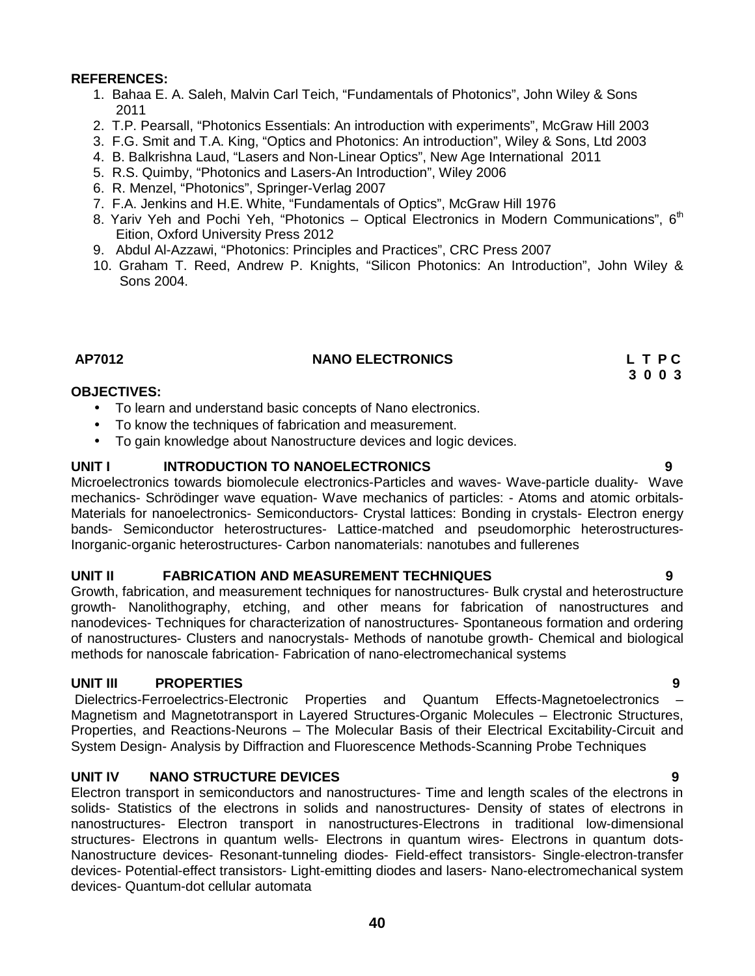- 1. Bahaa E. A. Saleh, Malvin Carl Teich, "Fundamentals of Photonics", John Wiley & Sons 2011
- 2. T.P. Pearsall, "Photonics Essentials: An introduction with experiments", McGraw Hill 2003
- 3. F.G. Smit and T.A. King, "Optics and Photonics: An introduction", Wiley & Sons, Ltd 2003
- 4. B. Balkrishna Laud, "Lasers and Non-Linear Optics", New Age International 2011
- 5. R.S. Quimby, "Photonics and Lasers-An Introduction", Wiley 2006
- 6. R. Menzel, "Photonics", Springer-Verlag 2007
- 7. F.A. Jenkins and H.E. White, "Fundamentals of Optics", McGraw Hill 1976
- 8. Yariv Yeh and Pochi Yeh, "Photonics Optical Electronics in Modern Communications",  $6<sup>th</sup>$ Eition, Oxford University Press 2012
- 9. Abdul Al-Azzawi, "Photonics: Principles and Practices", CRC Press 2007
- 10. Graham T. Reed, Andrew P. Knights, "Silicon Photonics: An Introduction", John Wiley & Sons 2004.

#### **AP7012 NANO ELECTRONICS L T P C**

**3 0 0 3**

#### **OBJECTIVES:**

- To learn and understand basic concepts of Nano electronics.
- To know the techniques of fabrication and measurement.
- To gain knowledge about Nanostructure devices and logic devices.

#### **UNIT I INTRODUCTION TO NANOELECTRONICS 9**

Microelectronics towards biomolecule electronics-Particles and waves- Wave-particle duality- Wave mechanics- Schrödinger wave equation- Wave mechanics of particles: - Atoms and atomic orbitals- Materials for nanoelectronics- Semiconductors- Crystal lattices: Bonding in crystals- Electron energy bands- Semiconductor heterostructures- Lattice-matched and pseudomorphic heterostructures-Inorganic-organic heterostructures- Carbon nanomaterials: nanotubes and fullerenes

#### **UNIT II FABRICATION AND MEASUREMENT TECHNIQUES 9**

Growth, fabrication, and measurement techniques for nanostructures- Bulk crystal and heterostructure growth- Nanolithography, etching, and other means for fabrication of nanostructures and nanodevices- Techniques for characterization of nanostructures- Spontaneous formation and ordering of nanostructures- Clusters and nanocrystals- Methods of nanotube growth- Chemical and biological methods for nanoscale fabrication- Fabrication of nano-electromechanical systems

#### **UNIT III PROPERTIES 9**

Dielectrics-Ferroelectrics-Electronic Properties and Quantum Effects-Magnetoelectronics – Magnetism and Magnetotransport in Layered Structures-Organic Molecules – Electronic Structures, Properties, and Reactions-Neurons – The Molecular Basis of their Electrical Excitability-Circuit and System Design- Analysis by Diffraction and Fluorescence Methods-Scanning Probe Techniques

#### **UNIT IV NANO STRUCTURE DEVICES 9**

Electron transport in semiconductors and nanostructures- Time and length scales of the electrons in solids- Statistics of the electrons in solids and nanostructures- Density of states of electrons in nanostructures- Electron transport in nanostructures-Electrons in traditional low-dimensional structures- Electrons in quantum wells- Electrons in quantum wires- Electrons in quantum dots- Nanostructure devices- Resonant-tunneling diodes- Field-effect transistors- Single-electron-transfer devices- Potential-effect transistors- Light-emitting diodes and lasers- Nano-electromechanical system devices- Quantum-dot cellular automata

**40**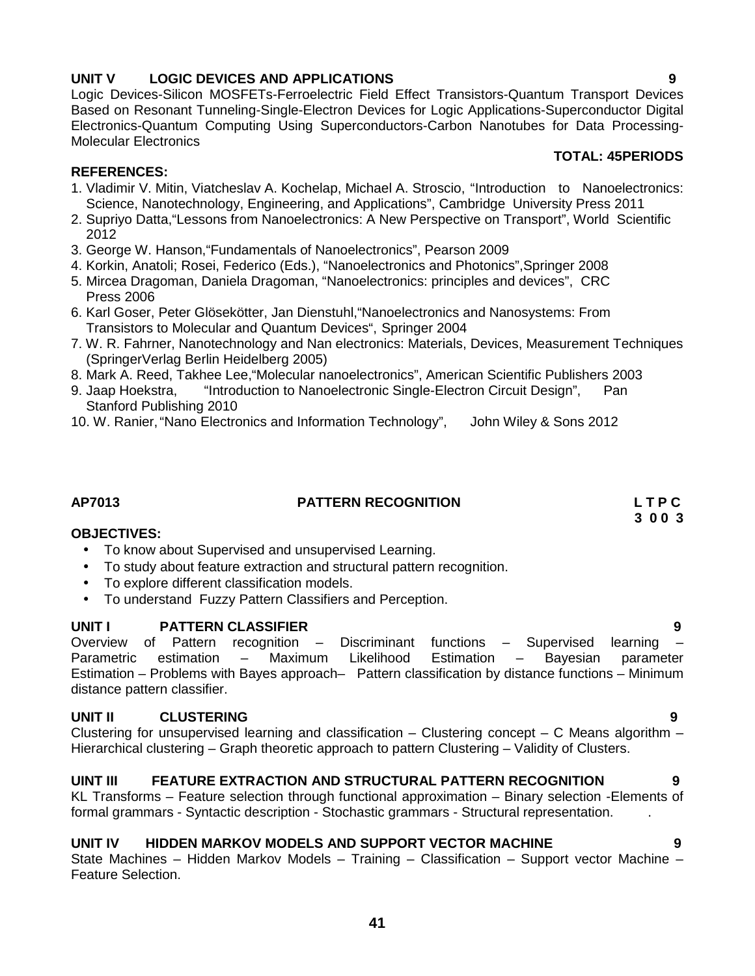# **UNIT V LOGIC DEVICES AND APPLICATIONS 9**

Logic Devices-Silicon MOSFETs-Ferroelectric Field Effect Transistors-Quantum Transport Devices Based on Resonant Tunneling-Single-Electron Devices for Logic Applications-Superconductor Digital Electronics-Quantum Computing Using Superconductors-Carbon Nanotubes for Data Processing- Molecular Electronics

### **REFERENCES:**

- 1. Vladimir V. Mitin, Viatcheslav A. Kochelap, Michael A. Stroscio, "Introduction to Nanoelectronics: Science, Nanotechnology, Engineering, and Applications", Cambridge University Press 2011
- 2. Supriyo Datta,"Lessons from Nanoelectronics: A New Perspective on Transport", World Scientific 2012
- 3. George W. Hanson,"Fundamentals of Nanoelectronics", Pearson 2009
- 4. Korkin, Anatoli; Rosei, Federico (Eds.), "Nanoelectronics and Photonics",Springer 2008
- 5. Mircea Dragoman, Daniela Dragoman, "Nanoelectronics: principles and devices", CRC Press 2006
- 6. Karl Goser, Peter Glösekötter, Jan Dienstuhl,"Nanoelectronics and Nanosystems: From Transistors to Molecular and Quantum Devices", Springer 2004
- 7. W. R. Fahrner, Nanotechnology and Nan electronics: Materials, Devices, Measurement Techniques (SpringerVerlag Berlin Heidelberg 2005)
- 8. Mark A. Reed, Takhee Lee,"Molecular nanoelectronics", American Scientific Publishers 2003
- 9. Jaap Hoekstra, "Introduction to Nanoelectronic Single-Electron Circuit Design", Pan Stanford Publishing 2010
- 10. W. Ranier,"Nano Electronics and Information Technology", John Wiley & Sons 2012

# **AP7013 PATTERN RECOGNITION L T P C**

#### **OBJECTIVES:**

- To know about Supervised and unsupervised Learning.
- To study about feature extraction and structural pattern recognition.
- To explore different classification models.
- To understand Fuzzy Pattern Classifiers and Perception.

#### **UNIT I PATTERN CLASSIFIER 9**

Overview of Pattern recognition – Discriminant functions – Supervised learning – Parametric estimation – Maximum Likelihood Estimation – Bayesian parameter Estimation – Problems with Bayes approach– Pattern classification by distance functions – Minimum distance pattern classifier.

#### **UNIT II CLUSTERING 9**

Clustering for unsupervised learning and classification – Clustering concept – C Means algorithm – Hierarchical clustering – Graph theoretic approach to pattern Clustering – Validity of Clusters.

### **UINT III FEATURE EXTRACTION AND STRUCTURAL PATTERN RECOGNITION 9**

KL Transforms – Feature selection through functional approximation – Binary selection -Elements of formal grammars - Syntactic description - Stochastic grammars - Structural representation. .

#### **UNIT IV HIDDEN MARKOV MODELS AND SUPPORT VECTOR MACHINE 9**

State Machines – Hidden Markov Models – Training – Classification – Support vector Machine – Feature Selection.

#### **TOTAL: 45PERIODS**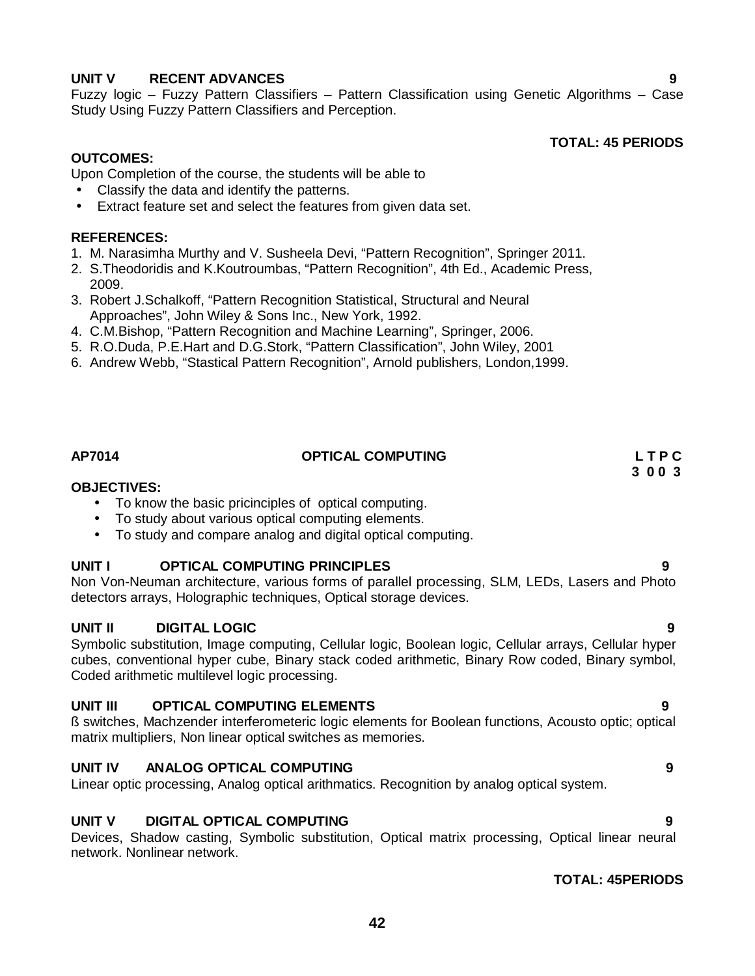### **UNIT V RECENT ADVANCES 9**

Fuzzy logic – Fuzzy Pattern Classifiers – Pattern Classification using Genetic Algorithms – Case Study Using Fuzzy Pattern Classifiers and Perception.

**TOTAL: 45 PERIODS**

### **OUTCOMES:**

Upon Completion of the course, the students will be able to

- Classify the data and identify the patterns.
- Extract feature set and select the features from given data set.

### **REFERENCES:**

- 1. M. Narasimha Murthy and V. Susheela Devi, "Pattern Recognition", Springer 2011.
- 2. S.Theodoridis and K.Koutroumbas, "Pattern Recognition", 4th Ed., Academic Press, 2009.
- 3. Robert J.Schalkoff, "Pattern Recognition Statistical, Structural and Neural Approaches", John Wiley & Sons Inc., New York, 1992.
- 4. C.M.Bishop, "Pattern Recognition and Machine Learning", Springer, 2006.
- 5. R.O.Duda, P.E.Hart and D.G.Stork, "Pattern Classification", John Wiley, 2001
- 6. Andrew Webb, "Stastical Pattern Recognition", Arnold publishers, London,1999.

#### **AP7014 OPTICAL COMPUTING L T P C**

# **3 0 0 3**

### **OBJECTIVES:**

- To know the basic pricinciples of optical computing.
- To study about various optical computing elements.
- To study and compare analog and digital optical computing.

#### **UNIT I OPTICAL COMPUTING PRINCIPLES 9**

Non Von-Neuman architecture, various forms of parallel processing, SLM, LEDs, Lasers and Photo detectors arrays, Holographic techniques, Optical storage devices.

#### **UNIT II DIGITAL LOGIC 9**

Symbolic substitution, Image computing, Cellular logic, Boolean logic, Cellular arrays, Cellular hyper cubes, conventional hyper cube, Binary stack coded arithmetic, Binary Row coded, Binary symbol, Coded arithmetic multilevel logic processing.

#### **UNIT III OPTICAL COMPUTING ELEMENTS 9**

ß switches, Machzender interferometeric logic elements for Boolean functions, Acousto optic; optical matrix multipliers, Non linear optical switches as memories.

#### **UNIT IV ANALOG OPTICAL COMPUTING 9**

Linear optic processing, Analog optical arithmatics. Recognition by analog optical system.

#### **UNIT V DIGITAL OPTICAL COMPUTING 9**

Devices, Shadow casting, Symbolic substitution, Optical matrix processing, Optical linear neural network. Nonlinear network.

#### **TOTAL: 45PERIODS**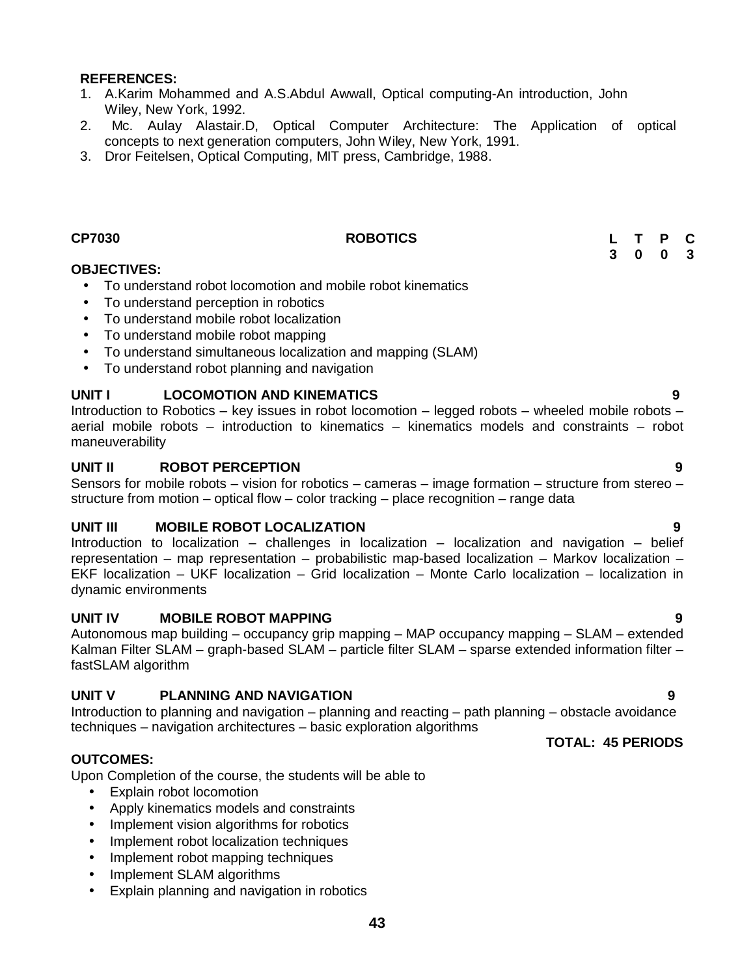- 1. A.Karim Mohammed and A.S.Abdul Awwall, Optical computing-An introduction, John Wiley, New York, 1992.
- 2. Mc. Aulay Alastair.D, Optical Computer Architecture: The Application of optical concepts to next generation computers, John Wiley, New York, 1991.
- 3. Dror Feitelsen, Optical Computing, MIT press, Cambridge, 1988.

#### **CP7030 ROBOTICS**

#### **OBJECTIVES:**

- To understand robot locomotion and mobile robot kinematics
- To understand perception in robotics
- To understand mobile robot localization
- To understand mobile robot mapping
- To understand simultaneous localization and mapping (SLAM)
- To understand robot planning and navigation

### **UNIT I LOCOMOTION AND KINEMATICS 9**

Introduction to Robotics – key issues in robot locomotion – legged robots – wheeled mobile robots – aerial mobile robots – introduction to kinematics – kinematics models and constraints – robot maneuverability

#### **UNIT II ROBOT PERCEPTION 9**

Sensors for mobile robots – vision for robotics – cameras – image formation – structure from stereo – structure from motion – optical flow – color tracking – place recognition – range data

#### **UNIT III MOBILE ROBOT LOCALIZATION 9**

Introduction to localization – challenges in localization – localization and navigation – belief representation – map representation – probabilistic map-based localization – Markov localization – EKF localization – UKF localization – Grid localization – Monte Carlo localization – localization in dynamic environments

#### **UNIT IV MOBILE ROBOT MAPPING 9**

Autonomous map building – occupancy grip mapping – MAP occupancy mapping – SLAM – extended Kalman Filter SLAM – graph-based SLAM – particle filter SLAM – sparse extended information filter – fastSLAM algorithm

#### **UNIT V PLANNING AND NAVIGATION 9**

Introduction to planning and navigation – planning and reacting – path planning – obstacle avoidance techniques – navigation architectures – basic exploration algorithms

### **OUTCOMES:**

Upon Completion of the course, the students will be able to

- Explain robot locomotion
- Apply kinematics models and constraints
- Implement vision algorithms for robotics
- Implement robot localization techniques
- Implement robot mapping techniques
- Implement SLAM algorithms
- Explain planning and navigation in robotics

#### **TOTAL: 45 PERIODS**

**L T P C 3 0 0 3**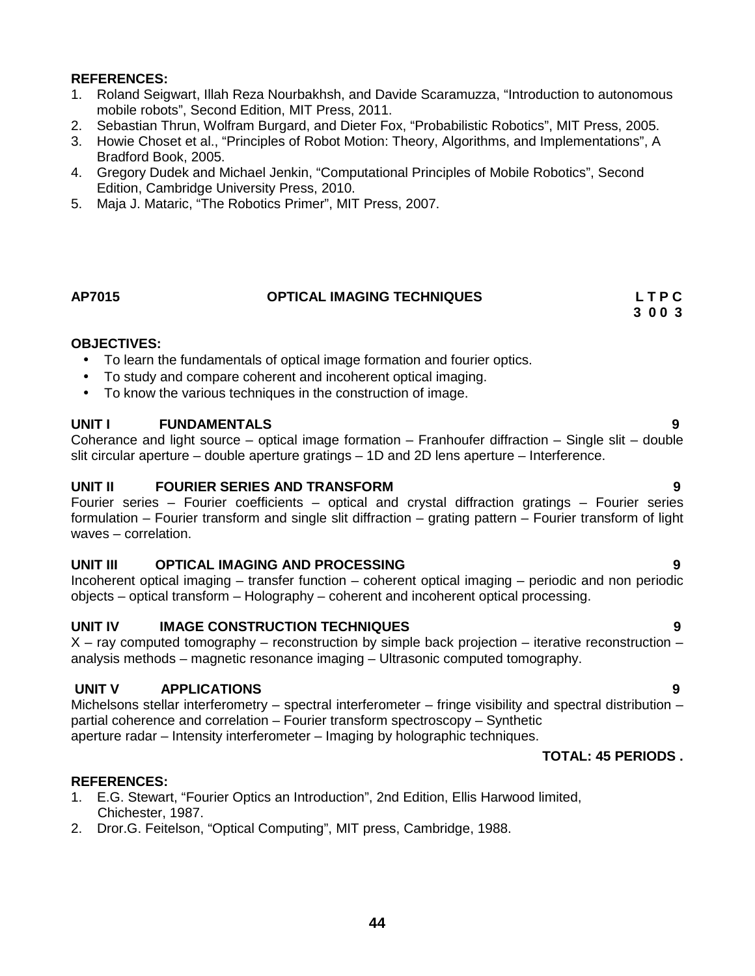- 1. Roland Seigwart, Illah Reza Nourbakhsh, and Davide Scaramuzza, "Introduction to autonomous mobile robots", Second Edition, MIT Press, 2011.
- 2. Sebastian Thrun, Wolfram Burgard, and Dieter Fox, "Probabilistic Robotics", MIT Press, 2005.
- 3. Howie Choset et al., "Principles of Robot Motion: Theory, Algorithms, and Implementations", A Bradford Book, 2005.
- 4. Gregory Dudek and Michael Jenkin, "Computational Principles of Mobile Robotics", Second Edition, Cambridge University Press, 2010.
- 5. Maja J. Mataric, "The Robotics Primer", MIT Press, 2007.

#### **AP7015 OPTICAL IMAGING TECHNIQUES L T P C**

**3 0 0 3**

#### **OBJECTIVES:**

- To learn the fundamentals of optical image formation and fourier optics.
- To study and compare coherent and incoherent optical imaging.
- To know the various techniques in the construction of image.

#### **UNIT I FUNDAMENTALS 9**

Coherance and light source – optical image formation – Franhoufer diffraction – Single slit – double slit circular aperture – double aperture gratings – 1D and 2D lens aperture – Interference.

#### **UNIT II FOURIER SERIES AND TRANSFORM 9**

Fourier series – Fourier coefficients – optical and crystal diffraction gratings – Fourier series formulation – Fourier transform and single slit diffraction – grating pattern – Fourier transform of light waves – correlation.

#### **UNIT III OPTICAL IMAGING AND PROCESSING 9**

Incoherent optical imaging – transfer function – coherent optical imaging – periodic and non periodic objects – optical transform – Holography – coherent and incoherent optical processing.

#### **UNIT IV IMAGE CONSTRUCTION TECHNIQUES 9**

 $X$  – ray computed tomography – reconstruction by simple back projection – iterative reconstruction – analysis methods – magnetic resonance imaging – Ultrasonic computed tomography.

#### **UNIT V APPLICATIONS 9**

Michelsons stellar interferometry – spectral interferometer – fringe visibility and spectral distribution – partial coherence and correlation – Fourier transform spectroscopy – Synthetic aperture radar – Intensity interferometer – Imaging by holographic techniques.

#### **TOTAL: 45 PERIODS .**

#### **REFERENCES:**

- 1. E.G. Stewart, "Fourier Optics an Introduction", 2nd Edition, Ellis Harwood limited, Chichester, 1987.
- 2. Dror.G. Feitelson, "Optical Computing", MIT press, Cambridge, 1988.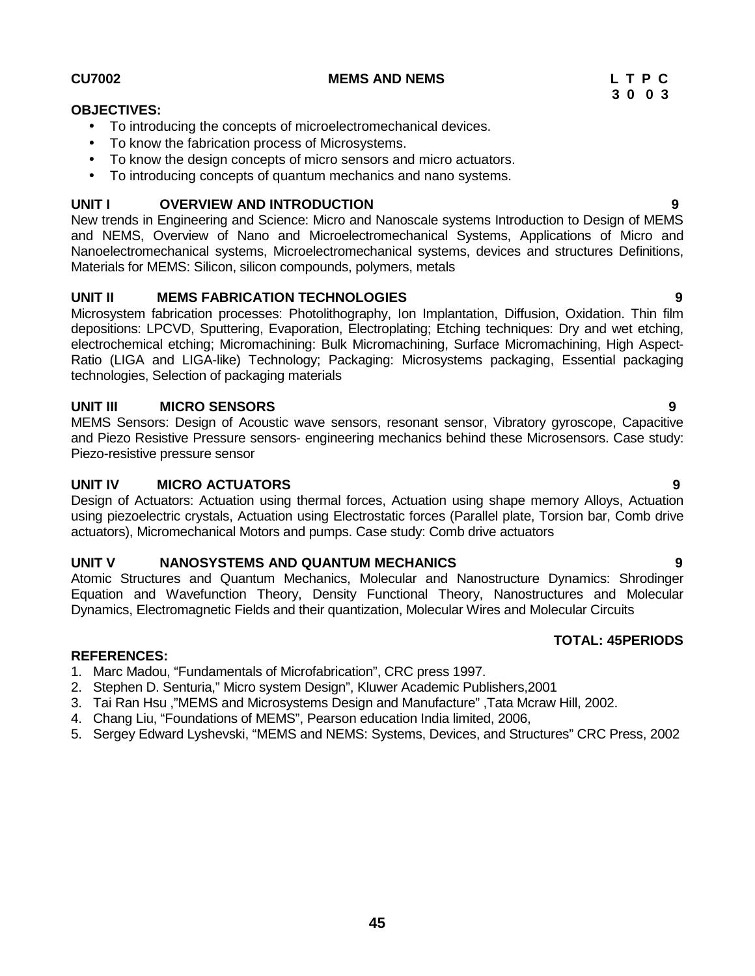#### **CU7002 MEMS AND NEMS L T P C**

# **OBJECTIVES:**

- To introducing the concepts of microelectromechanical devices.
- To know the fabrication process of Microsystems.
- To know the design concepts of micro sensors and micro actuators.
- To introducing concepts of quantum mechanics and nano systems.

#### **UNIT I OVERVIEW AND INTRODUCTION 9**

New trends in Engineering and Science: Micro and Nanoscale systems Introduction to Design of MEMS and NEMS, Overview of Nano and Microelectromechanical Systems, Applications of Micro and Nanoelectromechanical systems, Microelectromechanical systems, devices and structures Definitions, Materials for MEMS: Silicon, silicon compounds, polymers, metals

#### **UNIT II MEMS FABRICATION TECHNOLOGIES 9**

Microsystem fabrication processes: Photolithography, Ion Implantation, Diffusion, Oxidation. Thin film depositions: LPCVD, Sputtering, Evaporation, Electroplating; Etching techniques: Dry and wet etching, electrochemical etching; Micromachining: Bulk Micromachining, Surface Micromachining, High Aspect- Ratio (LIGA and LIGA-like) Technology; Packaging: Microsystems packaging, Essential packaging technologies, Selection of packaging materials

#### **UNIT III MICRO SENSORS 9**

MEMS Sensors: Design of Acoustic wave sensors, resonant sensor, Vibratory gyroscope, Capacitive and Piezo Resistive Pressure sensors- engineering mechanics behind these Microsensors. Case study: Piezo-resistive pressure sensor

#### **UNIT IV MICRO ACTUATORS 9**

Design of Actuators: Actuation using thermal forces, Actuation using shape memory Alloys, Actuation using piezoelectric crystals, Actuation using Electrostatic forces (Parallel plate, Torsion bar, Comb drive actuators), Micromechanical Motors and pumps. Case study: Comb drive actuators

#### **UNIT V NANOSYSTEMS AND QUANTUM MECHANICS 9**

Atomic Structures and Quantum Mechanics, Molecular and Nanostructure Dynamics: Shrodinger Equation and Wavefunction Theory, Density Functional Theory, Nanostructures and Molecular Dynamics, Electromagnetic Fields and their quantization, Molecular Wires and Molecular Circuits

#### **REFERENCES:**

- 1. Marc Madou, "Fundamentals of Microfabrication", CRC press 1997.
- 2. Stephen D. Senturia," Micro system Design", Kluwer Academic Publishers,2001
- 3. Tai Ran Hsu ,"MEMS and Microsystems Design and Manufacture" ,Tata Mcraw Hill, 2002.
- 4. Chang Liu, "Foundations of MEMS", Pearson education India limited, 2006,
- 5. Sergey Edward Lyshevski, "MEMS and NEMS: Systems, Devices, and Structures" CRC Press, 2002

**3 0 0 3**

**TOTAL: 45PERIODS**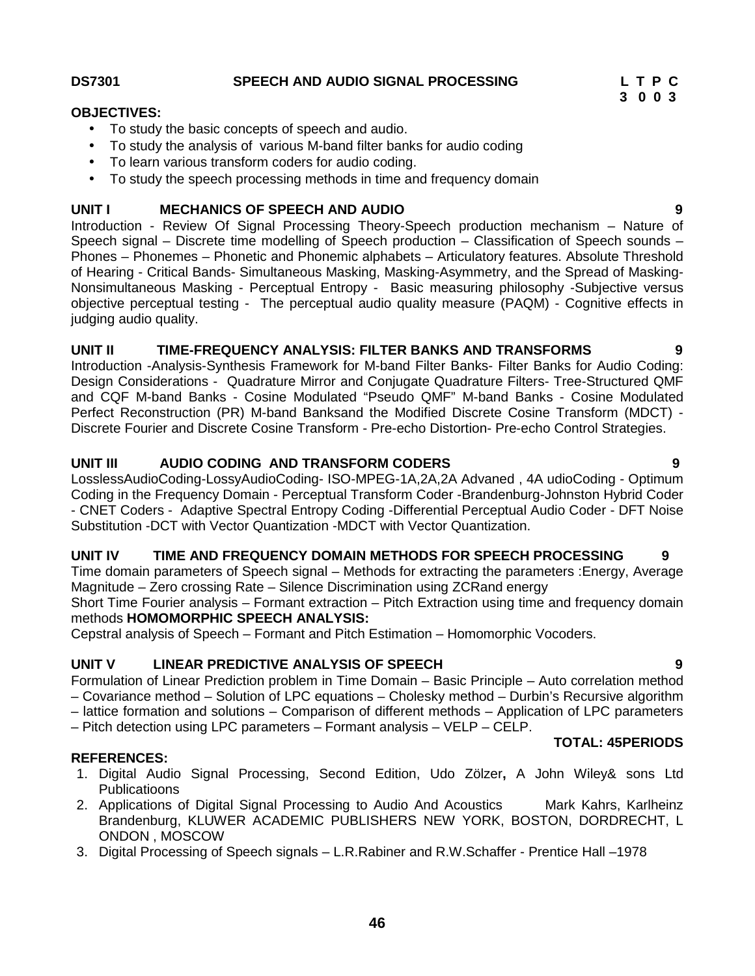### **DS7301 SPEECH AND AUDIO SIGNAL PROCESSING L T P C**

#### **OBJECTIVES:**

- To study the basic concepts of speech and audio.
- To study the analysis of various M-band filter banks for audio coding
- To learn various transform coders for audio coding.
- To study the speech processing methods in time and frequency domain

### **UNIT I MECHANICS OF SPEECH AND AUDIO 9**

Introduction - Review Of Signal Processing Theory-Speech production mechanism – Nature of Speech signal – Discrete time modelling of Speech production – Classification of Speech sounds – Phones – Phonemes – Phonetic and Phonemic alphabets – Articulatory features. Absolute Threshold of Hearing - Critical Bands- Simultaneous Masking, Masking-Asymmetry, and the Spread of Masking- Nonsimultaneous Masking - Perceptual Entropy - Basic measuring philosophy -Subjective versus objective perceptual testing - The perceptual audio quality measure (PAQM) - Cognitive effects in judging audio quality.

### **UNIT II TIME-FREQUENCY ANALYSIS: FILTER BANKS AND TRANSFORMS 9**

Introduction -Analysis-Synthesis Framework for M-band Filter Banks- Filter Banks for Audio Coding: Design Considerations - Quadrature Mirror and Conjugate Quadrature Filters- Tree-Structured QMF and CQF M-band Banks - Cosine Modulated "Pseudo QMF" M-band Banks - Cosine Modulated Perfect Reconstruction (PR) M-band Banksand the Modified Discrete Cosine Transform (MDCT) - Discrete Fourier and Discrete Cosine Transform - Pre-echo Distortion- Pre-echo Control Strategies.

### **UNIT III AUDIO CODING AND TRANSFORM CODERS 9**

LosslessAudioCoding-LossyAudioCoding- ISO-MPEG-1A,2A,2A Advaned , 4A udioCoding - Optimum Coding in the Frequency Domain - Perceptual Transform Coder -Brandenburg-Johnston Hybrid Coder - CNET Coders - Adaptive Spectral Entropy Coding -Differential Perceptual Audio Coder - DFT Noise Substitution -DCT with Vector Quantization -MDCT with Vector Quantization.

### **UNIT IV TIME AND FREQUENCY DOMAIN METHODS FOR SPEECH PROCESSING 9**

Time domain parameters of Speech signal – Methods for extracting the parameters :Energy, Average Magnitude – Zero crossing Rate – Silence Discrimination using ZCRand energy

Short Time Fourier analysis – Formant extraction – Pitch Extraction using time and frequency domain methods **HOMOMORPHIC SPEECH ANALYSIS:**

Cepstral analysis of Speech – Formant and Pitch Estimation – Homomorphic Vocoders.

### **UNIT V LINEAR PREDICTIVE ANALYSIS OF SPEECH 9**

Formulation of Linear Prediction problem in Time Domain – Basic Principle – Auto correlation method – Covariance method – Solution of LPC equations – Cholesky method – Durbin's Recursive algorithm

- lattice formation and solutions Comparison of different methods Application of LPC parameters
- Pitch detection using LPC parameters Formant analysis VELP –CELP.

#### **REFERENCES:**

- 1. Digital Audio Signal Processing, Second Edition, Udo Zölzer**,** A John Wiley& sons Ltd Publicatioons
- 2. Applications of Digital Signal Processing to Audio And Acoustics Mark Kahrs, Karlheinz Brandenburg, KLUWER ACADEMIC PUBLISHERS NEW YORK, BOSTON, DORDRECHT, L ONDON , MOSCOW
- 3. Digital Processing of Speech signals L.R.Rabiner and R.W.Schaffer Prentice Hall –1978

**3 0 0 3**

**TOTAL: 45PERIODS**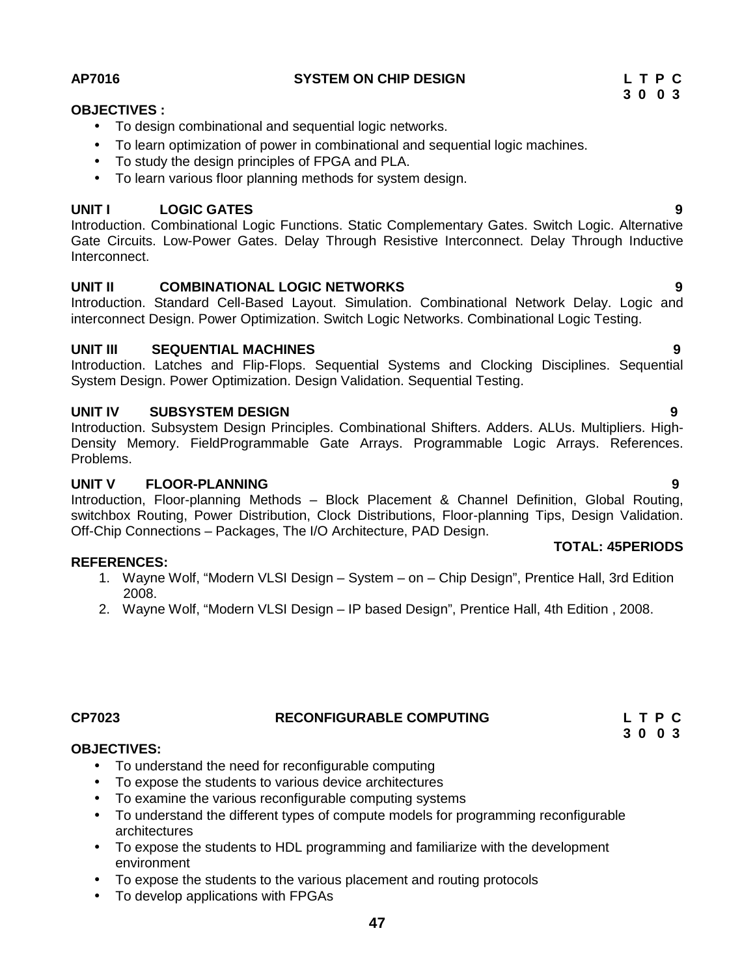#### **AP7016 SYSTEM ON CHIP DESIGN L T P C**

### **OBJECTIVES :**

- To design combinational and sequential logic networks.
- To learn optimization of power in combinational and sequential logic machines.
- To study the design principles of FPGA and PLA.
- To learn various floor planning methods for system design.

#### **UNIT I LOGIC GATES 9**

Introduction. Combinational Logic Functions. Static Complementary Gates. Switch Logic. Alternative Gate Circuits. Low-Power Gates. Delay Through Resistive Interconnect. Delay Through Inductive Interconnect.

#### **UNIT II COMBINATIONAL LOGIC NETWORKS 9**

Introduction. Standard Cell-Based Layout. Simulation. Combinational Network Delay. Logic and interconnect Design. Power Optimization. Switch Logic Networks. Combinational Logic Testing.

#### **UNIT III SEQUENTIAL MACHINES 9**

Introduction. Latches and Flip-Flops. Sequential Systems and Clocking Disciplines. Sequential System Design. Power Optimization. Design Validation. Sequential Testing.

#### **UNIT IV SUBSYSTEM DESIGN 9**

Introduction. Subsystem Design Principles. Combinational Shifters. Adders. ALUs. Multipliers. High- Density Memory. FieldProgrammable Gate Arrays. Programmable Logic Arrays. References. Problems.

#### **UNIT V FLOOR-PLANNING 9**

Introduction, Floor-planning Methods – Block Placement & Channel Definition, Global Routing, switchbox Routing, Power Distribution, Clock Distributions, Floor-planning Tips, Design Validation. Off-Chip Connections – Packages, The I/O Architecture, PAD Design.

#### **REFERENCES:**

- 1. Wayne Wolf, "Modern VLSI Design System on Chip Design", Prentice Hall, 3rd Edition 2008.
- 2. Wayne Wolf, "Modern VLSI Design IP based Design", Prentice Hall, 4th Edition , 2008.

# **CP7023 RECONFIGURABLE COMPUTING L T P C**

#### **OBJECTIVES:**

- To understand the need for reconfigurable computing
- To expose the students to various device architectures
- To examine the various reconfigurable computing systems
- To understand the different types of compute models for programming reconfigurable architectures
- To expose the students to HDL programming and familiarize with the development environment
- To expose the students to the various placement and routing protocols
- To develop applications with FPGAs

#### **TOTAL: 45PERIODS**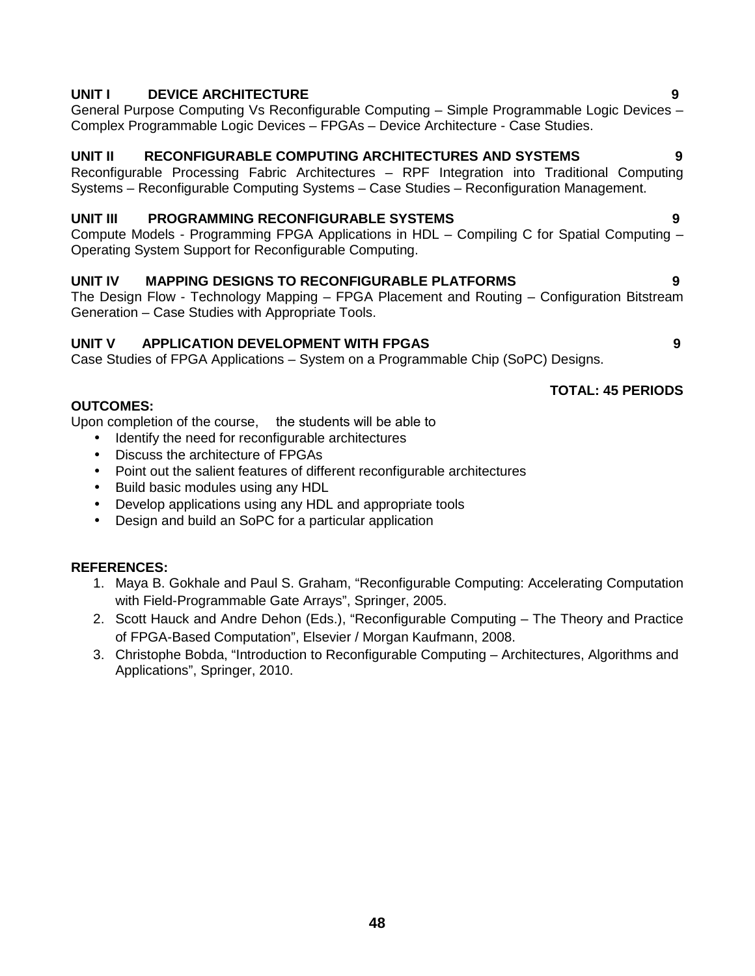### **UNIT I DEVICE ARCHITECTURE 9**

General Purpose Computing Vs Reconfigurable Computing – Simple Programmable Logic Devices – Complex Programmable Logic Devices – FPGAs – Device Architecture - Case Studies.

# **UNIT II RECONFIGURABLE COMPUTING ARCHITECTURES AND SYSTEMS 9**

Reconfigurable Processing Fabric Architectures – RPF Integration into Traditional Computing Systems – Reconfigurable Computing Systems – Case Studies – Reconfiguration Management.

# **UNIT III PROGRAMMING RECONFIGURABLE SYSTEMS 9**

Compute Models - Programming FPGA Applications in HDL – Compiling C for Spatial Computing – Operating System Support for Reconfigurable Computing.

# **UNIT IV MAPPING DESIGNS TO RECONFIGURABLE PLATFORMS 9**

The Design Flow - Technology Mapping – FPGA Placement and Routing – Configuration Bitstream Generation – Case Studies with Appropriate Tools.

# **UNIT V APPLICATION DEVELOPMENT WITH FPGAS 9**

Case Studies of FPGA Applications – System on a Programmable Chip (SoPC) Designs.

### **OUTCOMES:**

Upon completion of the course, the students will be able to

- Identify the need for reconfigurable architectures
- Discuss the architecture of FPGAs
- Point out the salient features of different reconfigurable architectures
- Build basic modules using any HDL
- Develop applications using any HDL and appropriate tools
- Design and build an SoPC for a particular application

### **REFERENCES:**

- 1. Maya B. Gokhale and Paul S. Graham, "Reconfigurable Computing: Accelerating Computation with Field-Programmable Gate Arrays", Springer, 2005.
- 2. Scott Hauck and Andre Dehon (Eds.), "Reconfigurable Computing The Theory and Practice of FPGA-Based Computation", Elsevier / Morgan Kaufmann, 2008.
- 3. Christophe Bobda, "Introduction to Reconfigurable Computing Architectures, Algorithms and Applications", Springer, 2010.

### **TOTAL: 45 PERIODS**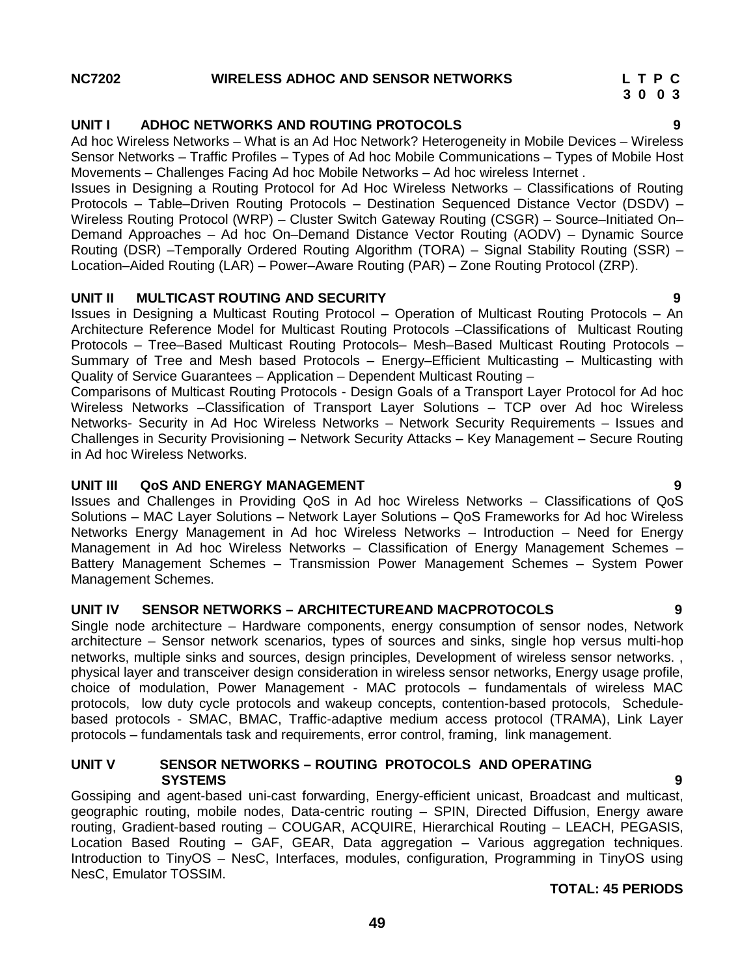### **NC7202 WIRELESS ADHOC AND SENSOR NETWORKS L T P C**

### **UNIT I ADHOC NETWORKS AND ROUTING PROTOCOLS 9**

Ad hoc Wireless Networks – What is an Ad Hoc Network? Heterogeneity in Mobile Devices – Wireless Sensor Networks – Traffic Profiles – Types of Ad hoc Mobile Communications – Types of Mobile Host Movements – Challenges Facing Ad hoc Mobile Networks – Ad hoc wireless Internet .

Issues in Designing a Routing Protocol for Ad Hoc Wireless Networks – Classifications of Routing Protocols – Table–Driven Routing Protocols – Destination Sequenced Distance Vector (DSDV) – Wireless Routing Protocol (WRP) – Cluster Switch Gateway Routing (CSGR) – Source–Initiated On– Demand Approaches – Ad hoc On–Demand Distance Vector Routing (AODV) – Dynamic Source Routing (DSR) –Temporally Ordered Routing Algorithm (TORA) – Signal Stability Routing (SSR) – Location–Aided Routing (LAR) – Power–Aware Routing (PAR) – Zone Routing Protocol (ZRP).

### **UNIT II MULTICAST ROUTING AND SECURITY 9**

Issues in Designing a Multicast Routing Protocol – Operation of Multicast Routing Protocols – An Architecture Reference Model for Multicast Routing Protocols –Classifications of Multicast Routing Protocols – Tree–Based Multicast Routing Protocols– Mesh–Based Multicast Routing Protocols – Summary of Tree and Mesh based Protocols – Energy–Efficient Multicasting – Multicasting with Quality of Service Guarantees – Application – Dependent Multicast Routing –

Comparisons of Multicast Routing Protocols - Design Goals of a Transport Layer Protocol for Ad hoc Wireless Networks –Classification of Transport Layer Solutions – TCP over Ad hoc Wireless Networks- Security in Ad Hoc Wireless Networks – Network Security Requirements – Issues and Challenges in Security Provisioning – Network Security Attacks – Key Management – Secure Routing in Ad hoc Wireless Networks.

#### **UNIT III QoS AND ENERGY MANAGEMENT 9**

Issues and Challenges in Providing QoS in Ad hoc Wireless Networks – Classifications of QoS Solutions – MAC Layer Solutions – Network Layer Solutions – QoS Frameworks for Ad hoc Wireless Networks Energy Management in Ad hoc Wireless Networks – Introduction – Need for Energy Management in Ad hoc Wireless Networks – Classification of Energy Management Schemes – Battery Management Schemes – Transmission Power Management Schemes – System Power Management Schemes.

### **UNIT IV SENSOR NETWORKS –ARCHITECTUREAND MACPROTOCOLS 9**

Single node architecture – Hardware components, energy consumption of sensor nodes, Network architecture – Sensor network scenarios, types of sources and sinks, single hop versus multi-hop networks, multiple sinks and sources, design principles, Development of wireless sensor networks. , physical layer and transceiver design consideration in wireless sensor networks, Energy usage profile, choice of modulation, Power Management - MAC protocols – fundamentals of wireless MAC protocols, low duty cycle protocols and wakeup concepts, contention-based protocols, Schedule based protocols - SMAC, BMAC, Traffic-adaptive medium access protocol (TRAMA), Link Layer protocols – fundamentals task and requirements, error control, framing, link management.

#### **UNIT V SENSOR NETWORKS – ROUTING PROTOCOLS AND OPERATING SYSTEMS 9**

Gossiping and agent-based uni-cast forwarding, Energy-efficient unicast, Broadcast and multicast, geographic routing, mobile nodes, Data-centric routing – SPIN, Directed Diffusion, Energy aware routing, Gradient-based routing – COUGAR, ACQUIRE, Hierarchical Routing – LEACH, PEGASIS, Location Based Routing – GAF, GEAR, Data aggregation – Various aggregation techniques. Introduction to TinyOS – NesC, Interfaces, modules, configuration, Programming in TinyOS using NesC, Emulator TOSSIM.

### **TOTAL: 45 PERIODS**